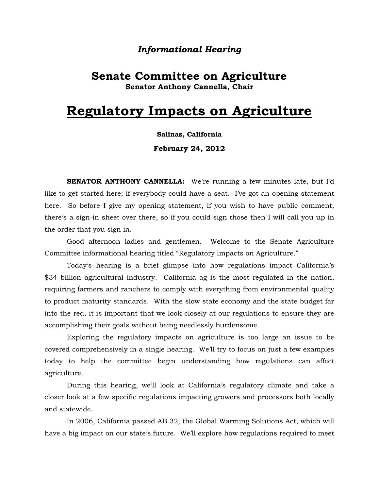### *Informational Hearing*

## **Senate Committee on Agriculture Senator Anthony Cannella, Chair**

# **Regulatory Impacts on Agriculture**

### **Salinas, California**

**February 24, 2012** 

**SENATOR ANTHONY CANNELLA:** We're running a few minutes late, but I'd like to get started here; if everybody could have a seat. I've got an opening statement here. So before I give my opening statement, if you wish to have public comment, there's a sign-in sheet over there, so if you could sign those then I will call you up in the order that you sign in.

Good afternoon ladies and gentlemen. Welcome to the Senate Agriculture Committee informational hearing titled "Regulatory Impacts on Agriculture."

Today's hearing is a brief glimpse into how regulations impact California's \$34 billion agricultural industry. California ag is the most regulated in the nation, requiring farmers and ranchers to comply with everything from environmental quality to product maturity standards. With the slow state economy and the state budget far into the red, it is important that we look closely at our regulations to ensure they are accomplishing their goals without being needlessly burdensome.

Exploring the regulatory impacts on agriculture is too large an issue to be covered comprehensively in a single hearing. We'll try to focus on just a few examples today to help the committee begin understanding how regulations can affect agriculture.

During this hearing, we'll look at California's regulatory climate and take a closer look at a few specific regulations impacting growers and processors both locally and statewide.

In 2006, California passed AB 32, the Global Warming Solutions Act, which will have a big impact on our state's future. We'll explore how regulations required to meet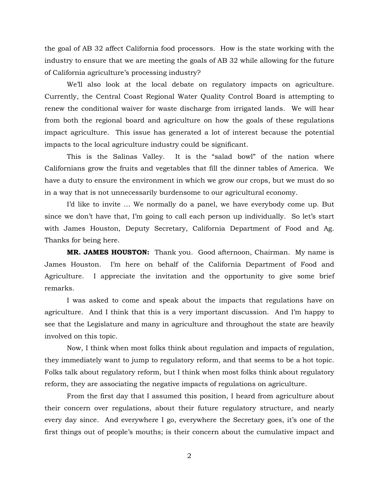the goal of AB 32 affect California food processors. How is the state working with the industry to ensure that we are meeting the goals of AB 32 while allowing for the future of California agriculture's processing industry?

We'll also look at the local debate on regulatory impacts on agriculture. Currently, the Central Coast Regional Water Quality Control Board is attempting to renew the conditional waiver for waste discharge from irrigated lands. We will hear from both the regional board and agriculture on how the goals of these regulations impact agriculture. This issue has generated a lot of interest because the potential impacts to the local agriculture industry could be significant.

This is the Salinas Valley. It is the "salad bowl" of the nation where Californians grow the fruits and vegetables that fill the dinner tables of America. We have a duty to ensure the environment in which we grow our crops, but we must do so in a way that is not unnecessarily burdensome to our agricultural economy.

I'd like to invite … We normally do a panel, we have everybody come up. But since we don't have that, I'm going to call each person up individually. So let's start with James Houston, Deputy Secretary, California Department of Food and Ag. Thanks for being here.

**MR. JAMES HOUSTON:** Thank you. Good afternoon, Chairman. My name is James Houston. I'm here on behalf of the California Department of Food and Agriculture. I appreciate the invitation and the opportunity to give some brief remarks.

I was asked to come and speak about the impacts that regulations have on agriculture. And I think that this is a very important discussion. And I'm happy to see that the Legislature and many in agriculture and throughout the state are heavily involved on this topic.

Now, I think when most folks think about regulation and impacts of regulation, they immediately want to jump to regulatory reform, and that seems to be a hot topic. Folks talk about regulatory reform, but I think when most folks think about regulatory reform, they are associating the negative impacts of regulations on agriculture.

From the first day that I assumed this position, I heard from agriculture about their concern over regulations, about their future regulatory structure, and nearly every day since. And everywhere I go, everywhere the Secretary goes, it's one of the first things out of people's mouths; is their concern about the cumulative impact and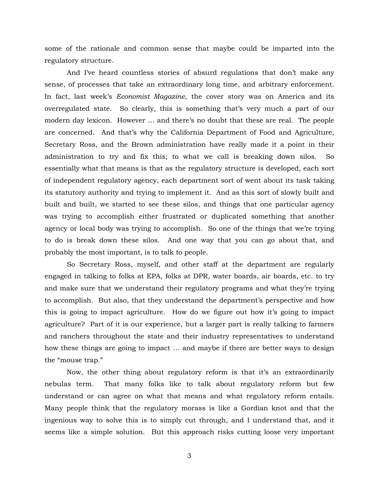some of the rationale and common sense that maybe could be imparted into the regulatory structure.

And I've heard countless stories of absurd regulations that don't make any sense, of processes that take an extraordinary long time, and arbitrary enforcement. In fact, last week's *Economist Magazine*, the cover story was on America and its overregulated state. So clearly, this is something that's very much a part of our modern day lexicon. However … and there's no doubt that these are real. The people are concerned. And that's why the California Department of Food and Agriculture, Secretary Ross, and the Brown administration have really made it a point in their administration to try and fix this; to what we call is breaking down silos. So essentially what that means is that as the regulatory structure is developed, each sort of independent regulatory agency, each department sort of went about its task taking its statutory authority and trying to implement it. And as this sort of slowly built and built and built, we started to see these silos, and things that one particular agency was trying to accomplish either frustrated or duplicated something that another agency or local body was trying to accomplish. So one of the things that we're trying to do is break down these silos. And one way that you can go about that, and probably the most important, is to talk to people.

So Secretary Ross, myself, and other staff at the department are regularly engaged in talking to folks at EPA, folks at DPR, water boards, air boards, etc. to try and make sure that we understand their regulatory programs and what they're trying to accomplish. But also, that they understand the department's perspective and how this is going to impact agriculture. How do we figure out how it's going to impact agriculture? Part of it is our experience, but a larger part is really talking to farmers and ranchers throughout the state and their industry representatives to understand how these things are going to impact … and maybe if there are better ways to design the "mouse trap."

Now, the other thing about regulatory reform is that it's an extraordinarily nebulas term. That many folks like to talk about regulatory reform but few understand or can agree on what that means and what regulatory reform entails. Many people think that the regulatory morass is like a Gordian knot and that the ingenious way to solve this is to simply cut through, and I understand that, and it seems like a simple solution. But this approach risks cutting loose very important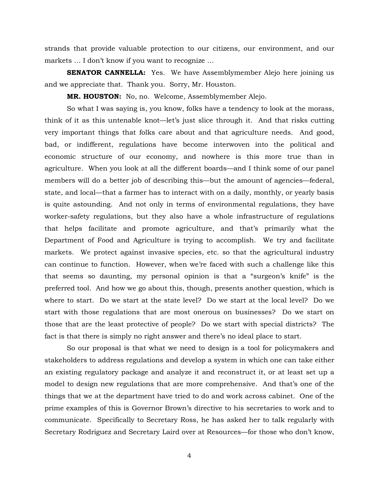strands that provide valuable protection to our citizens, our environment, and our markets … I don't know if you want to recognize …

**SENATOR CANNELLA:** Yes. We have Assemblymember Alejo here joining us and we appreciate that. Thank you. Sorry, Mr. Houston.

**MR. HOUSTON:** No, no. Welcome, Assemblymember Alejo.

So what I was saying is, you know, folks have a tendency to look at the morass, think of it as this untenable knot—let's just slice through it. And that risks cutting very important things that folks care about and that agriculture needs. And good, bad, or indifferent, regulations have become interwoven into the political and economic structure of our economy, and nowhere is this more true than in agriculture. When you look at all the different boards—and I think some of our panel members will do a better job of describing this—but the amount of agencies—federal, state, and local—that a farmer has to interact with on a daily, monthly, or yearly basis is quite astounding. And not only in terms of environmental regulations, they have worker-safety regulations, but they also have a whole infrastructure of regulations that helps facilitate and promote agriculture, and that's primarily what the Department of Food and Agriculture is trying to accomplish. We try and facilitate markets. We protect against invasive species, etc. so that the agricultural industry can continue to function. However, when we're faced with such a challenge like this that seems so daunting, my personal opinion is that a "surgeon's knife" is the preferred tool. And how we go about this, though, presents another question, which is where to start. Do we start at the state level? Do we start at the local level? Do we start with those regulations that are most onerous on businesses? Do we start on those that are the least protective of people? Do we start with special districts? The fact is that there is simply no right answer and there's no ideal place to start.

So our proposal is that what we need to design is a tool for policymakers and stakeholders to address regulations and develop a system in which one can take either an existing regulatory package and analyze it and reconstruct it, or at least set up a model to design new regulations that are more comprehensive. And that's one of the things that we at the department have tried to do and work across cabinet. One of the prime examples of this is Governor Brown's directive to his secretaries to work and to communicate. Specifically to Secretary Ross, he has asked her to talk regularly with Secretary Rodriguez and Secretary Laird over at Resources—for those who don't know,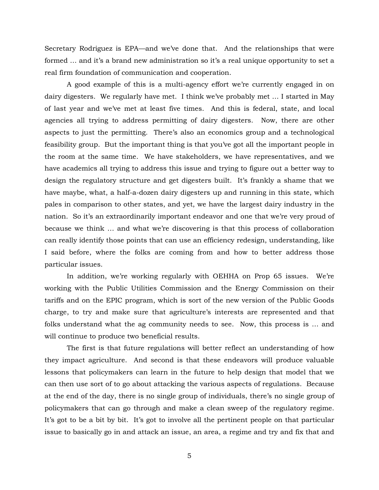Secretary Rodriguez is EPA—and we've done that. And the relationships that were formed … and it's a brand new administration so it's a real unique opportunity to set a real firm foundation of communication and cooperation.

A good example of this is a multi-agency effort we're currently engaged in on dairy digesters. We regularly have met. I think we've probably met … I started in May of last year and we've met at least five times. And this is federal, state, and local agencies all trying to address permitting of dairy digesters. Now, there are other aspects to just the permitting. There's also an economics group and a technological feasibility group. But the important thing is that you've got all the important people in the room at the same time. We have stakeholders, we have representatives, and we have academics all trying to address this issue and trying to figure out a better way to design the regulatory structure and get digesters built. It's frankly a shame that we have maybe, what, a half-a-dozen dairy digesters up and running in this state, which pales in comparison to other states, and yet, we have the largest dairy industry in the nation. So it's an extraordinarily important endeavor and one that we're very proud of because we think … and what we're discovering is that this process of collaboration can really identify those points that can use an efficiency redesign, understanding, like I said before, where the folks are coming from and how to better address those particular issues.

In addition, we're working regularly with OEHHA on Prop 65 issues. We're working with the Public Utilities Commission and the Energy Commission on their tariffs and on the EPIC program, which is sort of the new version of the Public Goods charge, to try and make sure that agriculture's interests are represented and that folks understand what the ag community needs to see. Now, this process is … and will continue to produce two beneficial results.

The first is that future regulations will better reflect an understanding of how they impact agriculture. And second is that these endeavors will produce valuable lessons that policymakers can learn in the future to help design that model that we can then use sort of to go about attacking the various aspects of regulations. Because at the end of the day, there is no single group of individuals, there's no single group of policymakers that can go through and make a clean sweep of the regulatory regime. It's got to be a bit by bit. It's got to involve all the pertinent people on that particular issue to basically go in and attack an issue, an area, a regime and try and fix that and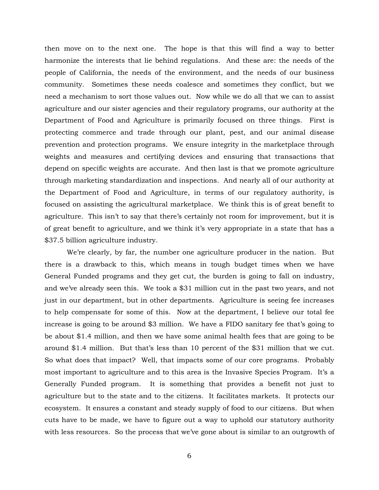then move on to the next one. The hope is that this will find a way to better harmonize the interests that lie behind regulations. And these are: the needs of the people of California, the needs of the environment, and the needs of our business community. Sometimes these needs coalesce and sometimes they conflict, but we need a mechanism to sort those values out. Now while we do all that we can to assist agriculture and our sister agencies and their regulatory programs, our authority at the Department of Food and Agriculture is primarily focused on three things. First is protecting commerce and trade through our plant, pest, and our animal disease prevention and protection programs. We ensure integrity in the marketplace through weights and measures and certifying devices and ensuring that transactions that depend on specific weights are accurate. And then last is that we promote agriculture through marketing standardization and inspections. And nearly all of our authority at the Department of Food and Agriculture, in terms of our regulatory authority, is focused on assisting the agricultural marketplace. We think this is of great benefit to agriculture. This isn't to say that there's certainly not room for improvement, but it is of great benefit to agriculture, and we think it's very appropriate in a state that has a \$37.5 billion agriculture industry.

We're clearly, by far, the number one agriculture producer in the nation. But there is a drawback to this, which means in tough budget times when we have General Funded programs and they get cut, the burden is going to fall on industry, and we've already seen this. We took a \$31 million cut in the past two years, and not just in our department, but in other departments. Agriculture is seeing fee increases to help compensate for some of this. Now at the department, I believe our total fee increase is going to be around \$3 million. We have a FIDO sanitary fee that's going to be about \$1.4 million, and then we have some animal health fees that are going to be around \$1.4 million. But that's less than 10 percent of the \$31 million that we cut. So what does that impact? Well, that impacts some of our core programs. Probably most important to agriculture and to this area is the Invasive Species Program. It's a Generally Funded program. It is something that provides a benefit not just to agriculture but to the state and to the citizens. It facilitates markets. It protects our ecosystem. It ensures a constant and steady supply of food to our citizens. But when cuts have to be made, we have to figure out a way to uphold our statutory authority with less resources. So the process that we've gone about is similar to an outgrowth of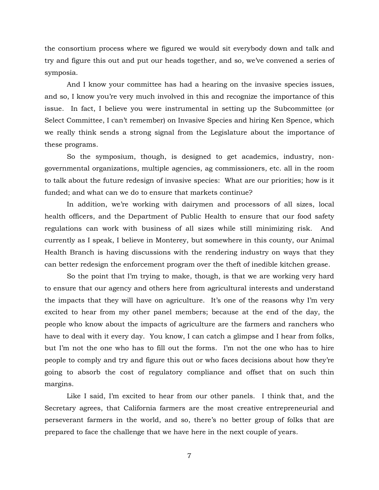the consortium process where we figured we would sit everybody down and talk and try and figure this out and put our heads together, and so, we've convened a series of symposia.

And I know your committee has had a hearing on the invasive species issues, and so, I know you're very much involved in this and recognize the importance of this issue. In fact, I believe you were instrumental in setting up the Subcommittee (or Select Committee, I can't remember) on Invasive Species and hiring Ken Spence, which we really think sends a strong signal from the Legislature about the importance of these programs.

So the symposium, though, is designed to get academics, industry, nongovernmental organizations, multiple agencies, ag commissioners, etc. all in the room to talk about the future redesign of invasive species: What are our priorities; how is it funded; and what can we do to ensure that markets continue?

In addition, we're working with dairymen and processors of all sizes, local health officers, and the Department of Public Health to ensure that our food safety regulations can work with business of all sizes while still minimizing risk. And currently as I speak, I believe in Monterey, but somewhere in this county, our Animal Health Branch is having discussions with the rendering industry on ways that they can better redesign the enforcement program over the theft of inedible kitchen grease.

So the point that I'm trying to make, though, is that we are working very hard to ensure that our agency and others here from agricultural interests and understand the impacts that they will have on agriculture. It's one of the reasons why I'm very excited to hear from my other panel members; because at the end of the day, the people who know about the impacts of agriculture are the farmers and ranchers who have to deal with it every day. You know, I can catch a glimpse and I hear from folks, but I'm not the one who has to fill out the forms. I'm not the one who has to hire people to comply and try and figure this out or who faces decisions about how they're going to absorb the cost of regulatory compliance and offset that on such thin margins.

Like I said, I'm excited to hear from our other panels. I think that, and the Secretary agrees, that California farmers are the most creative entrepreneurial and perseverant farmers in the world, and so, there's no better group of folks that are prepared to face the challenge that we have here in the next couple of years.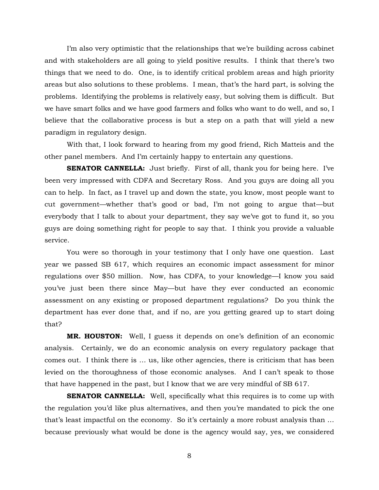I'm also very optimistic that the relationships that we're building across cabinet and with stakeholders are all going to yield positive results. I think that there's two things that we need to do. One, is to identify critical problem areas and high priority areas but also solutions to these problems. I mean, that's the hard part, is solving the problems. Identifying the problems is relatively easy, but solving them is difficult. But we have smart folks and we have good farmers and folks who want to do well, and so, I believe that the collaborative process is but a step on a path that will yield a new paradigm in regulatory design.

With that, I look forward to hearing from my good friend, Rich Matteis and the other panel members. And I'm certainly happy to entertain any questions.

**SENATOR CANNELLA:** Just briefly. First of all, thank you for being here. I've been very impressed with CDFA and Secretary Ross. And you guys are doing all you can to help. In fact, as I travel up and down the state, you know, most people want to cut government—whether that's good or bad, I'm not going to argue that—but everybody that I talk to about your department, they say we've got to fund it, so you guys are doing something right for people to say that. I think you provide a valuable service.

You were so thorough in your testimony that I only have one question. Last year we passed SB 617, which requires an economic impact assessment for minor regulations over \$50 million. Now, has CDFA, to your knowledge—I know you said you've just been there since May—but have they ever conducted an economic assessment on any existing or proposed department regulations? Do you think the department has ever done that, and if no, are you getting geared up to start doing that?

**MR. HOUSTON:** Well, I guess it depends on one's definition of an economic analysis. Certainly, we do an economic analysis on every regulatory package that comes out. I think there is … us, like other agencies, there is criticism that has been levied on the thoroughness of those economic analyses. And I can't speak to those that have happened in the past, but I know that we are very mindful of SB 617.

**SENATOR CANNELLA:** Well, specifically what this requires is to come up with the regulation you'd like plus alternatives, and then you're mandated to pick the one that's least impactful on the economy. So it's certainly a more robust analysis than … because previously what would be done is the agency would say, yes, we considered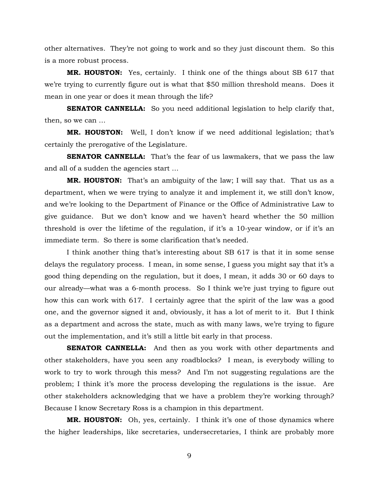other alternatives. They're not going to work and so they just discount them. So this is a more robust process.

**MR. HOUSTON:** Yes, certainly. I think one of the things about SB 617 that we're trying to currently figure out is what that \$50 million threshold means. Does it mean in one year or does it mean through the life?

**SENATOR CANNELLA:** So you need additional legislation to help clarify that, then, so we can …

**MR. HOUSTON:** Well, I don't know if we need additional legislation; that's certainly the prerogative of the Legislature.

**SENATOR CANNELLA:** That's the fear of us lawmakers, that we pass the law and all of a sudden the agencies start …

**MR. HOUSTON:** That's an ambiguity of the law; I will say that. That us as a department, when we were trying to analyze it and implement it, we still don't know, and we're looking to the Department of Finance or the Office of Administrative Law to give guidance. But we don't know and we haven't heard whether the 50 million threshold is over the lifetime of the regulation, if it's a 10-year window, or if it's an immediate term. So there is some clarification that's needed.

I think another thing that's interesting about SB 617 is that it in some sense delays the regulatory process. I mean, in some sense, I guess you might say that it's a good thing depending on the regulation, but it does, I mean, it adds 30 or 60 days to our already—what was a 6-month process. So I think we're just trying to figure out how this can work with 617. I certainly agree that the spirit of the law was a good one, and the governor signed it and, obviously, it has a lot of merit to it. But I think as a department and across the state, much as with many laws, we're trying to figure out the implementation, and it's still a little bit early in that process.

**SENATOR CANNELLA:** And then as you work with other departments and other stakeholders, have you seen any roadblocks? I mean, is everybody willing to work to try to work through this mess? And I'm not suggesting regulations are the problem; I think it's more the process developing the regulations is the issue. Are other stakeholders acknowledging that we have a problem they're working through? Because I know Secretary Ross is a champion in this department.

**MR. HOUSTON:** Oh, yes, certainly. I think it's one of those dynamics where the higher leaderships, like secretaries, undersecretaries, I think are probably more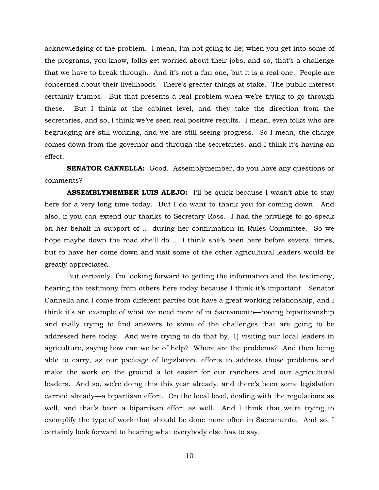acknowledging of the problem. I mean, I'm not going to lie; when you get into some of the programs, you know, folks get worried about their jobs, and so, that's a challenge that we have to break through. And it's not a fun one, but it is a real one. People are concerned about their livelihoods. There's greater things at stake. The public interest certainly trumps. But that presents a real problem when we're trying to go through these. But I think at the cabinet level, and they take the direction from the secretaries, and so, I think we've seen real positive results. I mean, even folks who are begrudging are still working, and we are still seeing progress. So I mean, the charge comes down from the governor and through the secretaries, and I think it's having an effect.

**SENATOR CANNELLA:** Good. Assemblymember, do you have any questions or comments?

**ASSEMBLYMEMBER LUIS ALEJO:** I'll be quick because I wasn't able to stay here for a very long time today. But I do want to thank you for coming down. And also, if you can extend our thanks to Secretary Ross. I had the privilege to go speak on her behalf in support of … during her confirmation in Rules Committee. So we hope maybe down the road she'll do ... I think she's been here before several times, but to have her come down and visit some of the other agricultural leaders would be greatly appreciated.

But certainly, I'm looking forward to getting the information and the testimony, hearing the testimony from others here today because I think it's important. Senator Cannella and I come from different parties but have a great working relationship, and I think it's an example of what we need more of in Sacramento—having bipartisanship and really trying to find answers to some of the challenges that are going to be addressed here today. And we're trying to do that by, 1) visiting our local leaders in agriculture, saying how can we be of help? Where are the problems? And then being able to carry, as our package of legislation, efforts to address those problems and make the work on the ground a lot easier for our ranchers and our agricultural leaders. And so, we're doing this this year already, and there's been some legislation carried already—a bipartisan effort. On the local level, dealing with the regulations as well, and that's been a bipartisan effort as well. And I think that we're trying to exemplify the type of work that should be done more often in Sacramento. And so, I certainly look forward to hearing what everybody else has to say.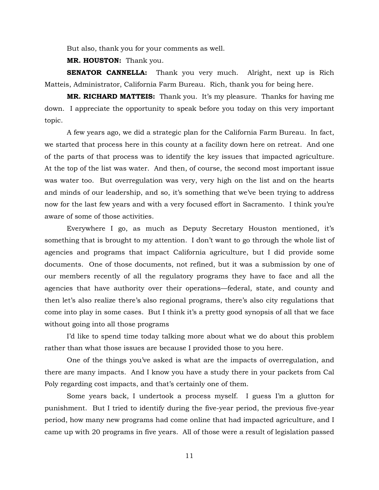But also, thank you for your comments as well.

**MR. HOUSTON:** Thank you.

**SENATOR CANNELLA:** Thank you very much. Alright, next up is Rich Matteis, Administrator, California Farm Bureau. Rich, thank you for being here.

**MR. RICHARD MATTEIS:** Thank you. It's my pleasure. Thanks for having me down. I appreciate the opportunity to speak before you today on this very important topic.

A few years ago, we did a strategic plan for the California Farm Bureau. In fact, we started that process here in this county at a facility down here on retreat. And one of the parts of that process was to identify the key issues that impacted agriculture. At the top of the list was water. And then, of course, the second most important issue was water too. But overregulation was very, very high on the list and on the hearts and minds of our leadership, and so, it's something that we've been trying to address now for the last few years and with a very focused effort in Sacramento. I think you're aware of some of those activities.

Everywhere I go, as much as Deputy Secretary Houston mentioned, it's something that is brought to my attention. I don't want to go through the whole list of agencies and programs that impact California agriculture, but I did provide some documents. One of those documents, not refined, but it was a submission by one of our members recently of all the regulatory programs they have to face and all the agencies that have authority over their operations—federal, state, and county and then let's also realize there's also regional programs, there's also city regulations that come into play in some cases. But I think it's a pretty good synopsis of all that we face without going into all those programs

I'd like to spend time today talking more about what we do about this problem rather than what those issues are because I provided those to you here.

One of the things you've asked is what are the impacts of overregulation, and there are many impacts. And I know you have a study there in your packets from Cal Poly regarding cost impacts, and that's certainly one of them.

Some years back, I undertook a process myself. I guess I'm a glutton for punishment. But I tried to identify during the five-year period, the previous five-year period, how many new programs had come online that had impacted agriculture, and I came up with 20 programs in five years. All of those were a result of legislation passed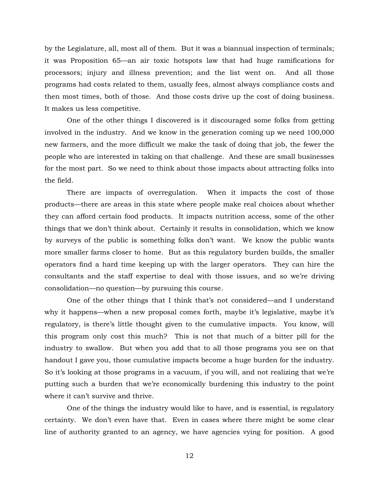by the Legislature, all, most all of them. But it was a biannual inspection of terminals; it was Proposition 65—an air toxic hotspots law that had huge ramifications for processors; injury and illness prevention; and the list went on. And all those programs had costs related to them, usually fees, almost always compliance costs and then most times, both of those. And those costs drive up the cost of doing business. It makes us less competitive.

One of the other things I discovered is it discouraged some folks from getting involved in the industry. And we know in the generation coming up we need 100,000 new farmers, and the more difficult we make the task of doing that job, the fewer the people who are interested in taking on that challenge. And these are small businesses for the most part. So we need to think about those impacts about attracting folks into the field.

There are impacts of overregulation. When it impacts the cost of those products—there are areas in this state where people make real choices about whether they can afford certain food products. It impacts nutrition access, some of the other things that we don't think about. Certainly it results in consolidation, which we know by surveys of the public is something folks don't want. We know the public wants more smaller farms closer to home. But as this regulatory burden builds, the smaller operators find a hard time keeping up with the larger operators. They can hire the consultants and the staff expertise to deal with those issues, and so we're driving consolidation—no question—by pursuing this course.

One of the other things that I think that's not considered—and I understand why it happens—when a new proposal comes forth, maybe it's legislative, maybe it's regulatory, is there's little thought given to the cumulative impacts. You know, will this program only cost this much? This is not that much of a bitter pill for the industry to swallow. But when you add that to all those programs you see on that handout I gave you, those cumulative impacts become a huge burden for the industry. So it's looking at those programs in a vacuum, if you will, and not realizing that we're putting such a burden that we're economically burdening this industry to the point where it can't survive and thrive.

One of the things the industry would like to have, and is essential, is regulatory certainty. We don't even have that. Even in cases where there might be some clear line of authority granted to an agency, we have agencies vying for position. A good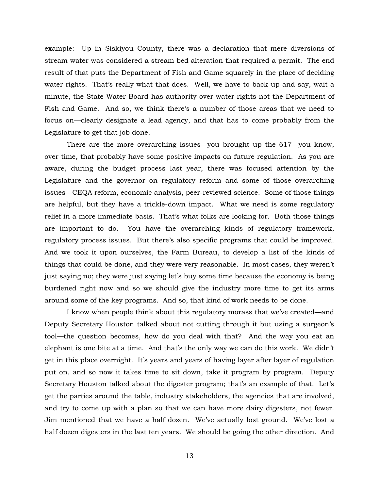example: Up in Siskiyou County, there was a declaration that mere diversions of stream water was considered a stream bed alteration that required a permit. The end result of that puts the Department of Fish and Game squarely in the place of deciding water rights. That's really what that does. Well, we have to back up and say, wait a minute, the State Water Board has authority over water rights not the Department of Fish and Game. And so, we think there's a number of those areas that we need to focus on—clearly designate a lead agency, and that has to come probably from the Legislature to get that job done.

There are the more overarching issues—you brought up the 617—you know, over time, that probably have some positive impacts on future regulation. As you are aware, during the budget process last year, there was focused attention by the Legislature and the governor on regulatory reform and some of those overarching issues—CEQA reform, economic analysis, peer-reviewed science. Some of those things are helpful, but they have a trickle-down impact. What we need is some regulatory relief in a more immediate basis. That's what folks are looking for. Both those things are important to do. You have the overarching kinds of regulatory framework, regulatory process issues. But there's also specific programs that could be improved. And we took it upon ourselves, the Farm Bureau, to develop a list of the kinds of things that could be done, and they were very reasonable. In most cases, they weren't just saying no; they were just saying let's buy some time because the economy is being burdened right now and so we should give the industry more time to get its arms around some of the key programs. And so, that kind of work needs to be done.

I know when people think about this regulatory morass that we've created—and Deputy Secretary Houston talked about not cutting through it but using a surgeon's tool—the question becomes, how do you deal with that? And the way you eat an elephant is one bite at a time. And that's the only way we can do this work. We didn't get in this place overnight. It's years and years of having layer after layer of regulation put on, and so now it takes time to sit down, take it program by program. Deputy Secretary Houston talked about the digester program; that's an example of that. Let's get the parties around the table, industry stakeholders, the agencies that are involved, and try to come up with a plan so that we can have more dairy digesters, not fewer. Jim mentioned that we have a half dozen. We've actually lost ground. We've lost a half dozen digesters in the last ten years. We should be going the other direction. And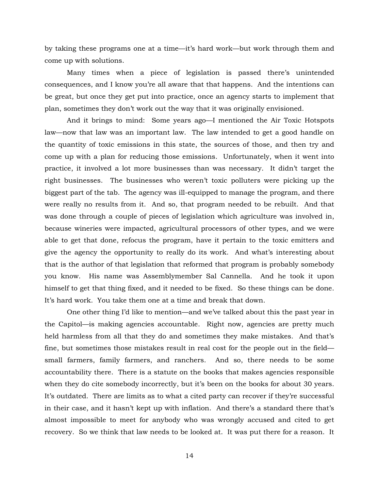by taking these programs one at a time—it's hard work—but work through them and come up with solutions.

Many times when a piece of legislation is passed there's unintended consequences, and I know you're all aware that that happens. And the intentions can be great, but once they get put into practice, once an agency starts to implement that plan, sometimes they don't work out the way that it was originally envisioned.

And it brings to mind: Some years ago—I mentioned the Air Toxic Hotspots law—now that law was an important law. The law intended to get a good handle on the quantity of toxic emissions in this state, the sources of those, and then try and come up with a plan for reducing those emissions. Unfortunately, when it went into practice, it involved a lot more businesses than was necessary. It didn't target the right businesses. The businesses who weren't toxic polluters were picking up the biggest part of the tab. The agency was ill-equipped to manage the program, and there were really no results from it. And so, that program needed to be rebuilt. And that was done through a couple of pieces of legislation which agriculture was involved in, because wineries were impacted, agricultural processors of other types, and we were able to get that done, refocus the program, have it pertain to the toxic emitters and give the agency the opportunity to really do its work. And what's interesting about that is the author of that legislation that reformed that program is probably somebody you know. His name was Assemblymember Sal Cannella. And he took it upon himself to get that thing fixed, and it needed to be fixed. So these things can be done. It's hard work. You take them one at a time and break that down.

One other thing I'd like to mention—and we've talked about this the past year in the Capitol—is making agencies accountable. Right now, agencies are pretty much held harmless from all that they do and sometimes they make mistakes. And that's fine, but sometimes those mistakes result in real cost for the people out in the field small farmers, family farmers, and ranchers. And so, there needs to be some accountability there. There is a statute on the books that makes agencies responsible when they do cite somebody incorrectly, but it's been on the books for about 30 years. It's outdated. There are limits as to what a cited party can recover if they're successful in their case, and it hasn't kept up with inflation. And there's a standard there that's almost impossible to meet for anybody who was wrongly accused and cited to get recovery. So we think that law needs to be looked at. It was put there for a reason. It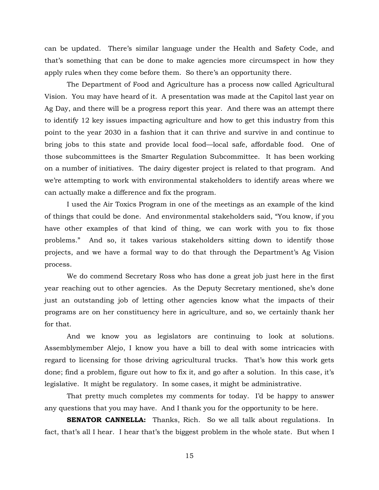can be updated. There's similar language under the Health and Safety Code, and that's something that can be done to make agencies more circumspect in how they apply rules when they come before them. So there's an opportunity there.

The Department of Food and Agriculture has a process now called Agricultural Vision. You may have heard of it. A presentation was made at the Capitol last year on Ag Day, and there will be a progress report this year. And there was an attempt there to identify 12 key issues impacting agriculture and how to get this industry from this point to the year 2030 in a fashion that it can thrive and survive in and continue to bring jobs to this state and provide local food—local safe, affordable food. One of those subcommittees is the Smarter Regulation Subcommittee. It has been working on a number of initiatives. The dairy digester project is related to that program. And we're attempting to work with environmental stakeholders to identify areas where we can actually make a difference and fix the program.

I used the Air Toxics Program in one of the meetings as an example of the kind of things that could be done. And environmental stakeholders said, "You know, if you have other examples of that kind of thing, we can work with you to fix those problems." And so, it takes various stakeholders sitting down to identify those projects, and we have a formal way to do that through the Department's Ag Vision process.

We do commend Secretary Ross who has done a great job just here in the first year reaching out to other agencies. As the Deputy Secretary mentioned, she's done just an outstanding job of letting other agencies know what the impacts of their programs are on her constituency here in agriculture, and so, we certainly thank her for that.

And we know you as legislators are continuing to look at solutions. Assemblymember Alejo, I know you have a bill to deal with some intricacies with regard to licensing for those driving agricultural trucks. That's how this work gets done; find a problem, figure out how to fix it, and go after a solution. In this case, it's legislative. It might be regulatory. In some cases, it might be administrative.

That pretty much completes my comments for today. I'd be happy to answer any questions that you may have. And I thank you for the opportunity to be here.

**SENATOR CANNELLA:** Thanks, Rich. So we all talk about regulations. In fact, that's all I hear. I hear that's the biggest problem in the whole state. But when I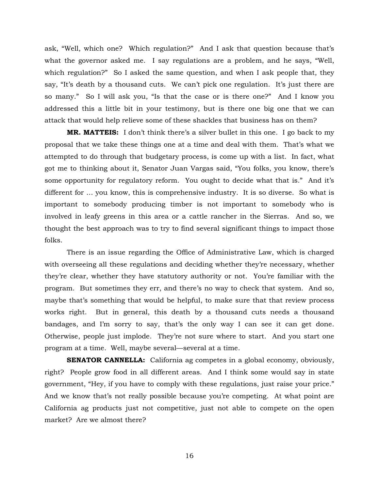ask, "Well, which one? Which regulation?" And I ask that question because that's what the governor asked me. I say regulations are a problem, and he says, "Well, which regulation?" So I asked the same question, and when I ask people that, they say, "It's death by a thousand cuts. We can't pick one regulation. It's just there are so many." So I will ask you, "Is that the case or is there one?" And I know you addressed this a little bit in your testimony, but is there one big one that we can attack that would help relieve some of these shackles that business has on them?

**MR. MATTEIS:** I don't think there's a silver bullet in this one. I go back to my proposal that we take these things one at a time and deal with them. That's what we attempted to do through that budgetary process, is come up with a list. In fact, what got me to thinking about it, Senator Juan Vargas said, "You folks, you know, there's some opportunity for regulatory reform. You ought to decide what that is." And it's different for … you know, this is comprehensive industry. It is so diverse. So what is important to somebody producing timber is not important to somebody who is involved in leafy greens in this area or a cattle rancher in the Sierras. And so, we thought the best approach was to try to find several significant things to impact those folks.

There is an issue regarding the Office of Administrative Law, which is charged with overseeing all these regulations and deciding whether they're necessary, whether they're clear, whether they have statutory authority or not. You're familiar with the program. But sometimes they err, and there's no way to check that system. And so, maybe that's something that would be helpful, to make sure that that review process works right. But in general, this death by a thousand cuts needs a thousand bandages, and I'm sorry to say, that's the only way I can see it can get done. Otherwise, people just implode. They're not sure where to start. And you start one program at a time. Well, maybe several—several at a time.

**SENATOR CANNELLA:** California ag competes in a global economy, obviously, right? People grow food in all different areas. And I think some would say in state government, "Hey, if you have to comply with these regulations, just raise your price." And we know that's not really possible because you're competing. At what point are California ag products just not competitive, just not able to compete on the open market? Are we almost there?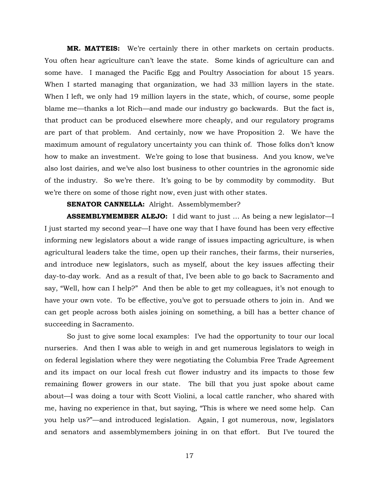**MR. MATTEIS:** We're certainly there in other markets on certain products. You often hear agriculture can't leave the state. Some kinds of agriculture can and some have. I managed the Pacific Egg and Poultry Association for about 15 years. When I started managing that organization, we had 33 million layers in the state. When I left, we only had 19 million layers in the state, which, of course, some people blame me—thanks a lot Rich—and made our industry go backwards. But the fact is, that product can be produced elsewhere more cheaply, and our regulatory programs are part of that problem. And certainly, now we have Proposition 2. We have the maximum amount of regulatory uncertainty you can think of. Those folks don't know how to make an investment. We're going to lose that business. And you know, we've also lost dairies, and we've also lost business to other countries in the agronomic side of the industry. So we're there. It's going to be by commodity by commodity. But we're there on some of those right now, even just with other states.

#### **SENATOR CANNELLA:** Alright. Assemblymember?

**ASSEMBLYMEMBER ALEJO:** I did want to just … As being a new legislator—I I just started my second year—I have one way that I have found has been very effective informing new legislators about a wide range of issues impacting agriculture, is when agricultural leaders take the time, open up their ranches, their farms, their nurseries, and introduce new legislators, such as myself, about the key issues affecting their day-to-day work. And as a result of that, I've been able to go back to Sacramento and say, "Well, how can I help?" And then be able to get my colleagues, it's not enough to have your own vote. To be effective, you've got to persuade others to join in. And we can get people across both aisles joining on something, a bill has a better chance of succeeding in Sacramento.

So just to give some local examples: I've had the opportunity to tour our local nurseries. And then I was able to weigh in and get numerous legislators to weigh in on federal legislation where they were negotiating the Columbia Free Trade Agreement and its impact on our local fresh cut flower industry and its impacts to those few remaining flower growers in our state. The bill that you just spoke about came about—I was doing a tour with Scott Violini, a local cattle rancher, who shared with me, having no experience in that, but saying, "This is where we need some help. Can you help us?"—and introduced legislation. Again, I got numerous, now, legislators and senators and assemblymembers joining in on that effort. But I've toured the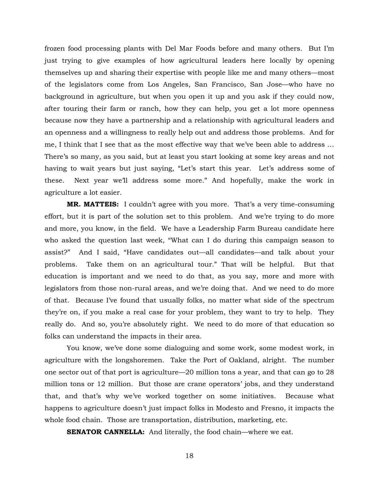frozen food processing plants with Del Mar Foods before and many others. But I'm just trying to give examples of how agricultural leaders here locally by opening themselves up and sharing their expertise with people like me and many others—most of the legislators come from Los Angeles, San Francisco, San Jose—who have no background in agriculture, but when you open it up and you ask if they could now, after touring their farm or ranch, how they can help, you get a lot more openness because now they have a partnership and a relationship with agricultural leaders and an openness and a willingness to really help out and address those problems. And for me, I think that I see that as the most effective way that we've been able to address … There's so many, as you said, but at least you start looking at some key areas and not having to wait years but just saying, "Let's start this year. Let's address some of these. Next year we'll address some more." And hopefully, make the work in agriculture a lot easier.

**MR. MATTEIS:** I couldn't agree with you more. That's a very time-consuming effort, but it is part of the solution set to this problem. And we're trying to do more and more, you know, in the field. We have a Leadership Farm Bureau candidate here who asked the question last week, "What can I do during this campaign season to assist?" And I said, "Have candidates out—all candidates—and talk about your problems. Take them on an agricultural tour." That will be helpful. But that education is important and we need to do that, as you say, more and more with legislators from those non-rural areas, and we're doing that. And we need to do more of that. Because I've found that usually folks, no matter what side of the spectrum they're on, if you make a real case for your problem, they want to try to help. They really do. And so, you're absolutely right. We need to do more of that education so folks can understand the impacts in their area.

You know, we've done some dialoguing and some work, some modest work, in agriculture with the longshoremen. Take the Port of Oakland, alright. The number one sector out of that port is agriculture—20 million tons a year, and that can go to 28 million tons or 12 million. But those are crane operators' jobs, and they understand that, and that's why we've worked together on some initiatives. Because what happens to agriculture doesn't just impact folks in Modesto and Fresno, it impacts the whole food chain. Those are transportation, distribution, marketing, etc.

**SENATOR CANNELLA:** And literally, the food chain—where we eat.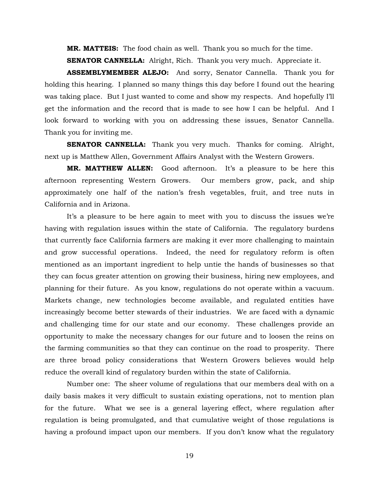**MR. MATTEIS:** The food chain as well. Thank you so much for the time.

**SENATOR CANNELLA:** Alright, Rich. Thank you very much. Appreciate it.

**ASSEMBLYMEMBER ALEJO:** And sorry, Senator Cannella. Thank you for holding this hearing. I planned so many things this day before I found out the hearing was taking place. But I just wanted to come and show my respects. And hopefully I'll get the information and the record that is made to see how I can be helpful. And I look forward to working with you on addressing these issues, Senator Cannella. Thank you for inviting me.

**SENATOR CANNELLA:** Thank you very much. Thanks for coming. Alright, next up is Matthew Allen, Government Affairs Analyst with the Western Growers.

**MR. MATTHEW ALLEN:** Good afternoon. It's a pleasure to be here this afternoon representing Western Growers. Our members grow, pack, and ship approximately one half of the nation's fresh vegetables, fruit, and tree nuts in California and in Arizona.

It's a pleasure to be here again to meet with you to discuss the issues we're having with regulation issues within the state of California. The regulatory burdens that currently face California farmers are making it ever more challenging to maintain and grow successful operations. Indeed, the need for regulatory reform is often mentioned as an important ingredient to help untie the hands of businesses so that they can focus greater attention on growing their business, hiring new employees, and planning for their future. As you know, regulations do not operate within a vacuum. Markets change, new technologies become available, and regulated entities have increasingly become better stewards of their industries. We are faced with a dynamic and challenging time for our state and our economy. These challenges provide an opportunity to make the necessary changes for our future and to loosen the reins on the farming communities so that they can continue on the road to prosperity. There are three broad policy considerations that Western Growers believes would help reduce the overall kind of regulatory burden within the state of California.

Number one: The sheer volume of regulations that our members deal with on a daily basis makes it very difficult to sustain existing operations, not to mention plan for the future. What we see is a general layering effect, where regulation after regulation is being promulgated, and that cumulative weight of those regulations is having a profound impact upon our members. If you don't know what the regulatory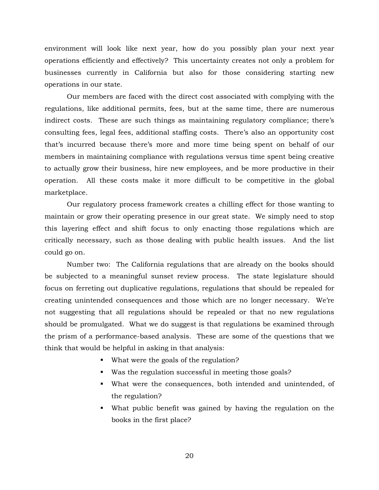environment will look like next year, how do you possibly plan your next year operations efficiently and effectively? This uncertainty creates not only a problem for businesses currently in California but also for those considering starting new operations in our state.

Our members are faced with the direct cost associated with complying with the regulations, like additional permits, fees, but at the same time, there are numerous indirect costs. These are such things as maintaining regulatory compliance; there's consulting fees, legal fees, additional staffing costs. There's also an opportunity cost that's incurred because there's more and more time being spent on behalf of our members in maintaining compliance with regulations versus time spent being creative to actually grow their business, hire new employees, and be more productive in their operation. All these costs make it more difficult to be competitive in the global marketplace.

Our regulatory process framework creates a chilling effect for those wanting to maintain or grow their operating presence in our great state. We simply need to stop this layering effect and shift focus to only enacting those regulations which are critically necessary, such as those dealing with public health issues. And the list could go on.

Number two: The California regulations that are already on the books should be subjected to a meaningful sunset review process. The state legislature should focus on ferreting out duplicative regulations, regulations that should be repealed for creating unintended consequences and those which are no longer necessary. We're not suggesting that all regulations should be repealed or that no new regulations should be promulgated. What we do suggest is that regulations be examined through the prism of a performance-based analysis. These are some of the questions that we think that would be helpful in asking in that analysis:

- What were the goals of the regulation?
- Was the regulation successful in meeting those goals?
- What were the consequences, both intended and unintended, of the regulation?
- What public benefit was gained by having the regulation on the books in the first place?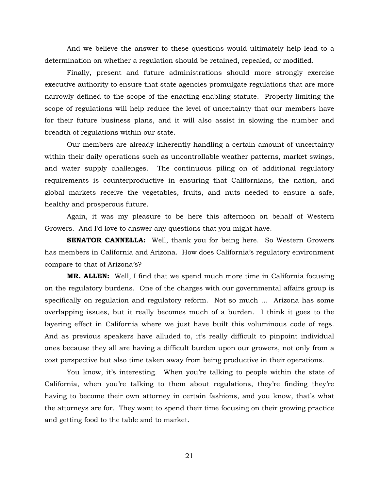And we believe the answer to these questions would ultimately help lead to a determination on whether a regulation should be retained, repealed, or modified.

Finally, present and future administrations should more strongly exercise executive authority to ensure that state agencies promulgate regulations that are more narrowly defined to the scope of the enacting enabling statute. Properly limiting the scope of regulations will help reduce the level of uncertainty that our members have for their future business plans, and it will also assist in slowing the number and breadth of regulations within our state.

Our members are already inherently handling a certain amount of uncertainty within their daily operations such as uncontrollable weather patterns, market swings, and water supply challenges. The continuous piling on of additional regulatory requirements is counterproductive in ensuring that Californians, the nation, and global markets receive the vegetables, fruits, and nuts needed to ensure a safe, healthy and prosperous future.

Again, it was my pleasure to be here this afternoon on behalf of Western Growers. And I'd love to answer any questions that you might have.

**SENATOR CANNELLA:** Well, thank you for being here. So Western Growers has members in California and Arizona. How does California's regulatory environment compare to that of Arizona's?

**MR. ALLEN:** Well, I find that we spend much more time in California focusing on the regulatory burdens. One of the charges with our governmental affairs group is specifically on regulation and regulatory reform. Not so much … Arizona has some overlapping issues, but it really becomes much of a burden. I think it goes to the layering effect in California where we just have built this voluminous code of regs. And as previous speakers have alluded to, it's really difficult to pinpoint individual ones because they all are having a difficult burden upon our growers, not only from a cost perspective but also time taken away from being productive in their operations.

You know, it's interesting. When you're talking to people within the state of California, when you're talking to them about regulations, they're finding they're having to become their own attorney in certain fashions, and you know, that's what the attorneys are for. They want to spend their time focusing on their growing practice and getting food to the table and to market.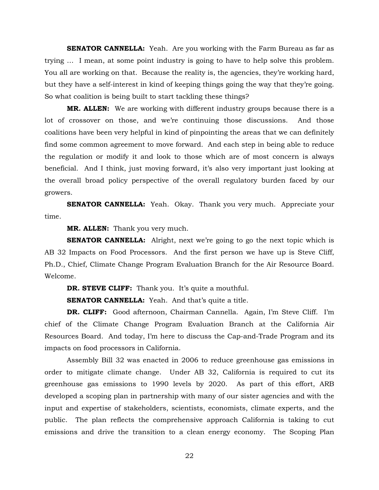**SENATOR CANNELLA:** Yeah. Are you working with the Farm Bureau as far as trying … I mean, at some point industry is going to have to help solve this problem. You all are working on that. Because the reality is, the agencies, they're working hard, but they have a self-interest in kind of keeping things going the way that they're going. So what coalition is being built to start tackling these things?

**MR. ALLEN:** We are working with different industry groups because there is a lot of crossover on those, and we're continuing those discussions. And those coalitions have been very helpful in kind of pinpointing the areas that we can definitely find some common agreement to move forward. And each step in being able to reduce the regulation or modify it and look to those which are of most concern is always beneficial. And I think, just moving forward, it's also very important just looking at the overall broad policy perspective of the overall regulatory burden faced by our growers.

**SENATOR CANNELLA:** Yeah. Okay. Thank you very much. Appreciate your time.

**MR. ALLEN:** Thank you very much.

**SENATOR CANNELLA:** Alright, next we're going to go the next topic which is AB 32 Impacts on Food Processors. And the first person we have up is Steve Cliff, Ph.D., Chief, Climate Change Program Evaluation Branch for the Air Resource Board. Welcome.

**DR. STEVE CLIFF:** Thank you. It's quite a mouthful.

**SENATOR CANNELLA:** Yeah. And that's quite a title.

**DR. CLIFF:** Good afternoon, Chairman Cannella. Again, I'm Steve Cliff. I'm chief of the Climate Change Program Evaluation Branch at the California Air Resources Board. And today, I'm here to discuss the Cap-and-Trade Program and its impacts on food processors in California.

Assembly Bill 32 was enacted in 2006 to reduce greenhouse gas emissions in order to mitigate climate change. Under AB 32, California is required to cut its greenhouse gas emissions to 1990 levels by 2020. As part of this effort, ARB developed a scoping plan in partnership with many of our sister agencies and with the input and expertise of stakeholders, scientists, economists, climate experts, and the public. The plan reflects the comprehensive approach California is taking to cut emissions and drive the transition to a clean energy economy. The Scoping Plan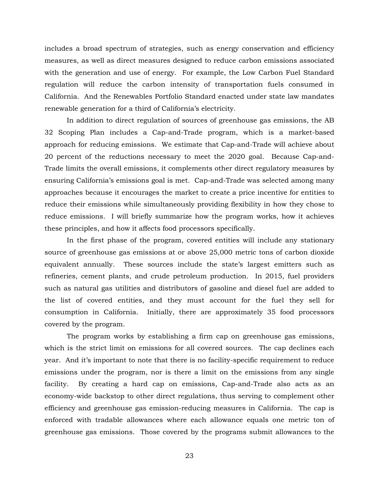includes a broad spectrum of strategies, such as energy conservation and efficiency measures, as well as direct measures designed to reduce carbon emissions associated with the generation and use of energy. For example, the Low Carbon Fuel Standard regulation will reduce the carbon intensity of transportation fuels consumed in California. And the Renewables Portfolio Standard enacted under state law mandates renewable generation for a third of California's electricity.

In addition to direct regulation of sources of greenhouse gas emissions, the AB 32 Scoping Plan includes a Cap-and-Trade program, which is a market-based approach for reducing emissions. We estimate that Cap-and-Trade will achieve about 20 percent of the reductions necessary to meet the 2020 goal. Because Cap-and-Trade limits the overall emissions, it complements other direct regulatory measures by ensuring California's emissions goal is met. Cap-and-Trade was selected among many approaches because it encourages the market to create a price incentive for entities to reduce their emissions while simultaneously providing flexibility in how they chose to reduce emissions. I will briefly summarize how the program works, how it achieves these principles, and how it affects food processors specifically.

In the first phase of the program, covered entities will include any stationary source of greenhouse gas emissions at or above 25,000 metric tons of carbon dioxide equivalent annually. These sources include the state's largest emitters such as refineries, cement plants, and crude petroleum production. In 2015, fuel providers such as natural gas utilities and distributors of gasoline and diesel fuel are added to the list of covered entities, and they must account for the fuel they sell for consumption in California. Initially, there are approximately 35 food processors covered by the program.

The program works by establishing a firm cap on greenhouse gas emissions, which is the strict limit on emissions for all covered sources. The cap declines each year. And it's important to note that there is no facility-specific requirement to reduce emissions under the program, nor is there a limit on the emissions from any single facility. By creating a hard cap on emissions, Cap-and-Trade also acts as an economy-wide backstop to other direct regulations, thus serving to complement other efficiency and greenhouse gas emission-reducing measures in California. The cap is enforced with tradable allowances where each allowance equals one metric ton of greenhouse gas emissions. Those covered by the programs submit allowances to the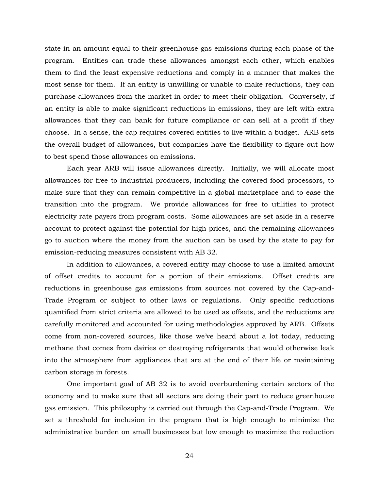state in an amount equal to their greenhouse gas emissions during each phase of the program. Entities can trade these allowances amongst each other, which enables them to find the least expensive reductions and comply in a manner that makes the most sense for them. If an entity is unwilling or unable to make reductions, they can purchase allowances from the market in order to meet their obligation. Conversely, if an entity is able to make significant reductions in emissions, they are left with extra allowances that they can bank for future compliance or can sell at a profit if they choose. In a sense, the cap requires covered entities to live within a budget. ARB sets the overall budget of allowances, but companies have the flexibility to figure out how to best spend those allowances on emissions.

Each year ARB will issue allowances directly. Initially, we will allocate most allowances for free to industrial producers, including the covered food processors, to make sure that they can remain competitive in a global marketplace and to ease the transition into the program. We provide allowances for free to utilities to protect electricity rate payers from program costs. Some allowances are set aside in a reserve account to protect against the potential for high prices, and the remaining allowances go to auction where the money from the auction can be used by the state to pay for emission-reducing measures consistent with AB 32.

In addition to allowances, a covered entity may choose to use a limited amount of offset credits to account for a portion of their emissions. Offset credits are reductions in greenhouse gas emissions from sources not covered by the Cap-and-Trade Program or subject to other laws or regulations. Only specific reductions quantified from strict criteria are allowed to be used as offsets, and the reductions are carefully monitored and accounted for using methodologies approved by ARB. Offsets come from non-covered sources, like those we've heard about a lot today, reducing methane that comes from dairies or destroying refrigerants that would otherwise leak into the atmosphere from appliances that are at the end of their life or maintaining carbon storage in forests.

One important goal of AB 32 is to avoid overburdening certain sectors of the economy and to make sure that all sectors are doing their part to reduce greenhouse gas emission. This philosophy is carried out through the Cap-and-Trade Program. We set a threshold for inclusion in the program that is high enough to minimize the administrative burden on small businesses but low enough to maximize the reduction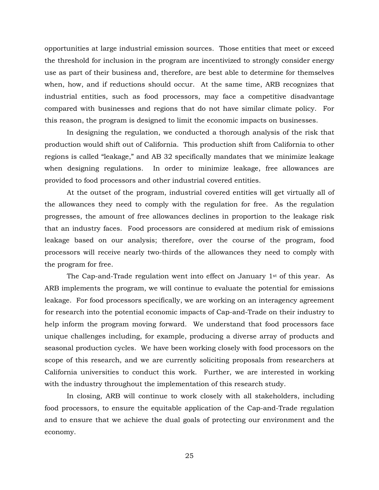opportunities at large industrial emission sources. Those entities that meet or exceed the threshold for inclusion in the program are incentivized to strongly consider energy use as part of their business and, therefore, are best able to determine for themselves when, how, and if reductions should occur. At the same time, ARB recognizes that industrial entities, such as food processors, may face a competitive disadvantage compared with businesses and regions that do not have similar climate policy. For this reason, the program is designed to limit the economic impacts on businesses.

In designing the regulation, we conducted a thorough analysis of the risk that production would shift out of California. This production shift from California to other regions is called "leakage," and AB 32 specifically mandates that we minimize leakage when designing regulations. In order to minimize leakage, free allowances are provided to food processors and other industrial covered entities.

At the outset of the program, industrial covered entities will get virtually all of the allowances they need to comply with the regulation for free. As the regulation progresses, the amount of free allowances declines in proportion to the leakage risk that an industry faces. Food processors are considered at medium risk of emissions leakage based on our analysis; therefore, over the course of the program, food processors will receive nearly two-thirds of the allowances they need to comply with the program for free.

The Cap-and-Trade regulation went into effect on January  $1<sup>st</sup>$  of this year. As ARB implements the program, we will continue to evaluate the potential for emissions leakage. For food processors specifically, we are working on an interagency agreement for research into the potential economic impacts of Cap-and-Trade on their industry to help inform the program moving forward. We understand that food processors face unique challenges including, for example, producing a diverse array of products and seasonal production cycles. We have been working closely with food processors on the scope of this research, and we are currently soliciting proposals from researchers at California universities to conduct this work. Further, we are interested in working with the industry throughout the implementation of this research study.

In closing, ARB will continue to work closely with all stakeholders, including food processors, to ensure the equitable application of the Cap-and-Trade regulation and to ensure that we achieve the dual goals of protecting our environment and the economy.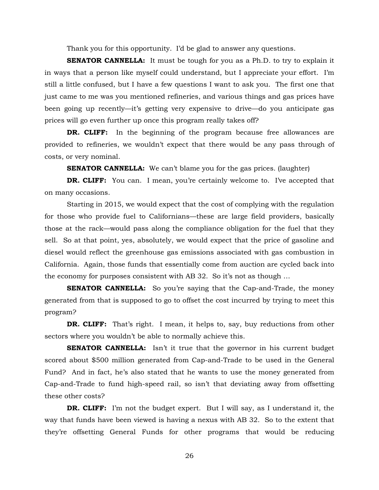Thank you for this opportunity. I'd be glad to answer any questions.

**SENATOR CANNELLA:** It must be tough for you as a Ph.D. to try to explain it in ways that a person like myself could understand, but I appreciate your effort. I'm still a little confused, but I have a few questions I want to ask you. The first one that just came to me was you mentioned refineries, and various things and gas prices have been going up recently—it's getting very expensive to drive—do you anticipate gas prices will go even further up once this program really takes off?

**DR. CLIFF:** In the beginning of the program because free allowances are provided to refineries, we wouldn't expect that there would be any pass through of costs, or very nominal.

**SENATOR CANNELLA:** We can't blame you for the gas prices. (laughter)

**DR. CLIFF:** You can. I mean, you're certainly welcome to. I've accepted that on many occasions.

Starting in 2015, we would expect that the cost of complying with the regulation for those who provide fuel to Californians—these are large field providers, basically those at the rack—would pass along the compliance obligation for the fuel that they sell. So at that point, yes, absolutely, we would expect that the price of gasoline and diesel would reflect the greenhouse gas emissions associated with gas combustion in California. Again, those funds that essentially come from auction are cycled back into the economy for purposes consistent with AB 32. So it's not as though …

**SENATOR CANNELLA:** So you're saying that the Cap-and-Trade, the money generated from that is supposed to go to offset the cost incurred by trying to meet this program?

**DR. CLIFF:** That's right. I mean, it helps to, say, buy reductions from other sectors where you wouldn't be able to normally achieve this.

**SENATOR CANNELLA:** Isn't it true that the governor in his current budget scored about \$500 million generated from Cap-and-Trade to be used in the General Fund? And in fact, he's also stated that he wants to use the money generated from Cap-and-Trade to fund high-speed rail, so isn't that deviating away from offsetting these other costs?

**DR. CLIFF:** I'm not the budget expert. But I will say, as I understand it, the way that funds have been viewed is having a nexus with AB 32. So to the extent that they're offsetting General Funds for other programs that would be reducing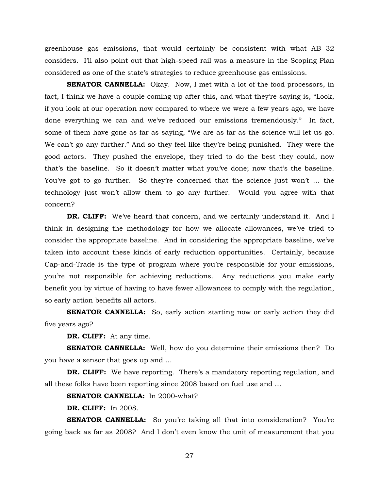greenhouse gas emissions, that would certainly be consistent with what AB 32 considers. I'll also point out that high-speed rail was a measure in the Scoping Plan considered as one of the state's strategies to reduce greenhouse gas emissions.

**SENATOR CANNELLA:** Okay. Now, I met with a lot of the food processors, in fact, I think we have a couple coming up after this, and what they're saying is, "Look, if you look at our operation now compared to where we were a few years ago, we have done everything we can and we've reduced our emissions tremendously." In fact, some of them have gone as far as saying, "We are as far as the science will let us go. We can't go any further." And so they feel like they're being punished. They were the good actors. They pushed the envelope, they tried to do the best they could, now that's the baseline. So it doesn't matter what you've done; now that's the baseline. You've got to go further. So they're concerned that the science just won't ... the technology just won't allow them to go any further. Would you agree with that concern?

**DR. CLIFF:** We've heard that concern, and we certainly understand it. And I think in designing the methodology for how we allocate allowances, we've tried to consider the appropriate baseline. And in considering the appropriate baseline, we've taken into account these kinds of early reduction opportunities. Certainly, because Cap-and-Trade is the type of program where you're responsible for your emissions, you're not responsible for achieving reductions. Any reductions you make early benefit you by virtue of having to have fewer allowances to comply with the regulation, so early action benefits all actors.

**SENATOR CANNELLA:** So, early action starting now or early action they did five years ago?

**DR. CLIFF:** At any time.

**SENATOR CANNELLA:** Well, how do you determine their emissions then? Do you have a sensor that goes up and …

**DR. CLIFF:** We have reporting. There's a mandatory reporting regulation, and all these folks have been reporting since 2008 based on fuel use and …

**SENATOR CANNELLA:** In 2000-what?

**DR. CLIFF:** In 2008.

**SENATOR CANNELLA:** So you're taking all that into consideration? You're going back as far as 2008? And I don't even know the unit of measurement that you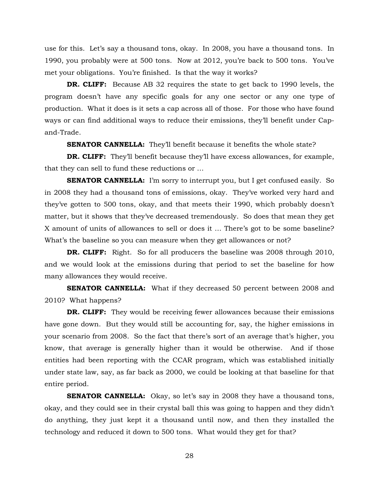use for this. Let's say a thousand tons, okay. In 2008, you have a thousand tons. In 1990, you probably were at 500 tons. Now at 2012, you're back to 500 tons. You've met your obligations. You're finished. Is that the way it works?

**DR. CLIFF:** Because AB 32 requires the state to get back to 1990 levels, the program doesn't have any specific goals for any one sector or any one type of production. What it does is it sets a cap across all of those. For those who have found ways or can find additional ways to reduce their emissions, they'll benefit under Capand-Trade.

**SENATOR CANNELLA:** They'll benefit because it benefits the whole state?

**DR. CLIFF:** They'll benefit because they'll have excess allowances, for example, that they can sell to fund these reductions or …

**SENATOR CANNELLA:** I'm sorry to interrupt you, but I get confused easily. So in 2008 they had a thousand tons of emissions, okay. They've worked very hard and they've gotten to 500 tons, okay, and that meets their 1990, which probably doesn't matter, but it shows that they've decreased tremendously. So does that mean they get X amount of units of allowances to sell or does it … There's got to be some baseline? What's the baseline so you can measure when they get allowances or not?

**DR. CLIFF:** Right. So for all producers the baseline was 2008 through 2010, and we would look at the emissions during that period to set the baseline for how many allowances they would receive.

**SENATOR CANNELLA:** What if they decreased 50 percent between 2008 and 2010? What happens?

**DR. CLIFF:** They would be receiving fewer allowances because their emissions have gone down. But they would still be accounting for, say, the higher emissions in your scenario from 2008. So the fact that there's sort of an average that's higher, you know, that average is generally higher than it would be otherwise. And if those entities had been reporting with the CCAR program, which was established initially under state law, say, as far back as 2000, we could be looking at that baseline for that entire period.

**SENATOR CANNELLA:** Okay, so let's say in 2008 they have a thousand tons, okay, and they could see in their crystal ball this was going to happen and they didn't do anything, they just kept it a thousand until now, and then they installed the technology and reduced it down to 500 tons. What would they get for that?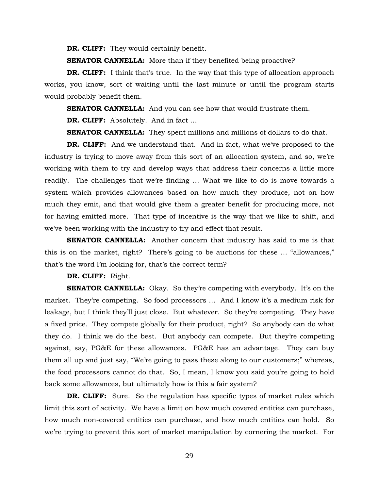**DR. CLIFF:** They would certainly benefit.

**SENATOR CANNELLA:** More than if they benefited being proactive?

**DR. CLIFF:** I think that's true. In the way that this type of allocation approach works, you know, sort of waiting until the last minute or until the program starts would probably benefit them.

**SENATOR CANNELLA:** And you can see how that would frustrate them.

**DR. CLIFF:** Absolutely. And in fact …

**SENATOR CANNELLA:** They spent millions and millions of dollars to do that.

**DR. CLIFF:** And we understand that. And in fact, what we've proposed to the industry is trying to move away from this sort of an allocation system, and so, we're working with them to try and develop ways that address their concerns a little more readily. The challenges that we're finding … What we like to do is move towards a system which provides allowances based on how much they produce, not on how much they emit, and that would give them a greater benefit for producing more, not for having emitted more. That type of incentive is the way that we like to shift, and we've been working with the industry to try and effect that result.

**SENATOR CANNELLA:** Another concern that industry has said to me is that this is on the market, right? There's going to be auctions for these … "allowances," that's the word I'm looking for, that's the correct term?

**DR. CLIFF:** Right.

**SENATOR CANNELLA:** Okay. So they're competing with everybody. It's on the market. They're competing. So food processors … And I know it's a medium risk for leakage, but I think they'll just close. But whatever. So they're competing. They have a fixed price. They compete globally for their product, right? So anybody can do what they do. I think we do the best. But anybody can compete. But they're competing against, say, PG&E for these allowances. PG&E has an advantage. They can buy them all up and just say, "We're going to pass these along to our customers;" whereas, the food processors cannot do that. So, I mean, I know you said you're going to hold back some allowances, but ultimately how is this a fair system?

**DR. CLIFF:** Sure. So the regulation has specific types of market rules which limit this sort of activity. We have a limit on how much covered entities can purchase, how much non-covered entities can purchase, and how much entities can hold. So we're trying to prevent this sort of market manipulation by cornering the market. For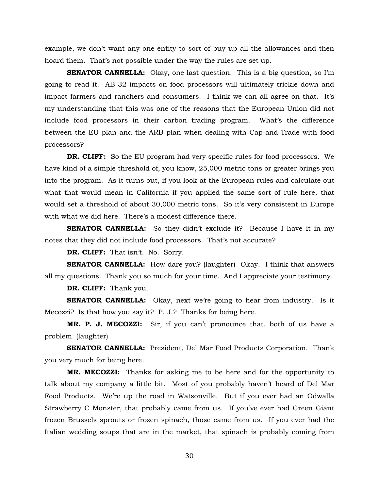example, we don't want any one entity to sort of buy up all the allowances and then hoard them. That's not possible under the way the rules are set up.

**SENATOR CANNELLA:** Okay, one last question. This is a big question, so I'm going to read it. AB 32 impacts on food processors will ultimately trickle down and impact farmers and ranchers and consumers. I think we can all agree on that. It's my understanding that this was one of the reasons that the European Union did not include food processors in their carbon trading program. What's the difference between the EU plan and the ARB plan when dealing with Cap-and-Trade with food processors?

**DR. CLIFF:** So the EU program had very specific rules for food processors. We have kind of a simple threshold of, you know, 25,000 metric tons or greater brings you into the program. As it turns out, if you look at the European rules and calculate out what that would mean in California if you applied the same sort of rule here, that would set a threshold of about 30,000 metric tons. So it's very consistent in Europe with what we did here. There's a modest difference there.

**SENATOR CANNELLA:** So they didn't exclude it? Because I have it in my notes that they did not include food processors. That's not accurate?

**DR. CLIFF:** That isn't. No. Sorry.

**SENATOR CANNELLA:** How dare you? (laughter) Okay. I think that answers all my questions. Thank you so much for your time. And I appreciate your testimony.

**DR. CLIFF:** Thank you.

**SENATOR CANNELLA:** Okay, next we're going to hear from industry. Is it Mecozzi? Is that how you say it? P. J.? Thanks for being here.

**MR. P. J. MECOZZI:** Sir, if you can't pronounce that, both of us have a problem. (laughter)

**SENATOR CANNELLA:** President, Del Mar Food Products Corporation. Thank you very much for being here.

**MR. MECOZZI:** Thanks for asking me to be here and for the opportunity to talk about my company a little bit. Most of you probably haven't heard of Del Mar Food Products. We're up the road in Watsonville. But if you ever had an Odwalla Strawberry C Monster, that probably came from us. If you've ever had Green Giant frozen Brussels sprouts or frozen spinach, those came from us. If you ever had the Italian wedding soups that are in the market, that spinach is probably coming from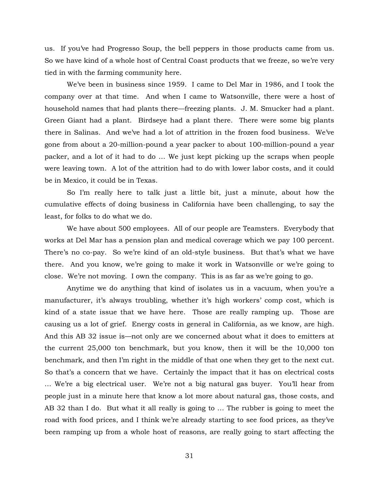us. If you've had Progresso Soup, the bell peppers in those products came from us. So we have kind of a whole host of Central Coast products that we freeze, so we're very tied in with the farming community here.

We've been in business since 1959. I came to Del Mar in 1986, and I took the company over at that time. And when I came to Watsonville, there were a host of household names that had plants there—freezing plants. J. M. Smucker had a plant. Green Giant had a plant. Birdseye had a plant there. There were some big plants there in Salinas. And we've had a lot of attrition in the frozen food business. We've gone from about a 20-million-pound a year packer to about 100-million-pound a year packer, and a lot of it had to do … We just kept picking up the scraps when people were leaving town. A lot of the attrition had to do with lower labor costs, and it could be in Mexico, it could be in Texas.

So I'm really here to talk just a little bit, just a minute, about how the cumulative effects of doing business in California have been challenging, to say the least, for folks to do what we do.

We have about 500 employees. All of our people are Teamsters. Everybody that works at Del Mar has a pension plan and medical coverage which we pay 100 percent. There's no co-pay. So we're kind of an old-style business. But that's what we have there. And you know, we're going to make it work in Watsonville or we're going to close. We're not moving. I own the company. This is as far as we're going to go.

Anytime we do anything that kind of isolates us in a vacuum, when you're a manufacturer, it's always troubling, whether it's high workers' comp cost, which is kind of a state issue that we have here. Those are really ramping up. Those are causing us a lot of grief. Energy costs in general in California, as we know, are high. And this AB 32 issue is—not only are we concerned about what it does to emitters at the current 25,000 ton benchmark, but you know, then it will be the 10,000 ton benchmark, and then I'm right in the middle of that one when they get to the next cut. So that's a concern that we have. Certainly the impact that it has on electrical costs … We're a big electrical user. We're not a big natural gas buyer. You'll hear from people just in a minute here that know a lot more about natural gas, those costs, and AB 32 than I do. But what it all really is going to … The rubber is going to meet the road with food prices, and I think we're already starting to see food prices, as they've been ramping up from a whole host of reasons, are really going to start affecting the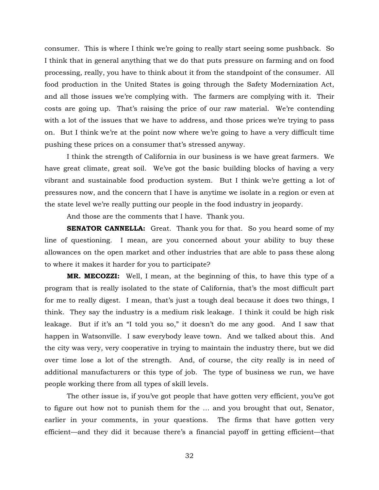consumer. This is where I think we're going to really start seeing some pushback. So I think that in general anything that we do that puts pressure on farming and on food processing, really, you have to think about it from the standpoint of the consumer. All food production in the United States is going through the Safety Modernization Act, and all those issues we're complying with. The farmers are complying with it. Their costs are going up. That's raising the price of our raw material. We're contending with a lot of the issues that we have to address, and those prices we're trying to pass on. But I think we're at the point now where we're going to have a very difficult time pushing these prices on a consumer that's stressed anyway.

I think the strength of California in our business is we have great farmers. We have great climate, great soil. We've got the basic building blocks of having a very vibrant and sustainable food production system. But I think we're getting a lot of pressures now, and the concern that I have is anytime we isolate in a region or even at the state level we're really putting our people in the food industry in jeopardy.

And those are the comments that I have. Thank you.

**SENATOR CANNELLA:** Great. Thank you for that. So you heard some of my line of questioning. I mean, are you concerned about your ability to buy these allowances on the open market and other industries that are able to pass these along to where it makes it harder for you to participate?

**MR. MECOZZI:** Well, I mean, at the beginning of this, to have this type of a program that is really isolated to the state of California, that's the most difficult part for me to really digest. I mean, that's just a tough deal because it does two things, I think. They say the industry is a medium risk leakage. I think it could be high risk leakage. But if it's an "I told you so," it doesn't do me any good. And I saw that happen in Watsonville. I saw everybody leave town. And we talked about this. And the city was very, very cooperative in trying to maintain the industry there, but we did over time lose a lot of the strength. And, of course, the city really is in need of additional manufacturers or this type of job. The type of business we run, we have people working there from all types of skill levels.

The other issue is, if you've got people that have gotten very efficient, you've got to figure out how not to punish them for the … and you brought that out, Senator, earlier in your comments, in your questions. The firms that have gotten very efficient—and they did it because there's a financial payoff in getting efficient—that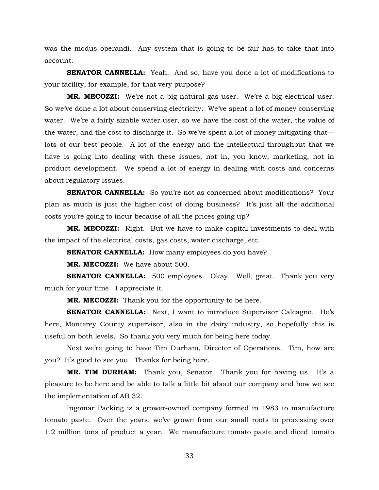was the modus operandi. Any system that is going to be fair has to take that into account.

**SENATOR CANNELLA:** Yeah. And so, have you done a lot of modifications to your facility, for example, for that very purpose?

**MR. MECOZZI:** We're not a big natural gas user. We're a big electrical user. So we've done a lot about conserving electricity. We've spent a lot of money conserving water. We're a fairly sizable water user, so we have the cost of the water, the value of the water, and the cost to discharge it. So we've spent a lot of money mitigating that lots of our best people. A lot of the energy and the intellectual throughput that we have is going into dealing with these issues, not in, you know, marketing, not in product development. We spend a lot of energy in dealing with costs and concerns about regulatory issues.

**SENATOR CANNELLA:** So you're not as concerned about modifications? Your plan as much is just the higher cost of doing business? It's just all the additional costs you're going to incur because of all the prices going up?

**MR. MECOZZI:** Right. But we have to make capital investments to deal with the impact of the electrical costs, gas costs, water discharge, etc.

**SENATOR CANNELLA:** How many employees do you have?

**MR. MECOZZI:** We have about 500.

**SENATOR CANNELLA:** 500 employees. Okay. Well, great. Thank you very much for your time. I appreciate it.

**MR. MECOZZI:** Thank you for the opportunity to be here.

**SENATOR CANNELLA:** Next, I want to introduce Supervisor Calcagno. He's here, Monterey County supervisor, also in the dairy industry, so hopefully this is useful on both levels. So thank you very much for being here today.

Next we're going to have Tim Durham, Director of Operations. Tim, how are you? It's good to see you. Thanks for being here.

**MR. TIM DURHAM:** Thank you, Senator. Thank you for having us. It's a pleasure to be here and be able to talk a little bit about our company and how we see the implementation of AB 32.

Ingomar Packing is a grower-owned company formed in 1983 to manufacture tomato paste. Over the years, we've grown from our small roots to processing over 1.2 million tons of product a year. We manufacture tomato paste and diced tomato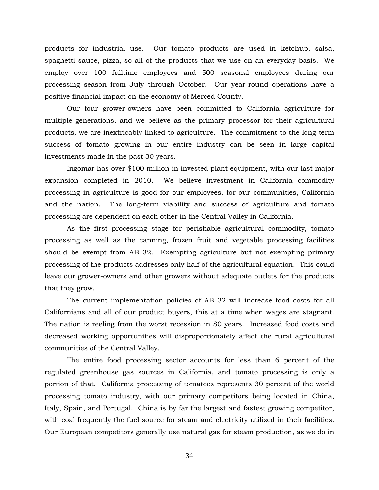products for industrial use. Our tomato products are used in ketchup, salsa, spaghetti sauce, pizza, so all of the products that we use on an everyday basis. We employ over 100 fulltime employees and 500 seasonal employees during our processing season from July through October. Our year-round operations have a positive financial impact on the economy of Merced County.

Our four grower-owners have been committed to California agriculture for multiple generations, and we believe as the primary processor for their agricultural products, we are inextricably linked to agriculture. The commitment to the long-term success of tomato growing in our entire industry can be seen in large capital investments made in the past 30 years.

Ingomar has over \$100 million in invested plant equipment, with our last major expansion completed in 2010. We believe investment in California commodity processing in agriculture is good for our employees, for our communities, California and the nation. The long-term viability and success of agriculture and tomato processing are dependent on each other in the Central Valley in California.

As the first processing stage for perishable agricultural commodity, tomato processing as well as the canning, frozen fruit and vegetable processing facilities should be exempt from AB 32. Exempting agriculture but not exempting primary processing of the products addresses only half of the agricultural equation. This could leave our grower-owners and other growers without adequate outlets for the products that they grow.

The current implementation policies of AB 32 will increase food costs for all Californians and all of our product buyers, this at a time when wages are stagnant. The nation is reeling from the worst recession in 80 years. Increased food costs and decreased working opportunities will disproportionately affect the rural agricultural communities of the Central Valley.

The entire food processing sector accounts for less than 6 percent of the regulated greenhouse gas sources in California, and tomato processing is only a portion of that. California processing of tomatoes represents 30 percent of the world processing tomato industry, with our primary competitors being located in China, Italy, Spain, and Portugal. China is by far the largest and fastest growing competitor, with coal frequently the fuel source for steam and electricity utilized in their facilities. Our European competitors generally use natural gas for steam production, as we do in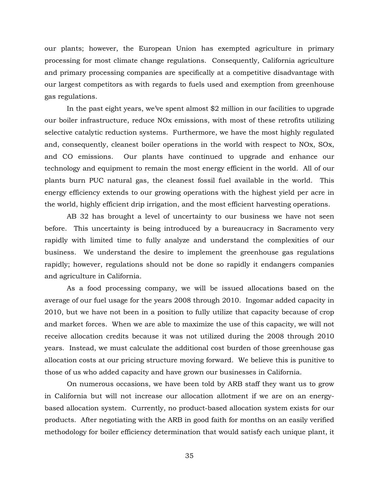our plants; however, the European Union has exempted agriculture in primary processing for most climate change regulations. Consequently, California agriculture and primary processing companies are specifically at a competitive disadvantage with our largest competitors as with regards to fuels used and exemption from greenhouse gas regulations.

In the past eight years, we've spent almost \$2 million in our facilities to upgrade our boiler infrastructure, reduce NOx emissions, with most of these retrofits utilizing selective catalytic reduction systems. Furthermore, we have the most highly regulated and, consequently, cleanest boiler operations in the world with respect to NOx, SOx, and CO emissions. Our plants have continued to upgrade and enhance our technology and equipment to remain the most energy efficient in the world. All of our plants burn PUC natural gas, the cleanest fossil fuel available in the world. This energy efficiency extends to our growing operations with the highest yield per acre in the world, highly efficient drip irrigation, and the most efficient harvesting operations.

AB 32 has brought a level of uncertainty to our business we have not seen before. This uncertainty is being introduced by a bureaucracy in Sacramento very rapidly with limited time to fully analyze and understand the complexities of our business. We understand the desire to implement the greenhouse gas regulations rapidly; however, regulations should not be done so rapidly it endangers companies and agriculture in California.

As a food processing company, we will be issued allocations based on the average of our fuel usage for the years 2008 through 2010. Ingomar added capacity in 2010, but we have not been in a position to fully utilize that capacity because of crop and market forces. When we are able to maximize the use of this capacity, we will not receive allocation credits because it was not utilized during the 2008 through 2010 years. Instead, we must calculate the additional cost burden of those greenhouse gas allocation costs at our pricing structure moving forward. We believe this is punitive to those of us who added capacity and have grown our businesses in California.

On numerous occasions, we have been told by ARB staff they want us to grow in California but will not increase our allocation allotment if we are on an energybased allocation system. Currently, no product-based allocation system exists for our products. After negotiating with the ARB in good faith for months on an easily verified methodology for boiler efficiency determination that would satisfy each unique plant, it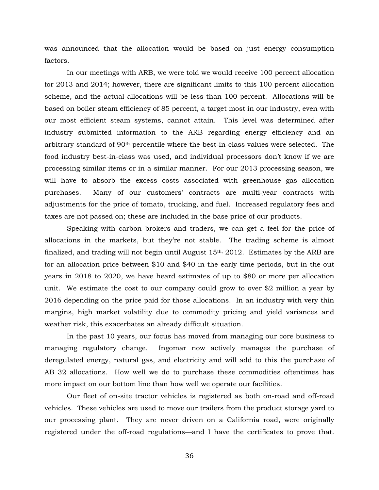was announced that the allocation would be based on just energy consumption factors.

In our meetings with ARB, we were told we would receive 100 percent allocation for 2013 and 2014; however, there are significant limits to this 100 percent allocation scheme, and the actual allocations will be less than 100 percent. Allocations will be based on boiler steam efficiency of 85 percent, a target most in our industry, even with our most efficient steam systems, cannot attain. This level was determined after industry submitted information to the ARB regarding energy efficiency and an arbitrary standard of 90th percentile where the best-in-class values were selected. The food industry best-in-class was used, and individual processors don't know if we are processing similar items or in a similar manner. For our 2013 processing season, we will have to absorb the excess costs associated with greenhouse gas allocation purchases. Many of our customers' contracts are multi-year contracts with adjustments for the price of tomato, trucking, and fuel. Increased regulatory fees and taxes are not passed on; these are included in the base price of our products.

Speaking with carbon brokers and traders, we can get a feel for the price of allocations in the markets, but they're not stable. The trading scheme is almost finalized, and trading will not begin until August  $15<sup>th</sup>$ , 2012. Estimates by the ARB are for an allocation price between \$10 and \$40 in the early time periods, but in the out years in 2018 to 2020, we have heard estimates of up to \$80 or more per allocation unit. We estimate the cost to our company could grow to over \$2 million a year by 2016 depending on the price paid for those allocations. In an industry with very thin margins, high market volatility due to commodity pricing and yield variances and weather risk, this exacerbates an already difficult situation.

In the past 10 years, our focus has moved from managing our core business to managing regulatory change. Ingomar now actively manages the purchase of deregulated energy, natural gas, and electricity and will add to this the purchase of AB 32 allocations. How well we do to purchase these commodities oftentimes has more impact on our bottom line than how well we operate our facilities.

Our fleet of on-site tractor vehicles is registered as both on-road and off-road vehicles. These vehicles are used to move our trailers from the product storage yard to our processing plant. They are never driven on a California road, were originally registered under the off-road regulations—and I have the certificates to prove that.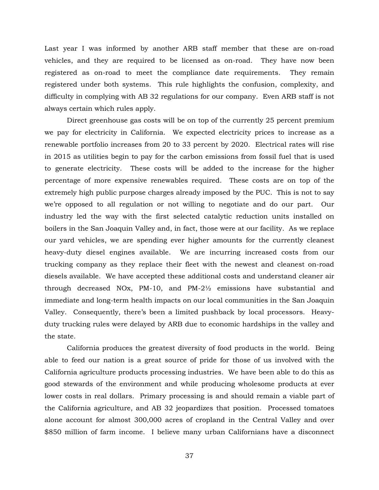Last year I was informed by another ARB staff member that these are on-road vehicles, and they are required to be licensed as on-road. They have now been registered as on-road to meet the compliance date requirements. They remain registered under both systems. This rule highlights the confusion, complexity, and difficulty in complying with AB 32 regulations for our company. Even ARB staff is not always certain which rules apply.

Direct greenhouse gas costs will be on top of the currently 25 percent premium we pay for electricity in California. We expected electricity prices to increase as a renewable portfolio increases from 20 to 33 percent by 2020. Electrical rates will rise in 2015 as utilities begin to pay for the carbon emissions from fossil fuel that is used to generate electricity. These costs will be added to the increase for the higher percentage of more expensive renewables required. These costs are on top of the extremely high public purpose charges already imposed by the PUC. This is not to say we're opposed to all regulation or not willing to negotiate and do our part. Our industry led the way with the first selected catalytic reduction units installed on boilers in the San Joaquin Valley and, in fact, those were at our facility. As we replace our yard vehicles, we are spending ever higher amounts for the currently cleanest heavy-duty diesel engines available. We are incurring increased costs from our trucking company as they replace their fleet with the newest and cleanest on-road diesels available. We have accepted these additional costs and understand cleaner air through decreased NOx, PM-10, and PM-2½ emissions have substantial and immediate and long-term health impacts on our local communities in the San Joaquin Valley. Consequently, there's been a limited pushback by local processors. Heavyduty trucking rules were delayed by ARB due to economic hardships in the valley and the state.

California produces the greatest diversity of food products in the world. Being able to feed our nation is a great source of pride for those of us involved with the California agriculture products processing industries. We have been able to do this as good stewards of the environment and while producing wholesome products at ever lower costs in real dollars. Primary processing is and should remain a viable part of the California agriculture, and AB 32 jeopardizes that position. Processed tomatoes alone account for almost 300,000 acres of cropland in the Central Valley and over \$850 million of farm income. I believe many urban Californians have a disconnect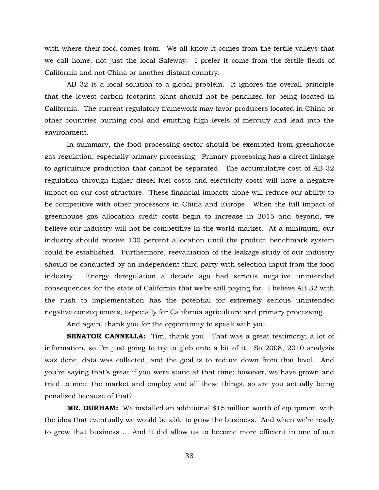with where their food comes from. We all know it comes from the fertile valleys that we call home, not just the local Safeway. I prefer it come from the fertile fields of California and not China or another distant country.

AB 32 is a local solution to a global problem. It ignores the overall principle that the lowest carbon footprint plant should not be penalized for being located in California. The current regulatory framework may favor producers located in China or other countries burning coal and emitting high levels of mercury and lead into the environment.

In summary, the food processing sector should be exempted from greenhouse gas regulation, especially primary processing. Primary processing has a direct linkage to agriculture production that cannot be separated. The accumulative cost of AB 32 regulation through higher diesel fuel costs and electricity costs will have a negative impact on our cost structure. These financial impacts alone will reduce our ability to be competitive with other processors in China and Europe. When the full impact of greenhouse gas allocation credit costs begin to increase in 2015 and beyond, we believe our industry will not be competitive in the world market. At a minimum, our industry should receive 100 percent allocation until the product benchmark system could be established. Furthermore, reevaluation of the leakage study of our industry should be conducted by an independent third party with selection input from the food industry. Energy deregulation a decade ago had serious negative unintended consequences for the state of California that we're still paying for. I believe AB 32 with the rush to implementation has the potential for extremely serious unintended negative consequences, especially for California agriculture and primary processing.

And again, thank you for the opportunity to speak with you.

**SENATOR CANNELLA:** Tim, thank you. That was a great testimony; a lot of information, so I'm just going to try to glob onto a bit of it. So 2008, 2010 analysis was done, data was collected, and the goal is to reduce down from that level. And you're saying that's great if you were static at that time; however, we have grown and tried to meet the market and employ and all these things, so are you actually being penalized because of that?

**MR. DURHAM:** We installed an additional \$15 million worth of equipment with the idea that eventually we would be able to grow the business. And when we're ready to grow that business … And it did allow us to become more efficient in one of our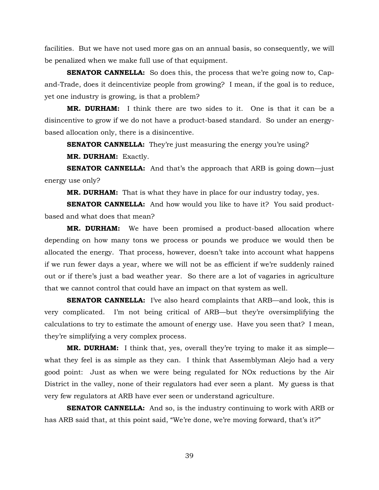facilities. But we have not used more gas on an annual basis, so consequently, we will be penalized when we make full use of that equipment.

**SENATOR CANNELLA:** So does this, the process that we're going now to, Capand-Trade, does it deincentivize people from growing? I mean, if the goal is to reduce, yet one industry is growing, is that a problem?

**MR. DURHAM:** I think there are two sides to it. One is that it can be a disincentive to grow if we do not have a product-based standard. So under an energybased allocation only, there is a disincentive.

**SENATOR CANNELLA:** They're just measuring the energy you're using?

**MR. DURHAM:** Exactly.

**SENATOR CANNELLA:** And that's the approach that ARB is going down—just energy use only?

**MR. DURHAM:** That is what they have in place for our industry today, yes.

**SENATOR CANNELLA:** And how would you like to have it? You said productbased and what does that mean?

**MR. DURHAM:** We have been promised a product-based allocation where depending on how many tons we process or pounds we produce we would then be allocated the energy. That process, however, doesn't take into account what happens if we run fewer days a year, where we will not be as efficient if we're suddenly rained out or if there's just a bad weather year. So there are a lot of vagaries in agriculture that we cannot control that could have an impact on that system as well.

**SENATOR CANNELLA:** I've also heard complaints that ARB—and look, this is very complicated. I'm not being critical of ARB—but they're oversimplifying the calculations to try to estimate the amount of energy use. Have you seen that? I mean, they're simplifying a very complex process.

**MR. DURHAM:** I think that, yes, overall they're trying to make it as simple what they feel is as simple as they can. I think that Assemblyman Alejo had a very good point: Just as when we were being regulated for NOx reductions by the Air District in the valley, none of their regulators had ever seen a plant. My guess is that very few regulators at ARB have ever seen or understand agriculture.

**SENATOR CANNELLA:** And so, is the industry continuing to work with ARB or has ARB said that, at this point said, "We're done, we're moving forward, that's it?"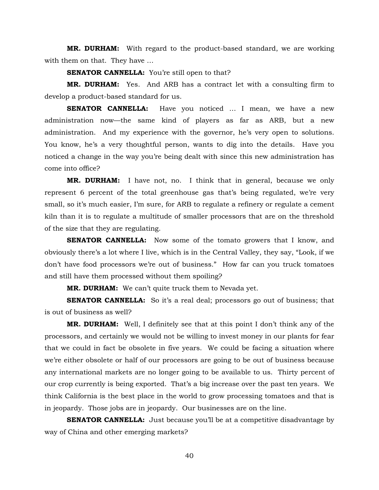**MR. DURHAM:** With regard to the product-based standard, we are working with them on that. They have …

**SENATOR CANNELLA:** You're still open to that?

**MR. DURHAM:** Yes. And ARB has a contract let with a consulting firm to develop a product-based standard for us.

**SENATOR CANNELLA:** Have you noticed ... I mean, we have a new administration now—the same kind of players as far as ARB, but a new administration. And my experience with the governor, he's very open to solutions. You know, he's a very thoughtful person, wants to dig into the details. Have you noticed a change in the way you're being dealt with since this new administration has come into office?

**MR. DURHAM:** I have not, no. I think that in general, because we only represent 6 percent of the total greenhouse gas that's being regulated, we're very small, so it's much easier, I'm sure, for ARB to regulate a refinery or regulate a cement kiln than it is to regulate a multitude of smaller processors that are on the threshold of the size that they are regulating.

**SENATOR CANNELLA:** Now some of the tomato growers that I know, and obviously there's a lot where I live, which is in the Central Valley, they say, "Look, if we don't have food processors we're out of business." How far can you truck tomatoes and still have them processed without them spoiling?

**MR. DURHAM:** We can't quite truck them to Nevada yet.

**SENATOR CANNELLA:** So it's a real deal; processors go out of business; that is out of business as well?

**MR. DURHAM:** Well, I definitely see that at this point I don't think any of the processors, and certainly we would not be willing to invest money in our plants for fear that we could in fact be obsolete in five years. We could be facing a situation where we're either obsolete or half of our processors are going to be out of business because any international markets are no longer going to be available to us. Thirty percent of our crop currently is being exported. That's a big increase over the past ten years. We think California is the best place in the world to grow processing tomatoes and that is in jeopardy. Those jobs are in jeopardy. Our businesses are on the line.

**SENATOR CANNELLA:** Just because you'll be at a competitive disadvantage by way of China and other emerging markets?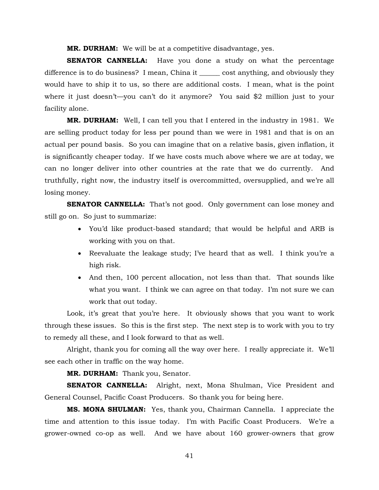**MR. DURHAM:** We will be at a competitive disadvantage, yes.

**SENATOR CANNELLA:** Have you done a study on what the percentage difference is to do business? I mean, China it \_\_\_\_\_\_ cost anything, and obviously they would have to ship it to us, so there are additional costs. I mean, what is the point where it just doesn't—you can't do it anymore? You said \$2 million just to your facility alone.

**MR. DURHAM:** Well, I can tell you that I entered in the industry in 1981. We are selling product today for less per pound than we were in 1981 and that is on an actual per pound basis. So you can imagine that on a relative basis, given inflation, it is significantly cheaper today. If we have costs much above where we are at today, we can no longer deliver into other countries at the rate that we do currently. And truthfully, right now, the industry itself is overcommitted, oversupplied, and we're all losing money.

**SENATOR CANNELLA:** That's not good. Only government can lose money and still go on. So just to summarize:

- You'd like product-based standard; that would be helpful and ARB is working with you on that.
- Reevaluate the leakage study; I've heard that as well. I think you're a high risk.
- And then, 100 percent allocation, not less than that. That sounds like what you want. I think we can agree on that today. I'm not sure we can work that out today.

Look, it's great that you're here. It obviously shows that you want to work through these issues. So this is the first step. The next step is to work with you to try to remedy all these, and I look forward to that as well.

Alright, thank you for coming all the way over here. I really appreciate it. We'll see each other in traffic on the way home.

**MR. DURHAM:** Thank you, Senator.

**SENATOR CANNELLA:** Alright, next, Mona Shulman, Vice President and General Counsel, Pacific Coast Producers. So thank you for being here.

**MS. MONA SHULMAN:** Yes, thank you, Chairman Cannella. I appreciate the time and attention to this issue today. I'm with Pacific Coast Producers. We're a grower-owned co-op as well. And we have about 160 grower-owners that grow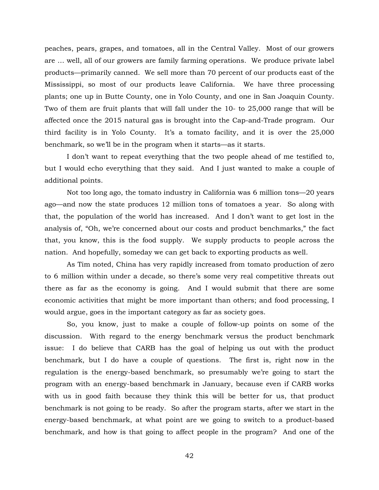peaches, pears, grapes, and tomatoes, all in the Central Valley. Most of our growers are … well, all of our growers are family farming operations. We produce private label products—primarily canned. We sell more than 70 percent of our products east of the Mississippi, so most of our products leave California. We have three processing plants; one up in Butte County, one in Yolo County, and one in San Joaquin County. Two of them are fruit plants that will fall under the 10- to 25,000 range that will be affected once the 2015 natural gas is brought into the Cap-and-Trade program. Our third facility is in Yolo County. It's a tomato facility, and it is over the 25,000 benchmark, so we'll be in the program when it starts—as it starts.

I don't want to repeat everything that the two people ahead of me testified to, but I would echo everything that they said. And I just wanted to make a couple of additional points.

Not too long ago, the tomato industry in California was 6 million tons—20 years ago—and now the state produces 12 million tons of tomatoes a year. So along with that, the population of the world has increased. And I don't want to get lost in the analysis of, "Oh, we're concerned about our costs and product benchmarks," the fact that, you know, this is the food supply. We supply products to people across the nation. And hopefully, someday we can get back to exporting products as well.

As Tim noted, China has very rapidly increased from tomato production of zero to 6 million within under a decade, so there's some very real competitive threats out there as far as the economy is going. And I would submit that there are some economic activities that might be more important than others; and food processing, I would argue, goes in the important category as far as society goes.

So, you know, just to make a couple of follow-up points on some of the discussion. With regard to the energy benchmark versus the product benchmark issue: I do believe that CARB has the goal of helping us out with the product benchmark, but I do have a couple of questions. The first is, right now in the regulation is the energy-based benchmark, so presumably we're going to start the program with an energy-based benchmark in January, because even if CARB works with us in good faith because they think this will be better for us, that product benchmark is not going to be ready. So after the program starts, after we start in the energy-based benchmark, at what point are we going to switch to a product-based benchmark, and how is that going to affect people in the program? And one of the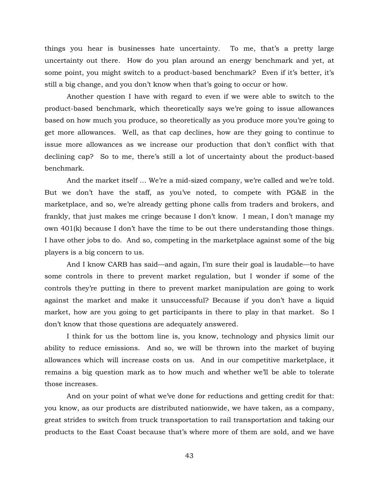things you hear is businesses hate uncertainty. To me, that's a pretty large uncertainty out there. How do you plan around an energy benchmark and yet, at some point, you might switch to a product-based benchmark? Even if it's better, it's still a big change, and you don't know when that's going to occur or how.

Another question I have with regard to even if we were able to switch to the product-based benchmark, which theoretically says we're going to issue allowances based on how much you produce, so theoretically as you produce more you're going to get more allowances. Well, as that cap declines, how are they going to continue to issue more allowances as we increase our production that don't conflict with that declining cap? So to me, there's still a lot of uncertainty about the product-based benchmark.

And the market itself … We're a mid-sized company, we're called and we're told. But we don't have the staff, as you've noted, to compete with PG&E in the marketplace, and so, we're already getting phone calls from traders and brokers, and frankly, that just makes me cringe because I don't know. I mean, I don't manage my own 401(k) because I don't have the time to be out there understanding those things. I have other jobs to do. And so, competing in the marketplace against some of the big players is a big concern to us.

And I know CARB has said—and again, I'm sure their goal is laudable—to have some controls in there to prevent market regulation, but I wonder if some of the controls they're putting in there to prevent market manipulation are going to work against the market and make it unsuccessful? Because if you don't have a liquid market, how are you going to get participants in there to play in that market. So I don't know that those questions are adequately answered.

I think for us the bottom line is, you know, technology and physics limit our ability to reduce emissions. And so, we will be thrown into the market of buying allowances which will increase costs on us. And in our competitive marketplace, it remains a big question mark as to how much and whether we'll be able to tolerate those increases.

And on your point of what we've done for reductions and getting credit for that: you know, as our products are distributed nationwide, we have taken, as a company, great strides to switch from truck transportation to rail transportation and taking our products to the East Coast because that's where more of them are sold, and we have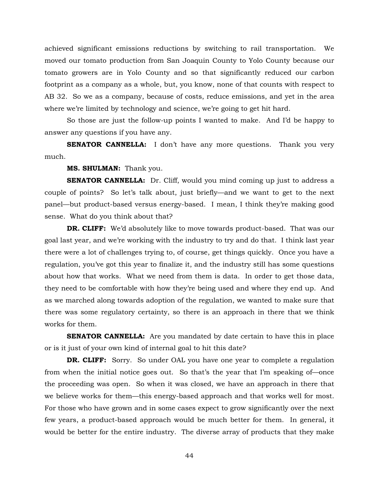achieved significant emissions reductions by switching to rail transportation. We moved our tomato production from San Joaquin County to Yolo County because our tomato growers are in Yolo County and so that significantly reduced our carbon footprint as a company as a whole, but, you know, none of that counts with respect to AB 32. So we as a company, because of costs, reduce emissions, and yet in the area where we're limited by technology and science, we're going to get hit hard.

So those are just the follow-up points I wanted to make. And I'd be happy to answer any questions if you have any.

**SENATOR CANNELLA:** I don't have any more questions. Thank you very much.

**MS. SHULMAN:** Thank you.

**SENATOR CANNELLA:** Dr. Cliff, would you mind coming up just to address a couple of points? So let's talk about, just briefly—and we want to get to the next panel—but product-based versus energy-based. I mean, I think they're making good sense. What do you think about that?

**DR. CLIFF:** We'd absolutely like to move towards product-based. That was our goal last year, and we're working with the industry to try and do that. I think last year there were a lot of challenges trying to, of course, get things quickly. Once you have a regulation, you've got this year to finalize it, and the industry still has some questions about how that works. What we need from them is data. In order to get those data, they need to be comfortable with how they're being used and where they end up. And as we marched along towards adoption of the regulation, we wanted to make sure that there was some regulatory certainty, so there is an approach in there that we think works for them.

**SENATOR CANNELLA:** Are you mandated by date certain to have this in place or is it just of your own kind of internal goal to hit this date?

**DR. CLIFF:** Sorry. So under OAL you have one year to complete a regulation from when the initial notice goes out. So that's the year that I'm speaking of—once the proceeding was open. So when it was closed, we have an approach in there that we believe works for them—this energy-based approach and that works well for most. For those who have grown and in some cases expect to grow significantly over the next few years, a product-based approach would be much better for them. In general, it would be better for the entire industry. The diverse array of products that they make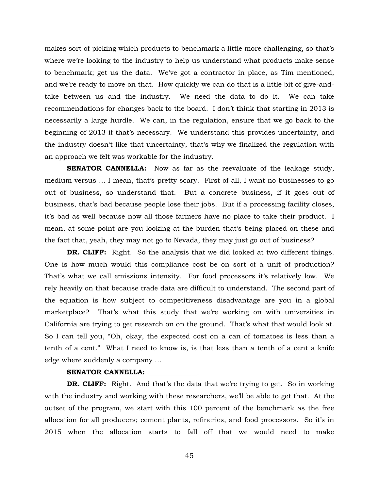makes sort of picking which products to benchmark a little more challenging, so that's where we're looking to the industry to help us understand what products make sense to benchmark; get us the data. We've got a contractor in place, as Tim mentioned, and we're ready to move on that. How quickly we can do that is a little bit of give-andtake between us and the industry. We need the data to do it. We can take recommendations for changes back to the board. I don't think that starting in 2013 is necessarily a large hurdle. We can, in the regulation, ensure that we go back to the beginning of 2013 if that's necessary. We understand this provides uncertainty, and the industry doesn't like that uncertainty, that's why we finalized the regulation with an approach we felt was workable for the industry.

**SENATOR CANNELLA:** Now as far as the reevaluate of the leakage study, medium versus … I mean, that's pretty scary. First of all, I want no businesses to go out of business, so understand that. But a concrete business, if it goes out of business, that's bad because people lose their jobs. But if a processing facility closes, it's bad as well because now all those farmers have no place to take their product. I mean, at some point are you looking at the burden that's being placed on these and the fact that, yeah, they may not go to Nevada, they may just go out of business?

**DR. CLIFF:** Right. So the analysis that we did looked at two different things. One is how much would this compliance cost be on sort of a unit of production? That's what we call emissions intensity. For food processors it's relatively low. We rely heavily on that because trade data are difficult to understand. The second part of the equation is how subject to competitiveness disadvantage are you in a global marketplace? That's what this study that we're working on with universities in California are trying to get research on on the ground. That's what that would look at. So I can tell you, "Oh, okay, the expected cost on a can of tomatoes is less than a tenth of a cent." What I need to know is, is that less than a tenth of a cent a knife edge where suddenly a company …

#### SENATOR CANNELLA:

**DR. CLIFF:** Right. And that's the data that we're trying to get. So in working with the industry and working with these researchers, we'll be able to get that. At the outset of the program, we start with this 100 percent of the benchmark as the free allocation for all producers; cement plants, refineries, and food processors. So it's in 2015 when the allocation starts to fall off that we would need to make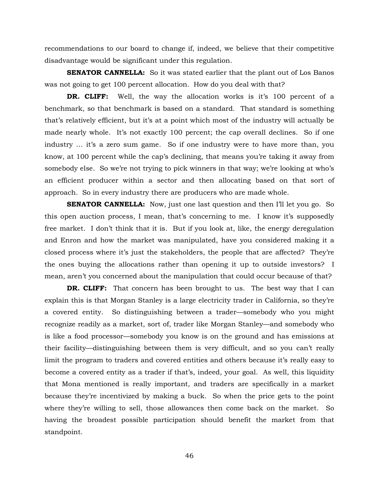recommendations to our board to change if, indeed, we believe that their competitive disadvantage would be significant under this regulation.

**SENATOR CANNELLA:** So it was stated earlier that the plant out of Los Banos was not going to get 100 percent allocation. How do you deal with that?

**DR. CLIFF:** Well, the way the allocation works is it's 100 percent of a benchmark, so that benchmark is based on a standard. That standard is something that's relatively efficient, but it's at a point which most of the industry will actually be made nearly whole. It's not exactly 100 percent; the cap overall declines. So if one industry … it's a zero sum game. So if one industry were to have more than, you know, at 100 percent while the cap's declining, that means you're taking it away from somebody else. So we're not trying to pick winners in that way; we're looking at who's an efficient producer within a sector and then allocating based on that sort of approach. So in every industry there are producers who are made whole.

**SENATOR CANNELLA:** Now, just one last question and then I'll let you go. So this open auction process, I mean, that's concerning to me. I know it's supposedly free market. I don't think that it is. But if you look at, like, the energy deregulation and Enron and how the market was manipulated, have you considered making it a closed process where it's just the stakeholders, the people that are affected? They're the ones buying the allocations rather than opening it up to outside investors? I mean, aren't you concerned about the manipulation that could occur because of that?

**DR. CLIFF:** That concern has been brought to us. The best way that I can explain this is that Morgan Stanley is a large electricity trader in California, so they're a covered entity. So distinguishing between a trader—somebody who you might recognize readily as a market, sort of, trader like Morgan Stanley—and somebody who is like a food processor—somebody you know is on the ground and has emissions at their facility—distinguishing between them is very difficult, and so you can't really limit the program to traders and covered entities and others because it's really easy to become a covered entity as a trader if that's, indeed, your goal. As well, this liquidity that Mona mentioned is really important, and traders are specifically in a market because they're incentivized by making a buck. So when the price gets to the point where they're willing to sell, those allowances then come back on the market. So having the broadest possible participation should benefit the market from that standpoint.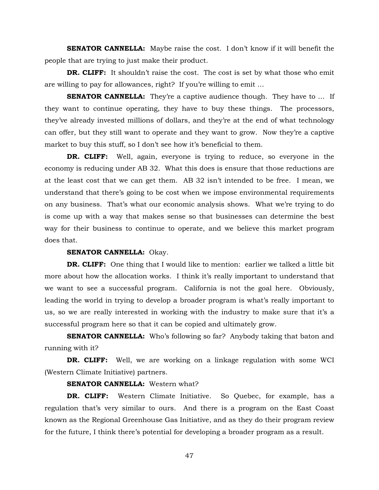**SENATOR CANNELLA:** Maybe raise the cost. I don't know if it will benefit the people that are trying to just make their product.

**DR. CLIFF:** It shouldn't raise the cost. The cost is set by what those who emit are willing to pay for allowances, right? If you're willing to emit …

**SENATOR CANNELLA:** They're a captive audience though. They have to ... If they want to continue operating, they have to buy these things. The processors, they've already invested millions of dollars, and they're at the end of what technology can offer, but they still want to operate and they want to grow. Now they're a captive market to buy this stuff, so I don't see how it's beneficial to them.

**DR. CLIFF:** Well, again, everyone is trying to reduce, so everyone in the economy is reducing under AB 32. What this does is ensure that those reductions are at the least cost that we can get them. AB 32 isn't intended to be free. I mean, we understand that there's going to be cost when we impose environmental requirements on any business. That's what our economic analysis shows. What we're trying to do is come up with a way that makes sense so that businesses can determine the best way for their business to continue to operate, and we believe this market program does that.

## **SENATOR CANNELLA:** Okay.

**DR. CLIFF:** One thing that I would like to mention: earlier we talked a little bit more about how the allocation works. I think it's really important to understand that we want to see a successful program. California is not the goal here. Obviously, leading the world in trying to develop a broader program is what's really important to us, so we are really interested in working with the industry to make sure that it's a successful program here so that it can be copied and ultimately grow.

**SENATOR CANNELLA:** Who's following so far? Anybody taking that baton and running with it?

**DR. CLIFF:** Well, we are working on a linkage regulation with some WCI (Western Climate Initiative) partners.

## **SENATOR CANNELLA:** Western what?

**DR. CLIFF:** Western Climate Initiative. So Quebec, for example, has a regulation that's very similar to ours. And there is a program on the East Coast known as the Regional Greenhouse Gas Initiative, and as they do their program review for the future, I think there's potential for developing a broader program as a result.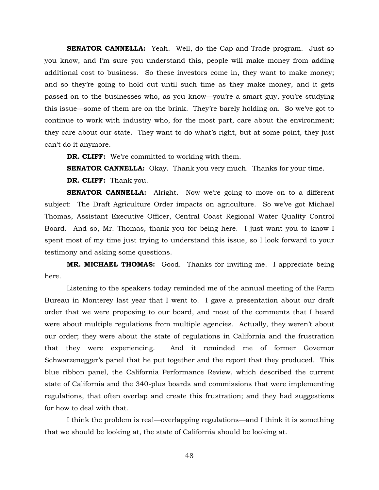**SENATOR CANNELLA:** Yeah. Well, do the Cap-and-Trade program. Just so you know, and I'm sure you understand this, people will make money from adding additional cost to business. So these investors come in, they want to make money; and so they're going to hold out until such time as they make money, and it gets passed on to the businesses who, as you know—you're a smart guy, you're studying this issue—some of them are on the brink. They're barely holding on. So we've got to continue to work with industry who, for the most part, care about the environment; they care about our state. They want to do what's right, but at some point, they just can't do it anymore.

**DR. CLIFF:** We're committed to working with them.

**SENATOR CANNELLA:** Okay. Thank you very much. Thanks for your time.

**DR. CLIFF:** Thank you.

**SENATOR CANNELLA:** Alright. Now we're going to move on to a different subject: The Draft Agriculture Order impacts on agriculture. So we've got Michael Thomas, Assistant Executive Officer, Central Coast Regional Water Quality Control Board. And so, Mr. Thomas, thank you for being here. I just want you to know I spent most of my time just trying to understand this issue, so I look forward to your testimony and asking some questions.

**MR. MICHAEL THOMAS:** Good. Thanks for inviting me. I appreciate being here.

Listening to the speakers today reminded me of the annual meeting of the Farm Bureau in Monterey last year that I went to. I gave a presentation about our draft order that we were proposing to our board, and most of the comments that I heard were about multiple regulations from multiple agencies. Actually, they weren't about our order; they were about the state of regulations in California and the frustration that they were experiencing. And it reminded me of former Governor Schwarzenegger's panel that he put together and the report that they produced. This blue ribbon panel, the California Performance Review, which described the current state of California and the 340-plus boards and commissions that were implementing regulations, that often overlap and create this frustration; and they had suggestions for how to deal with that.

I think the problem is real—overlapping regulations—and I think it is something that we should be looking at, the state of California should be looking at.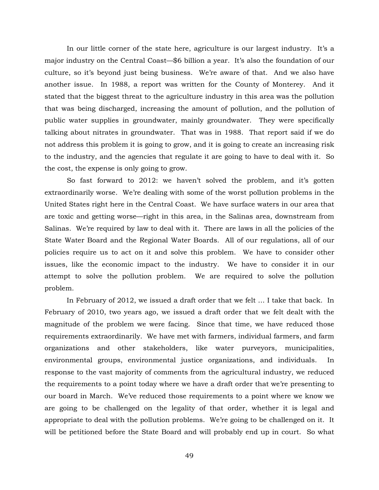In our little corner of the state here, agriculture is our largest industry. It's a major industry on the Central Coast—\$6 billion a year. It's also the foundation of our culture, so it's beyond just being business. We're aware of that. And we also have another issue. In 1988, a report was written for the County of Monterey. And it stated that the biggest threat to the agriculture industry in this area was the pollution that was being discharged, increasing the amount of pollution, and the pollution of public water supplies in groundwater, mainly groundwater. They were specifically talking about nitrates in groundwater. That was in 1988. That report said if we do not address this problem it is going to grow, and it is going to create an increasing risk to the industry, and the agencies that regulate it are going to have to deal with it. So the cost, the expense is only going to grow.

So fast forward to 2012: we haven't solved the problem, and it's gotten extraordinarily worse. We're dealing with some of the worst pollution problems in the United States right here in the Central Coast. We have surface waters in our area that are toxic and getting worse—right in this area, in the Salinas area, downstream from Salinas. We're required by law to deal with it. There are laws in all the policies of the State Water Board and the Regional Water Boards. All of our regulations, all of our policies require us to act on it and solve this problem. We have to consider other issues, like the economic impact to the industry. We have to consider it in our attempt to solve the pollution problem. We are required to solve the pollution problem.

In February of 2012, we issued a draft order that we felt … I take that back. In February of 2010, two years ago, we issued a draft order that we felt dealt with the magnitude of the problem we were facing. Since that time, we have reduced those requirements extraordinarily. We have met with farmers, individual farmers, and farm organizations and other stakeholders, like water purveyors, municipalities, environmental groups, environmental justice organizations, and individuals. In response to the vast majority of comments from the agricultural industry, we reduced the requirements to a point today where we have a draft order that we're presenting to our board in March. We've reduced those requirements to a point where we know we are going to be challenged on the legality of that order, whether it is legal and appropriate to deal with the pollution problems. We're going to be challenged on it. It will be petitioned before the State Board and will probably end up in court. So what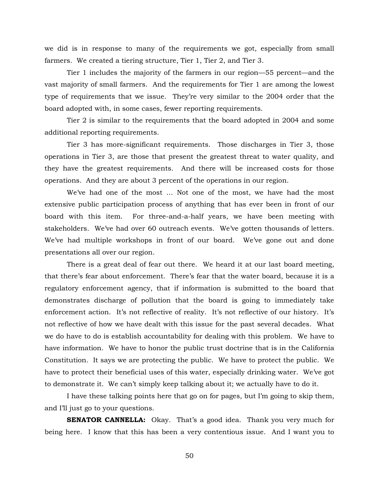we did is in response to many of the requirements we got, especially from small farmers. We created a tiering structure, Tier 1, Tier 2, and Tier 3.

Tier 1 includes the majority of the farmers in our region—55 percent—and the vast majority of small farmers. And the requirements for Tier 1 are among the lowest type of requirements that we issue. They're very similar to the 2004 order that the board adopted with, in some cases, fewer reporting requirements.

Tier 2 is similar to the requirements that the board adopted in 2004 and some additional reporting requirements.

Tier 3 has more-significant requirements. Those discharges in Tier 3, those operations in Tier 3, are those that present the greatest threat to water quality, and they have the greatest requirements. And there will be increased costs for those operations. And they are about 3 percent of the operations in our region.

We've had one of the most … Not one of the most, we have had the most extensive public participation process of anything that has ever been in front of our board with this item. For three-and-a-half years, we have been meeting with stakeholders. We've had over 60 outreach events. We've gotten thousands of letters. We've had multiple workshops in front of our board. We've gone out and done presentations all over our region.

There is a great deal of fear out there. We heard it at our last board meeting, that there's fear about enforcement. There's fear that the water board, because it is a regulatory enforcement agency, that if information is submitted to the board that demonstrates discharge of pollution that the board is going to immediately take enforcement action. It's not reflective of reality. It's not reflective of our history. It's not reflective of how we have dealt with this issue for the past several decades. What we do have to do is establish accountability for dealing with this problem. We have to have information. We have to honor the public trust doctrine that is in the California Constitution. It says we are protecting the public. We have to protect the public. We have to protect their beneficial uses of this water, especially drinking water. We've got to demonstrate it. We can't simply keep talking about it; we actually have to do it.

I have these talking points here that go on for pages, but I'm going to skip them, and I'll just go to your questions.

**SENATOR CANNELLA:** Okay. That's a good idea. Thank you very much for being here. I know that this has been a very contentious issue. And I want you to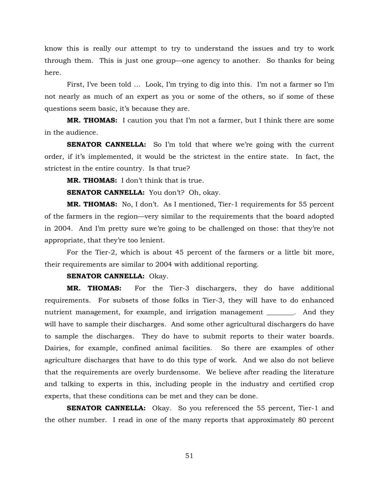know this is really our attempt to try to understand the issues and try to work through them. This is just one group—one agency to another. So thanks for being here.

First, I've been told … Look, I'm trying to dig into this. I'm not a farmer so I'm not nearly as much of an expert as you or some of the others, so if some of these questions seem basic, it's because they are.

**MR. THOMAS:** I caution you that I'm not a farmer, but I think there are some in the audience.

**SENATOR CANNELLA:** So I'm told that where we're going with the current order, if it's implemented, it would be the strictest in the entire state. In fact, the strictest in the entire country. Is that true?

**MR. THOMAS:** I don't think that is true.

**SENATOR CANNELLA:** You don't? Oh, okay.

**MR. THOMAS:** No, I don't. As I mentioned, Tier-1 requirements for 55 percent of the farmers in the region—very similar to the requirements that the board adopted in 2004. And I'm pretty sure we're going to be challenged on those: that they're not appropriate, that they're too lenient.

For the Tier-2, which is about 45 percent of the farmers or a little bit more, their requirements are similar to 2004 with additional reporting.

## **SENATOR CANNELLA:** Okay.

**MR. THOMAS:** For the Tier-3 dischargers, they do have additional requirements. For subsets of those folks in Tier-3, they will have to do enhanced nutrient management, for example, and irrigation management \_\_\_\_\_\_\_\_. And they will have to sample their discharges. And some other agricultural dischargers do have to sample the discharges. They do have to submit reports to their water boards. Dairies, for example, confined animal facilities. So there are examples of other agriculture discharges that have to do this type of work. And we also do not believe that the requirements are overly burdensome. We believe after reading the literature and talking to experts in this, including people in the industry and certified crop experts, that these conditions can be met and they can be done.

**SENATOR CANNELLA:** Okay. So you referenced the 55 percent, Tier-1 and the other number. I read in one of the many reports that approximately 80 percent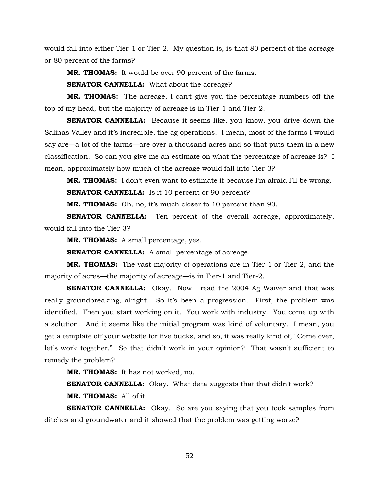would fall into either Tier-1 or Tier-2. My question is, is that 80 percent of the acreage or 80 percent of the farms?

**MR. THOMAS:** It would be over 90 percent of the farms.

**SENATOR CANNELLA:** What about the acreage?

**MR. THOMAS:** The acreage, I can't give you the percentage numbers off the top of my head, but the majority of acreage is in Tier-1 and Tier-2.

**SENATOR CANNELLA:** Because it seems like, you know, you drive down the Salinas Valley and it's incredible, the ag operations. I mean, most of the farms I would say are—a lot of the farms—are over a thousand acres and so that puts them in a new classification. So can you give me an estimate on what the percentage of acreage is? I mean, approximately how much of the acreage would fall into Tier-3?

**MR. THOMAS:** I don't even want to estimate it because I'm afraid I'll be wrong. **SENATOR CANNELLA:** Is it 10 percent or 90 percent?

**MR. THOMAS:** Oh, no, it's much closer to 10 percent than 90.

**SENATOR CANNELLA:** Ten percent of the overall acreage, approximately, would fall into the Tier-3?

**MR. THOMAS:** A small percentage, yes.

**SENATOR CANNELLA:** A small percentage of acreage.

**MR. THOMAS:** The vast majority of operations are in Tier-1 or Tier-2, and the majority of acres—the majority of acreage—is in Tier-1 and Tier-2.

**SENATOR CANNELLA:** Okay. Now I read the 2004 Ag Waiver and that was really groundbreaking, alright. So it's been a progression. First, the problem was identified. Then you start working on it. You work with industry. You come up with a solution. And it seems like the initial program was kind of voluntary. I mean, you get a template off your website for five bucks, and so, it was really kind of, "Come over, let's work together." So that didn't work in your opinion? That wasn't sufficient to remedy the problem?

**MR. THOMAS:** It has not worked, no.

**SENATOR CANNELLA:** Okay. What data suggests that that didn't work? **MR. THOMAS:** All of it.

**SENATOR CANNELLA:** Okay. So are you saying that you took samples from ditches and groundwater and it showed that the problem was getting worse?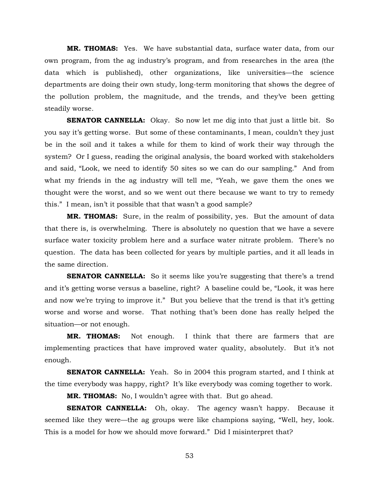**MR. THOMAS:** Yes. We have substantial data, surface water data, from our own program, from the ag industry's program, and from researches in the area (the data which is published), other organizations, like universities—the science departments are doing their own study, long-term monitoring that shows the degree of the pollution problem, the magnitude, and the trends, and they've been getting steadily worse.

**SENATOR CANNELLA:** Okay. So now let me dig into that just a little bit. So you say it's getting worse. But some of these contaminants, I mean, couldn't they just be in the soil and it takes a while for them to kind of work their way through the system? Or I guess, reading the original analysis, the board worked with stakeholders and said, "Look, we need to identify 50 sites so we can do our sampling." And from what my friends in the ag industry will tell me, "Yeah, we gave them the ones we thought were the worst, and so we went out there because we want to try to remedy this." I mean, isn't it possible that that wasn't a good sample?

**MR. THOMAS:** Sure, in the realm of possibility, yes. But the amount of data that there is, is overwhelming. There is absolutely no question that we have a severe surface water toxicity problem here and a surface water nitrate problem. There's no question. The data has been collected for years by multiple parties, and it all leads in the same direction.

**SENATOR CANNELLA:** So it seems like you're suggesting that there's a trend and it's getting worse versus a baseline, right? A baseline could be, "Look, it was here and now we're trying to improve it." But you believe that the trend is that it's getting worse and worse and worse. That nothing that's been done has really helped the situation—or not enough.

**MR. THOMAS:** Not enough. I think that there are farmers that are implementing practices that have improved water quality, absolutely. But it's not enough.

**SENATOR CANNELLA:** Yeah. So in 2004 this program started, and I think at the time everybody was happy, right? It's like everybody was coming together to work.

**MR. THOMAS:** No, I wouldn't agree with that. But go ahead.

**SENATOR CANNELLA:** Oh, okay. The agency wasn't happy. Because it seemed like they were—the ag groups were like champions saying, "Well, hey, look. This is a model for how we should move forward." Did I misinterpret that?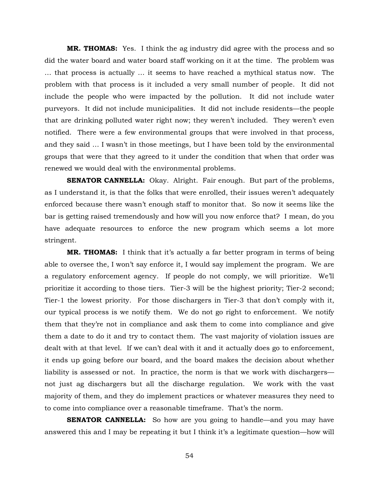**MR. THOMAS:** Yes. I think the ag industry did agree with the process and so did the water board and water board staff working on it at the time. The problem was … that process is actually … it seems to have reached a mythical status now. The problem with that process is it included a very small number of people. It did not include the people who were impacted by the pollution. It did not include water purveyors. It did not include municipalities. It did not include residents—the people that are drinking polluted water right now; they weren't included. They weren't even notified. There were a few environmental groups that were involved in that process, and they said … I wasn't in those meetings, but I have been told by the environmental groups that were that they agreed to it under the condition that when that order was renewed we would deal with the environmental problems.

**SENATOR CANNELLA:** Okay. Alright. Fair enough. But part of the problems, as I understand it, is that the folks that were enrolled, their issues weren't adequately enforced because there wasn't enough staff to monitor that. So now it seems like the bar is getting raised tremendously and how will you now enforce that? I mean, do you have adequate resources to enforce the new program which seems a lot more stringent.

**MR. THOMAS:** I think that it's actually a far better program in terms of being able to oversee the, I won't say enforce it, I would say implement the program. We are a regulatory enforcement agency. If people do not comply, we will prioritize. We'll prioritize it according to those tiers. Tier-3 will be the highest priority; Tier-2 second; Tier-1 the lowest priority. For those dischargers in Tier-3 that don't comply with it, our typical process is we notify them. We do not go right to enforcement. We notify them that they're not in compliance and ask them to come into compliance and give them a date to do it and try to contact them. The vast majority of violation issues are dealt with at that level. If we can't deal with it and it actually does go to enforcement, it ends up going before our board, and the board makes the decision about whether liability is assessed or not. In practice, the norm is that we work with dischargers not just ag dischargers but all the discharge regulation. We work with the vast majority of them, and they do implement practices or whatever measures they need to to come into compliance over a reasonable timeframe. That's the norm.

**SENATOR CANNELLA:** So how are you going to handle—and you may have answered this and I may be repeating it but I think it's a legitimate question—how will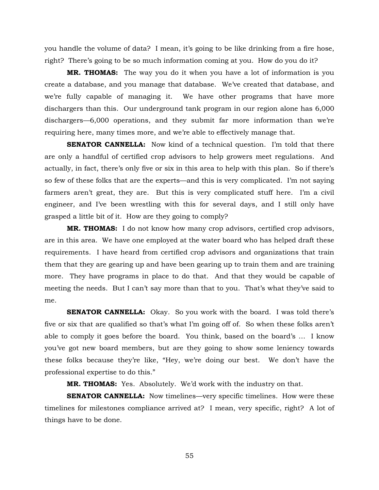you handle the volume of data? I mean, it's going to be like drinking from a fire hose, right? There's going to be so much information coming at you. How do you do it?

**MR. THOMAS:** The way you do it when you have a lot of information is you create a database, and you manage that database. We've created that database, and we're fully capable of managing it. We have other programs that have more dischargers than this. Our underground tank program in our region alone has 6,000 dischargers—6,000 operations, and they submit far more information than we're requiring here, many times more, and we're able to effectively manage that.

**SENATOR CANNELLA:** Now kind of a technical question. I'm told that there are only a handful of certified crop advisors to help growers meet regulations. And actually, in fact, there's only five or six in this area to help with this plan. So if there's so few of these folks that are the experts—and this is very complicated. I'm not saying farmers aren't great, they are. But this is very complicated stuff here. I'm a civil engineer, and I've been wrestling with this for several days, and I still only have grasped a little bit of it. How are they going to comply?

**MR. THOMAS:** I do not know how many crop advisors, certified crop advisors, are in this area. We have one employed at the water board who has helped draft these requirements. I have heard from certified crop advisors and organizations that train them that they are gearing up and have been gearing up to train them and are training more. They have programs in place to do that. And that they would be capable of meeting the needs. But I can't say more than that to you. That's what they've said to me.

**SENATOR CANNELLA:** Okay. So you work with the board. I was told there's five or six that are qualified so that's what I'm going off of. So when these folks aren't able to comply it goes before the board. You think, based on the board's … I know you've got new board members, but are they going to show some leniency towards these folks because they're like, "Hey, we're doing our best. We don't have the professional expertise to do this."

**MR. THOMAS:** Yes. Absolutely. We'd work with the industry on that.

**SENATOR CANNELLA:** Now timelines—very specific timelines. How were these timelines for milestones compliance arrived at? I mean, very specific, right? A lot of things have to be done.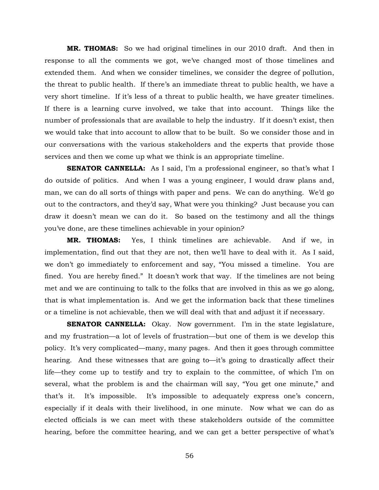**MR. THOMAS:** So we had original timelines in our 2010 draft. And then in response to all the comments we got, we've changed most of those timelines and extended them. And when we consider timelines, we consider the degree of pollution, the threat to public health. If there's an immediate threat to public health, we have a very short timeline. If it's less of a threat to public health, we have greater timelines. If there is a learning curve involved, we take that into account. Things like the number of professionals that are available to help the industry. If it doesn't exist, then we would take that into account to allow that to be built. So we consider those and in our conversations with the various stakeholders and the experts that provide those services and then we come up what we think is an appropriate timeline.

**SENATOR CANNELLA:** As I said, I'm a professional engineer, so that's what I do outside of politics. And when I was a young engineer, I would draw plans and, man, we can do all sorts of things with paper and pens. We can do anything. We'd go out to the contractors, and they'd say, What were you thinking? Just because you can draw it doesn't mean we can do it. So based on the testimony and all the things you've done, are these timelines achievable in your opinion?

**MR. THOMAS:** Yes, I think timelines are achievable. And if we, in implementation, find out that they are not, then we'll have to deal with it. As I said, we don't go immediately to enforcement and say, "You missed a timeline. You are fined. You are hereby fined." It doesn't work that way. If the timelines are not being met and we are continuing to talk to the folks that are involved in this as we go along, that is what implementation is. And we get the information back that these timelines or a timeline is not achievable, then we will deal with that and adjust it if necessary.

**SENATOR CANNELLA:** Okay. Now government. I'm in the state legislature, and my frustration—a lot of levels of frustration—but one of them is we develop this policy. It's very complicated—many, many pages. And then it goes through committee hearing. And these witnesses that are going to—it's going to drastically affect their life—they come up to testify and try to explain to the committee, of which I'm on several, what the problem is and the chairman will say, "You get one minute," and that's it. It's impossible. It's impossible to adequately express one's concern, especially if it deals with their livelihood, in one minute. Now what we can do as elected officials is we can meet with these stakeholders outside of the committee hearing, before the committee hearing, and we can get a better perspective of what's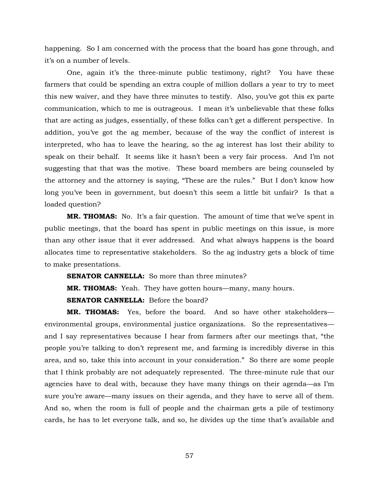happening. So I am concerned with the process that the board has gone through, and it's on a number of levels.

One, again it's the three-minute public testimony, right? You have these farmers that could be spending an extra couple of million dollars a year to try to meet this new waiver, and they have three minutes to testify. Also, you've got this ex parte communication, which to me is outrageous. I mean it's unbelievable that these folks that are acting as judges, essentially, of these folks can't get a different perspective. In addition, you've got the ag member, because of the way the conflict of interest is interpreted, who has to leave the hearing, so the ag interest has lost their ability to speak on their behalf. It seems like it hasn't been a very fair process. And I'm not suggesting that that was the motive. These board members are being counseled by the attorney and the attorney is saying, "These are the rules." But I don't know how long you've been in government, but doesn't this seem a little bit unfair? Is that a loaded question?

**MR. THOMAS:** No. It's a fair question. The amount of time that we've spent in public meetings, that the board has spent in public meetings on this issue, is more than any other issue that it ever addressed. And what always happens is the board allocates time to representative stakeholders. So the ag industry gets a block of time to make presentations.

**SENATOR CANNELLA:** So more than three minutes?

**MR. THOMAS:** Yeah. They have gotten hours—many, many hours.

**SENATOR CANNELLA:** Before the board?

**MR. THOMAS:** Yes, before the board. And so have other stakeholders environmental groups, environmental justice organizations. So the representatives and I say representatives because I hear from farmers after our meetings that, "the people you're talking to don't represent me, and farming is incredibly diverse in this area, and so, take this into account in your consideration." So there are some people that I think probably are not adequately represented. The three-minute rule that our agencies have to deal with, because they have many things on their agenda—as I'm sure you're aware—many issues on their agenda, and they have to serve all of them. And so, when the room is full of people and the chairman gets a pile of testimony cards, he has to let everyone talk, and so, he divides up the time that's available and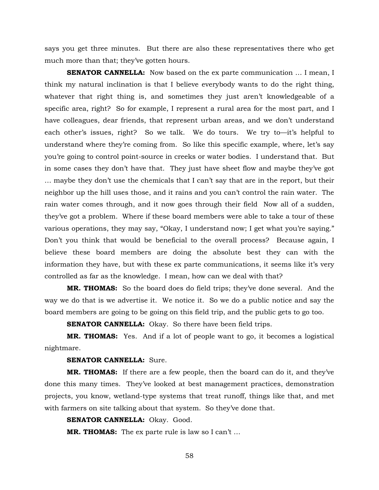says you get three minutes. But there are also these representatives there who get much more than that; they've gotten hours.

**SENATOR CANNELLA:** Now based on the ex parte communication ... I mean, I think my natural inclination is that I believe everybody wants to do the right thing, whatever that right thing is, and sometimes they just aren't knowledgeable of a specific area, right? So for example, I represent a rural area for the most part, and I have colleagues, dear friends, that represent urban areas, and we don't understand each other's issues, right? So we talk. We do tours. We try to—it's helpful to understand where they're coming from. So like this specific example, where, let's say you're going to control point-source in creeks or water bodies. I understand that. But in some cases they don't have that. They just have sheet flow and maybe they've got … maybe they don't use the chemicals that I can't say that are in the report, but their neighbor up the hill uses those, and it rains and you can't control the rain water. The rain water comes through, and it now goes through their field Now all of a sudden, they've got a problem. Where if these board members were able to take a tour of these various operations, they may say, "Okay, I understand now; I get what you're saying." Don't you think that would be beneficial to the overall process? Because again, I believe these board members are doing the absolute best they can with the information they have, but with these ex parte communications, it seems like it's very controlled as far as the knowledge. I mean, how can we deal with that?

**MR. THOMAS:** So the board does do field trips; they've done several. And the way we do that is we advertise it. We notice it. So we do a public notice and say the board members are going to be going on this field trip, and the public gets to go too.

**SENATOR CANNELLA:** Okay. So there have been field trips.

**MR. THOMAS:** Yes. And if a lot of people want to go, it becomes a logistical nightmare.

## **SENATOR CANNELLA:** Sure.

**MR. THOMAS:** If there are a few people, then the board can do it, and they've done this many times. They've looked at best management practices, demonstration projects, you know, wetland-type systems that treat runoff, things like that, and met with farmers on site talking about that system. So they've done that.

## **SENATOR CANNELLA: Okay. Good.**

**MR. THOMAS:** The ex parte rule is law so I can't …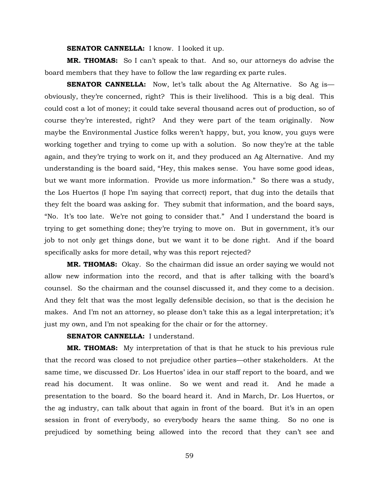#### **SENATOR CANNELLA:** I know. I looked it up.

**MR. THOMAS:** So I can't speak to that. And so, our attorneys do advise the board members that they have to follow the law regarding ex parte rules.

**SENATOR CANNELLA:** Now, let's talk about the Ag Alternative. So Ag is obviously, they're concerned, right? This is their livelihood. This is a big deal. This could cost a lot of money; it could take several thousand acres out of production, so of course they're interested, right? And they were part of the team originally. Now maybe the Environmental Justice folks weren't happy, but, you know, you guys were working together and trying to come up with a solution. So now they're at the table again, and they're trying to work on it, and they produced an Ag Alternative. And my understanding is the board said, "Hey, this makes sense. You have some good ideas, but we want more information. Provide us more information." So there was a study, the Los Huertos (I hope I'm saying that correct) report, that dug into the details that they felt the board was asking for. They submit that information, and the board says, "No. It's too late. We're not going to consider that." And I understand the board is trying to get something done; they're trying to move on. But in government, it's our job to not only get things done, but we want it to be done right. And if the board specifically asks for more detail, why was this report rejected?

**MR. THOMAS:** Okay. So the chairman did issue an order saying we would not allow new information into the record, and that is after talking with the board's counsel. So the chairman and the counsel discussed it, and they come to a decision. And they felt that was the most legally defensible decision, so that is the decision he makes. And I'm not an attorney, so please don't take this as a legal interpretation; it's just my own, and I'm not speaking for the chair or for the attorney.

# **SENATOR CANNELLA:** I understand.

**MR. THOMAS:** My interpretation of that is that he stuck to his previous rule that the record was closed to not prejudice other parties—other stakeholders. At the same time, we discussed Dr. Los Huertos' idea in our staff report to the board, and we read his document. It was online. So we went and read it. And he made a presentation to the board. So the board heard it. And in March, Dr. Los Huertos, or the ag industry, can talk about that again in front of the board. But it's in an open session in front of everybody, so everybody hears the same thing. So no one is prejudiced by something being allowed into the record that they can't see and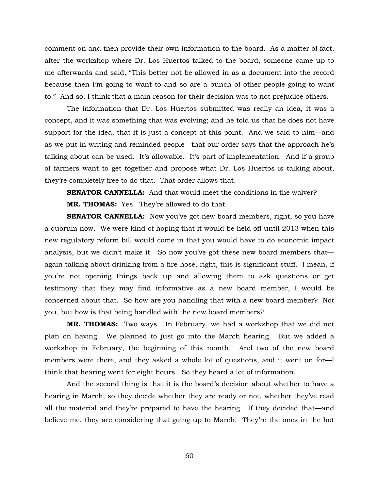comment on and then provide their own information to the board. As a matter of fact, after the workshop where Dr. Los Huertos talked to the board, someone came up to me afterwards and said, "This better not be allowed in as a document into the record because then I'm going to want to and so are a bunch of other people going to want to." And so, I think that a main reason for their decision was to not prejudice others.

The information that Dr. Los Huertos submitted was really an idea, it was a concept, and it was something that was evolving; and he told us that he does not have support for the idea, that it is just a concept at this point. And we said to him—and as we put in writing and reminded people—that our order says that the approach he's talking about can be used. It's allowable. It's part of implementation. And if a group of farmers want to get together and propose what Dr. Los Huertos is talking about, they're completely free to do that. That order allows that.

**SENATOR CANNELLA:** And that would meet the conditions in the waiver? **MR. THOMAS:** Yes. They're allowed to do that.

**SENATOR CANNELLA:** Now you've got new board members, right, so you have a quorum now. We were kind of hoping that it would be held off until 2013 when this new regulatory reform bill would come in that you would have to do economic impact analysis, but we didn't make it. So now you've got these new board members that again talking about drinking from a fire hose, right, this is significant stuff. I mean, if you're not opening things back up and allowing them to ask questions or get testimony that they may find informative as a new board member, I would be concerned about that. So how are you handling that with a new board member? Not you, but how is that being handled with the new board members?

**MR. THOMAS:** Two ways. In February, we had a workshop that we did not plan on having. We planned to just go into the March hearing. But we added a workshop in February, the beginning of this month. And two of the new board members were there, and they asked a whole lot of questions, and it went on for—I think that hearing went for eight hours. So they heard a lot of information.

And the second thing is that it is the board's decision about whether to have a hearing in March, so they decide whether they are ready or not, whether they've read all the material and they're prepared to have the hearing. If they decided that—and believe me, they are considering that going up to March. They're the ones in the hot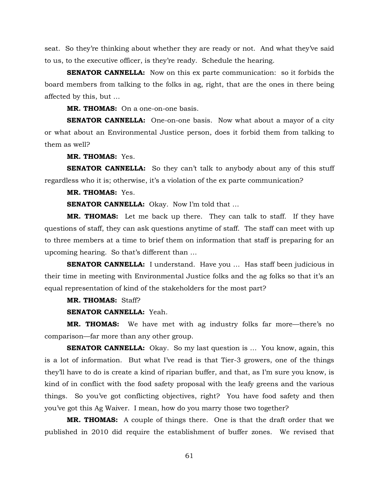seat. So they're thinking about whether they are ready or not. And what they've said to us, to the executive officer, is they're ready. Schedule the hearing.

**SENATOR CANNELLA:** Now on this ex parte communication: so it forbids the board members from talking to the folks in ag, right, that are the ones in there being affected by this, but …

**MR. THOMAS:** On a one-on-one basis.

**SENATOR CANNELLA:** One-on-one basis. Now what about a mayor of a city or what about an Environmental Justice person, does it forbid them from talking to them as well?

**MR. THOMAS:** Yes.

**SENATOR CANNELLA:** So they can't talk to anybody about any of this stuff regardless who it is; otherwise, it's a violation of the ex parte communication?

**MR. THOMAS:** Yes.

**SENATOR CANNELLA:** Okay. Now I'm told that ...

**MR. THOMAS:** Let me back up there. They can talk to staff. If they have questions of staff, they can ask questions anytime of staff. The staff can meet with up to three members at a time to brief them on information that staff is preparing for an upcoming hearing. So that's different than …

**SENATOR CANNELLA:** I understand. Have you ... Has staff been judicious in their time in meeting with Environmental Justice folks and the ag folks so that it's an equal representation of kind of the stakeholders for the most part?

## **MR. THOMAS:** Staff?

**SENATOR CANNELLA:** Yeah.

**MR. THOMAS:** We have met with ag industry folks far more—there's no comparison—far more than any other group.

**SENATOR CANNELLA:** Okay. So my last question is ... You know, again, this is a lot of information. But what I've read is that Tier-3 growers, one of the things they'll have to do is create a kind of riparian buffer, and that, as I'm sure you know, is kind of in conflict with the food safety proposal with the leafy greens and the various things. So you've got conflicting objectives, right? You have food safety and then you've got this Ag Waiver. I mean, how do you marry those two together?

**MR. THOMAS:** A couple of things there. One is that the draft order that we published in 2010 did require the establishment of buffer zones. We revised that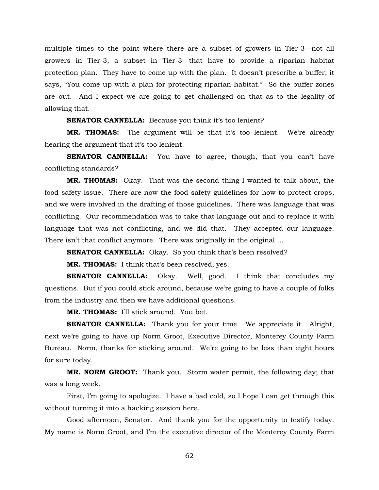multiple times to the point where there are a subset of growers in Tier-3—not all growers in Tier-3, a subset in Tier-3—that have to provide a riparian habitat protection plan. They have to come up with the plan. It doesn't prescribe a buffer; it says, "You come up with a plan for protecting riparian habitat." So the buffer zones are out. And I expect we are going to get challenged on that as to the legality of allowing that.

**SENATOR CANNELLA:** Because you think it's too lenient?

**MR. THOMAS:** The argument will be that it's too lenient. We're already hearing the argument that it's too lenient.

**SENATOR CANNELLA:** You have to agree, though, that you can't have conflicting standards?

**MR. THOMAS:** Okay. That was the second thing I wanted to talk about, the food safety issue. There are now the food safety guidelines for how to protect crops, and we were involved in the drafting of those guidelines. There was language that was conflicting. Our recommendation was to take that language out and to replace it with language that was not conflicting, and we did that. They accepted our language. There isn't that conflict anymore. There was originally in the original ...

**SENATOR CANNELLA:** Okay. So you think that's been resolved?

**MR. THOMAS:** I think that's been resolved, yes.

**SENATOR CANNELLA:** Okay. Well, good. I think that concludes my questions. But if you could stick around, because we're going to have a couple of folks from the industry and then we have additional questions.

**MR. THOMAS:** I'll stick around. You bet.

**SENATOR CANNELLA:** Thank you for your time. We appreciate it. Alright, next we're going to have up Norm Groot, Executive Director, Monterey County Farm Bureau. Norm, thanks for sticking around. We're going to be less than eight hours for sure today.

**MR. NORM GROOT:** Thank you. Storm water permit, the following day; that was a long week.

First, I'm going to apologize. I have a bad cold, so I hope I can get through this without turning it into a hacking session here.

Good afternoon, Senator. And thank you for the opportunity to testify today. My name is Norm Groot, and I'm the executive director of the Monterey County Farm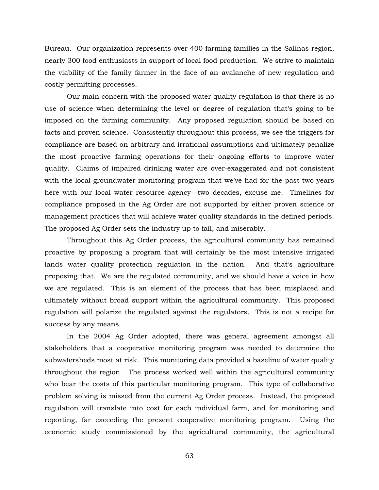Bureau. Our organization represents over 400 farming families in the Salinas region, nearly 300 food enthusiasts in support of local food production. We strive to maintain the viability of the family farmer in the face of an avalanche of new regulation and costly permitting processes.

Our main concern with the proposed water quality regulation is that there is no use of science when determining the level or degree of regulation that's going to be imposed on the farming community. Any proposed regulation should be based on facts and proven science. Consistently throughout this process, we see the triggers for compliance are based on arbitrary and irrational assumptions and ultimately penalize the most proactive farming operations for their ongoing efforts to improve water quality. Claims of impaired drinking water are over-exaggerated and not consistent with the local groundwater monitoring program that we've had for the past two years here with our local water resource agency—two decades, excuse me. Timelines for compliance proposed in the Ag Order are not supported by either proven science or management practices that will achieve water quality standards in the defined periods. The proposed Ag Order sets the industry up to fail, and miserably.

Throughout this Ag Order process, the agricultural community has remained proactive by proposing a program that will certainly be the most intensive irrigated lands water quality protection regulation in the nation. And that's agriculture proposing that. We are the regulated community, and we should have a voice in how we are regulated. This is an element of the process that has been misplaced and ultimately without broad support within the agricultural community. This proposed regulation will polarize the regulated against the regulators. This is not a recipe for success by any means.

In the 2004 Ag Order adopted, there was general agreement amongst all stakeholders that a cooperative monitoring program was needed to determine the subwatersheds most at risk. This monitoring data provided a baseline of water quality throughout the region. The process worked well within the agricultural community who bear the costs of this particular monitoring program. This type of collaborative problem solving is missed from the current Ag Order process. Instead, the proposed regulation will translate into cost for each individual farm, and for monitoring and reporting, far exceeding the present cooperative monitoring program. Using the economic study commissioned by the agricultural community, the agricultural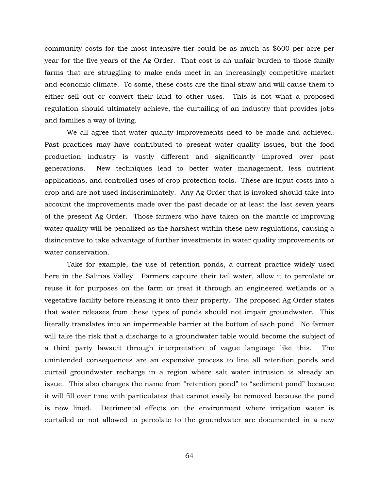community costs for the most intensive tier could be as much as \$600 per acre per year for the five years of the Ag Order. That cost is an unfair burden to those family farms that are struggling to make ends meet in an increasingly competitive market and economic climate. To some, these costs are the final straw and will cause them to either sell out or convert their land to other uses. This is not what a proposed regulation should ultimately achieve, the curtailing of an industry that provides jobs and families a way of living.

We all agree that water quality improvements need to be made and achieved. Past practices may have contributed to present water quality issues, but the food production industry is vastly different and significantly improved over past generations. New techniques lead to better water management, less nutrient applications, and controlled uses of crop protection tools. These are input costs into a crop and are not used indiscriminately. Any Ag Order that is invoked should take into account the improvements made over the past decade or at least the last seven years of the present Ag Order. Those farmers who have taken on the mantle of improving water quality will be penalized as the harshest within these new regulations, causing a disincentive to take advantage of further investments in water quality improvements or water conservation.

Take for example, the use of retention ponds, a current practice widely used here in the Salinas Valley. Farmers capture their tail water, allow it to percolate or reuse it for purposes on the farm or treat it through an engineered wetlands or a vegetative facility before releasing it onto their property. The proposed Ag Order states that water releases from these types of ponds should not impair groundwater. This literally translates into an impermeable barrier at the bottom of each pond. No farmer will take the risk that a discharge to a groundwater table would become the subject of a third party lawsuit through interpretation of vague language like this. The unintended consequences are an expensive process to line all retention ponds and curtail groundwater recharge in a region where salt water intrusion is already an issue. This also changes the name from "retention pond" to "sediment pond" because it will fill over time with particulates that cannot easily be removed because the pond is now lined. Detrimental effects on the environment where irrigation water is curtailed or not allowed to percolate to the groundwater are documented in a new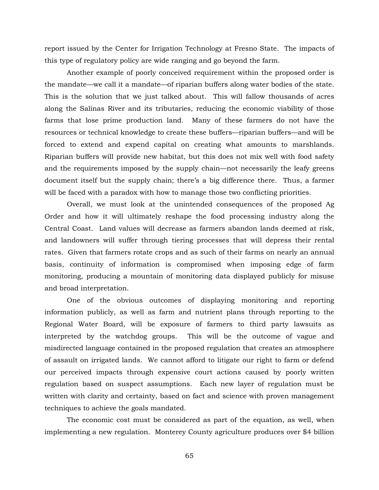report issued by the Center for Irrigation Technology at Fresno State. The impacts of this type of regulatory policy are wide ranging and go beyond the farm.

Another example of poorly conceived requirement within the proposed order is the mandate—we call it a mandate—of riparian buffers along water bodies of the state. This is the solution that we just talked about. This will fallow thousands of acres along the Salinas River and its tributaries, reducing the economic viability of those farms that lose prime production land. Many of these farmers do not have the resources or technical knowledge to create these buffers—riparian buffers—and will be forced to extend and expend capital on creating what amounts to marshlands. Riparian buffers will provide new habitat, but this does not mix well with food safety and the requirements imposed by the supply chain—not necessarily the leafy greens document itself but the supply chain; there's a big difference there. Thus, a farmer will be faced with a paradox with how to manage those two conflicting priorities.

Overall, we must look at the unintended consequences of the proposed Ag Order and how it will ultimately reshape the food processing industry along the Central Coast. Land values will decrease as farmers abandon lands deemed at risk, and landowners will suffer through tiering processes that will depress their rental rates. Given that farmers rotate crops and as such of their farms on nearly an annual basis, continuity of information is compromised when imposing edge of farm monitoring, producing a mountain of monitoring data displayed publicly for misuse and broad interpretation.

One of the obvious outcomes of displaying monitoring and reporting information publicly, as well as farm and nutrient plans through reporting to the Regional Water Board, will be exposure of farmers to third party lawsuits as interpreted by the watchdog groups. This will be the outcome of vague and misdirected language contained in the proposed regulation that creates an atmosphere of assault on irrigated lands. We cannot afford to litigate our right to farm or defend our perceived impacts through expensive court actions caused by poorly written regulation based on suspect assumptions. Each new layer of regulation must be written with clarity and certainty, based on fact and science with proven management techniques to achieve the goals mandated.

The economic cost must be considered as part of the equation, as well, when implementing a new regulation. Monterey County agriculture produces over \$4 billion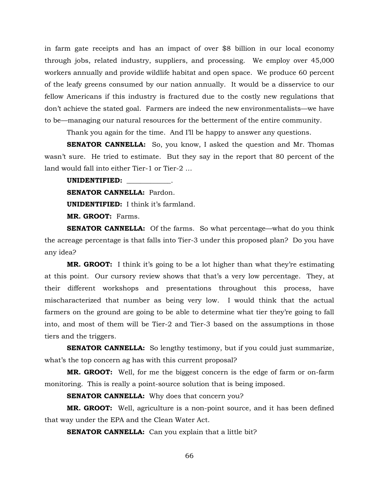in farm gate receipts and has an impact of over \$8 billion in our local economy through jobs, related industry, suppliers, and processing. We employ over 45,000 workers annually and provide wildlife habitat and open space. We produce 60 percent of the leafy greens consumed by our nation annually. It would be a disservice to our fellow Americans if this industry is fractured due to the costly new regulations that don't achieve the stated goal. Farmers are indeed the new environmentalists—we have to be—managing our natural resources for the betterment of the entire community.

Thank you again for the time. And I'll be happy to answer any questions.

**SENATOR CANNELLA:** So, you know, I asked the question and Mr. Thomas wasn't sure. He tried to estimate. But they say in the report that 80 percent of the land would fall into either Tier-1 or Tier-2 …

**UNIDENTIFIED:** \_\_\_\_\_\_\_\_\_\_\_\_\_.

**SENATOR CANNELLA: Pardon.** 

**UNIDENTIFIED:** I think it's farmland.

**MR. GROOT:** Farms.

**SENATOR CANNELLA:** Of the farms. So what percentage—what do you think the acreage percentage is that falls into Tier-3 under this proposed plan? Do you have any idea?

**MR. GROOT:** I think it's going to be a lot higher than what they're estimating at this point. Our cursory review shows that that's a very low percentage. They, at their different workshops and presentations throughout this process, have mischaracterized that number as being very low. I would think that the actual farmers on the ground are going to be able to determine what tier they're going to fall into, and most of them will be Tier-2 and Tier-3 based on the assumptions in those tiers and the triggers.

**SENATOR CANNELLA:** So lengthy testimony, but if you could just summarize, what's the top concern ag has with this current proposal?

**MR. GROOT:** Well, for me the biggest concern is the edge of farm or on-farm monitoring. This is really a point-source solution that is being imposed.

**SENATOR CANNELLA:** Why does that concern you?

**MR. GROOT:** Well, agriculture is a non-point source, and it has been defined that way under the EPA and the Clean Water Act.

**SENATOR CANNELLA:** Can you explain that a little bit?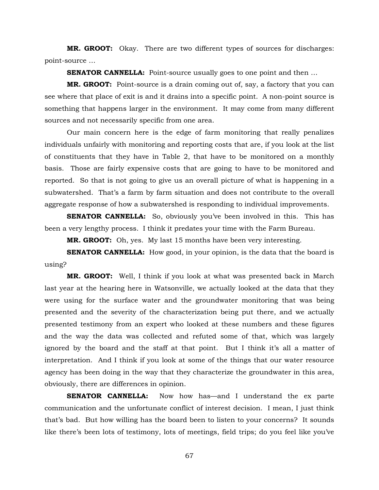**MR. GROOT:** Okay. There are two different types of sources for discharges: point-source …

**SENATOR CANNELLA:** Point-source usually goes to one point and then ...

**MR. GROOT:** Point-source is a drain coming out of, say, a factory that you can see where that place of exit is and it drains into a specific point. A non-point source is something that happens larger in the environment. It may come from many different sources and not necessarily specific from one area.

Our main concern here is the edge of farm monitoring that really penalizes individuals unfairly with monitoring and reporting costs that are, if you look at the list of constituents that they have in Table 2, that have to be monitored on a monthly basis. Those are fairly expensive costs that are going to have to be monitored and reported. So that is not going to give us an overall picture of what is happening in a subwatershed. That's a farm by farm situation and does not contribute to the overall aggregate response of how a subwatershed is responding to individual improvements.

**SENATOR CANNELLA:** So, obviously you've been involved in this. This has been a very lengthy process. I think it predates your time with the Farm Bureau.

**MR. GROOT:** Oh, yes. My last 15 months have been very interesting.

**SENATOR CANNELLA:** How good, in your opinion, is the data that the board is using?

**MR. GROOT:** Well, I think if you look at what was presented back in March last year at the hearing here in Watsonville, we actually looked at the data that they were using for the surface water and the groundwater monitoring that was being presented and the severity of the characterization being put there, and we actually presented testimony from an expert who looked at these numbers and these figures and the way the data was collected and refuted some of that, which was largely ignored by the board and the staff at that point. But I think it's all a matter of interpretation. And I think if you look at some of the things that our water resource agency has been doing in the way that they characterize the groundwater in this area, obviously, there are differences in opinion.

**SENATOR CANNELLA:** Now how has—and I understand the ex parte communication and the unfortunate conflict of interest decision. I mean, I just think that's bad. But how willing has the board been to listen to your concerns? It sounds like there's been lots of testimony, lots of meetings, field trips; do you feel like you've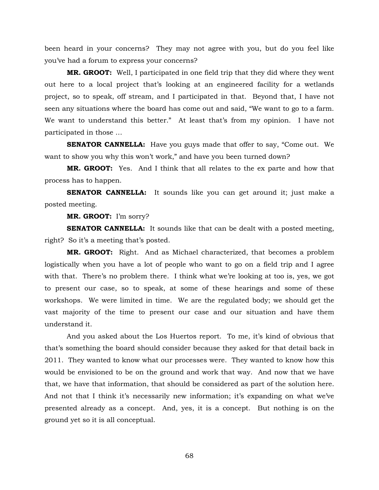been heard in your concerns? They may not agree with you, but do you feel like you've had a forum to express your concerns?

**MR. GROOT:** Well, I participated in one field trip that they did where they went out here to a local project that's looking at an engineered facility for a wetlands project, so to speak, off stream, and I participated in that. Beyond that, I have not seen any situations where the board has come out and said, "We want to go to a farm. We want to understand this better." At least that's from my opinion. I have not participated in those …

**SENATOR CANNELLA:** Have you guys made that offer to say, "Come out. We want to show you why this won't work," and have you been turned down?

**MR. GROOT:** Yes. And I think that all relates to the ex parte and how that process has to happen.

**SENATOR CANNELLA:** It sounds like you can get around it; just make a posted meeting.

**MR. GROOT:** I'm sorry?

**SENATOR CANNELLA:** It sounds like that can be dealt with a posted meeting, right? So it's a meeting that's posted.

**MR. GROOT:** Right. And as Michael characterized, that becomes a problem logistically when you have a lot of people who want to go on a field trip and I agree with that. There's no problem there. I think what we're looking at too is, yes, we got to present our case, so to speak, at some of these hearings and some of these workshops. We were limited in time. We are the regulated body; we should get the vast majority of the time to present our case and our situation and have them understand it.

And you asked about the Los Huertos report. To me, it's kind of obvious that that's something the board should consider because they asked for that detail back in 2011. They wanted to know what our processes were. They wanted to know how this would be envisioned to be on the ground and work that way. And now that we have that, we have that information, that should be considered as part of the solution here. And not that I think it's necessarily new information; it's expanding on what we've presented already as a concept. And, yes, it is a concept. But nothing is on the ground yet so it is all conceptual.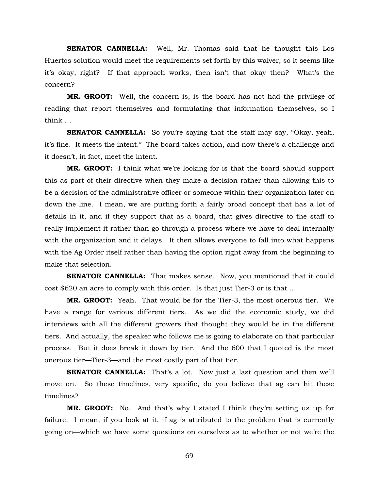**SENATOR CANNELLA:** Well, Mr. Thomas said that he thought this Los Huertos solution would meet the requirements set forth by this waiver, so it seems like it's okay, right? If that approach works, then isn't that okay then? What's the concern?

**MR. GROOT:** Well, the concern is, is the board has not had the privilege of reading that report themselves and formulating that information themselves, so I think …

**SENATOR CANNELLA:** So you're saying that the staff may say, "Okay, yeah, it's fine. It meets the intent." The board takes action, and now there's a challenge and it doesn't, in fact, meet the intent.

**MR. GROOT:** I think what we're looking for is that the board should support this as part of their directive when they make a decision rather than allowing this to be a decision of the administrative officer or someone within their organization later on down the line. I mean, we are putting forth a fairly broad concept that has a lot of details in it, and if they support that as a board, that gives directive to the staff to really implement it rather than go through a process where we have to deal internally with the organization and it delays. It then allows everyone to fall into what happens with the Ag Order itself rather than having the option right away from the beginning to make that selection.

**SENATOR CANNELLA:** That makes sense. Now, you mentioned that it could cost \$620 an acre to comply with this order. Is that just Tier-3 or is that …

**MR. GROOT:** Yeah. That would be for the Tier-3, the most onerous tier. We have a range for various different tiers. As we did the economic study, we did interviews with all the different growers that thought they would be in the different tiers. And actually, the speaker who follows me is going to elaborate on that particular process. But it does break it down by tier. And the 600 that I quoted is the most onerous tier—Tier-3—and the most costly part of that tier.

**SENATOR CANNELLA:** That's a lot. Now just a last question and then we'll move on. So these timelines, very specific, do you believe that ag can hit these timelines?

**MR. GROOT:** No. And that's why I stated I think they're setting us up for failure. I mean, if you look at it, if ag is attributed to the problem that is currently going on—which we have some questions on ourselves as to whether or not we're the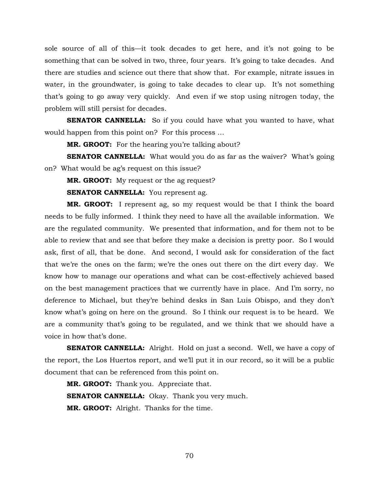sole source of all of this—it took decades to get here, and it's not going to be something that can be solved in two, three, four years. It's going to take decades. And there are studies and science out there that show that. For example, nitrate issues in water, in the groundwater, is going to take decades to clear up. It's not something that's going to go away very quickly. And even if we stop using nitrogen today, the problem will still persist for decades.

**SENATOR CANNELLA:** So if you could have what you wanted to have, what would happen from this point on? For this process …

**MR. GROOT:** For the hearing you're talking about?

**SENATOR CANNELLA:** What would you do as far as the waiver? What's going on? What would be ag's request on this issue?

**MR. GROOT:** My request or the ag request?

**SENATOR CANNELLA:** You represent ag.

**MR. GROOT:** I represent ag, so my request would be that I think the board needs to be fully informed. I think they need to have all the available information. We are the regulated community. We presented that information, and for them not to be able to review that and see that before they make a decision is pretty poor. So I would ask, first of all, that be done. And second, I would ask for consideration of the fact that we're the ones on the farm; we're the ones out there on the dirt every day. We know how to manage our operations and what can be cost-effectively achieved based on the best management practices that we currently have in place. And I'm sorry, no deference to Michael, but they're behind desks in San Luis Obispo, and they don't know what's going on here on the ground. So I think our request is to be heard. We are a community that's going to be regulated, and we think that we should have a voice in how that's done.

**SENATOR CANNELLA:** Alright. Hold on just a second. Well, we have a copy of the report, the Los Huertos report, and we'll put it in our record, so it will be a public document that can be referenced from this point on.

**MR. GROOT:** Thank you. Appreciate that. **SENATOR CANNELLA:** Okay. Thank you very much. **MR. GROOT:** Alright. Thanks for the time.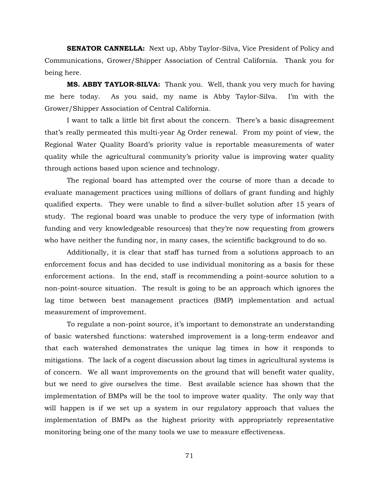**SENATOR CANNELLA:** Next up, Abby Taylor-Silva, Vice President of Policy and Communications, Grower/Shipper Association of Central California. Thank you for being here.

**MS. ABBY TAYLOR-SILVA:** Thank you. Well, thank you very much for having me here today. As you said, my name is Abby Taylor-Silva. I'm with the Grower/Shipper Association of Central California.

I want to talk a little bit first about the concern. There's a basic disagreement that's really permeated this multi-year Ag Order renewal. From my point of view, the Regional Water Quality Board's priority value is reportable measurements of water quality while the agricultural community's priority value is improving water quality through actions based upon science and technology.

The regional board has attempted over the course of more than a decade to evaluate management practices using millions of dollars of grant funding and highly qualified experts. They were unable to find a silver-bullet solution after 15 years of study. The regional board was unable to produce the very type of information (with funding and very knowledgeable resources) that they're now requesting from growers who have neither the funding nor, in many cases, the scientific background to do so.

Additionally, it is clear that staff has turned from a solutions approach to an enforcement focus and has decided to use individual monitoring as a basis for these enforcement actions. In the end, staff is recommending a point-source solution to a non-point-source situation. The result is going to be an approach which ignores the lag time between best management practices (BMP) implementation and actual measurement of improvement.

To regulate a non-point source, it's important to demonstrate an understanding of basic watershed functions: watershed improvement is a long-term endeavor and that each watershed demonstrates the unique lag times in how it responds to mitigations. The lack of a cogent discussion about lag times in agricultural systems is of concern. We all want improvements on the ground that will benefit water quality, but we need to give ourselves the time. Best available science has shown that the implementation of BMPs will be the tool to improve water quality. The only way that will happen is if we set up a system in our regulatory approach that values the implementation of BMPs as the highest priority with appropriately representative monitoring being one of the many tools we use to measure effectiveness.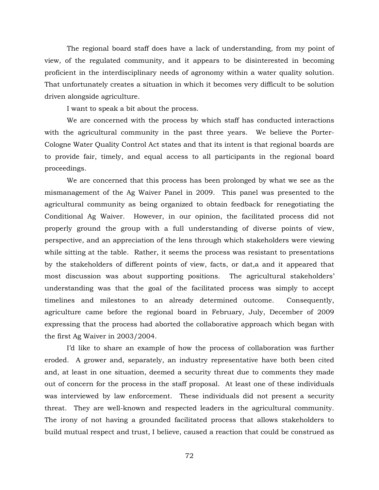The regional board staff does have a lack of understanding, from my point of view, of the regulated community, and it appears to be disinterested in becoming proficient in the interdisciplinary needs of agronomy within a water quality solution. That unfortunately creates a situation in which it becomes very difficult to be solution driven alongside agriculture.

I want to speak a bit about the process.

We are concerned with the process by which staff has conducted interactions with the agricultural community in the past three years. We believe the Porter-Cologne Water Quality Control Act states and that its intent is that regional boards are to provide fair, timely, and equal access to all participants in the regional board proceedings.

We are concerned that this process has been prolonged by what we see as the mismanagement of the Ag Waiver Panel in 2009. This panel was presented to the agricultural community as being organized to obtain feedback for renegotiating the Conditional Ag Waiver. However, in our opinion, the facilitated process did not properly ground the group with a full understanding of diverse points of view, perspective, and an appreciation of the lens through which stakeholders were viewing while sitting at the table. Rather, it seems the process was resistant to presentations by the stakeholders of different points of view, facts, or dat,a and it appeared that most discussion was about supporting positions. The agricultural stakeholders' understanding was that the goal of the facilitated process was simply to accept timelines and milestones to an already determined outcome. Consequently, agriculture came before the regional board in February, July, December of 2009 expressing that the process had aborted the collaborative approach which began with the first Ag Waiver in 2003/2004.

I'd like to share an example of how the process of collaboration was further eroded. A grower and, separately, an industry representative have both been cited and, at least in one situation, deemed a security threat due to comments they made out of concern for the process in the staff proposal. At least one of these individuals was interviewed by law enforcement. These individuals did not present a security threat. They are well-known and respected leaders in the agricultural community. The irony of not having a grounded facilitated process that allows stakeholders to build mutual respect and trust, I believe, caused a reaction that could be construed as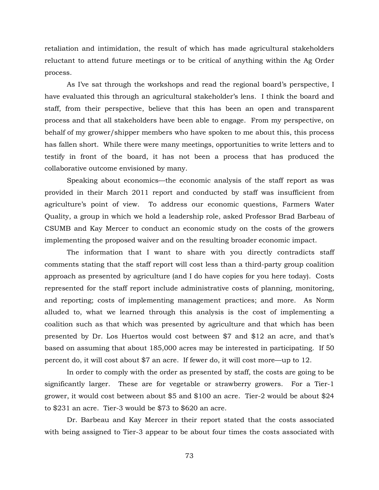retaliation and intimidation, the result of which has made agricultural stakeholders reluctant to attend future meetings or to be critical of anything within the Ag Order process.

As I've sat through the workshops and read the regional board's perspective, I have evaluated this through an agricultural stakeholder's lens. I think the board and staff, from their perspective, believe that this has been an open and transparent process and that all stakeholders have been able to engage. From my perspective, on behalf of my grower/shipper members who have spoken to me about this, this process has fallen short. While there were many meetings, opportunities to write letters and to testify in front of the board, it has not been a process that has produced the collaborative outcome envisioned by many.

Speaking about economics—the economic analysis of the staff report as was provided in their March 2011 report and conducted by staff was insufficient from agriculture's point of view. To address our economic questions, Farmers Water Quality, a group in which we hold a leadership role, asked Professor Brad Barbeau of CSUMB and Kay Mercer to conduct an economic study on the costs of the growers implementing the proposed waiver and on the resulting broader economic impact.

The information that I want to share with you directly contradicts staff comments stating that the staff report will cost less than a third-party group coalition approach as presented by agriculture (and I do have copies for you here today). Costs represented for the staff report include administrative costs of planning, monitoring, and reporting; costs of implementing management practices; and more. As Norm alluded to, what we learned through this analysis is the cost of implementing a coalition such as that which was presented by agriculture and that which has been presented by Dr. Los Huertos would cost between \$7 and \$12 an acre, and that's based on assuming that about 185,000 acres may be interested in participating. If 50 percent do, it will cost about \$7 an acre. If fewer do, it will cost more—up to 12.

In order to comply with the order as presented by staff, the costs are going to be significantly larger. These are for vegetable or strawberry growers. For a Tier-1 grower, it would cost between about \$5 and \$100 an acre. Tier-2 would be about \$24 to \$231 an acre. Tier-3 would be \$73 to \$620 an acre.

Dr. Barbeau and Kay Mercer in their report stated that the costs associated with being assigned to Tier-3 appear to be about four times the costs associated with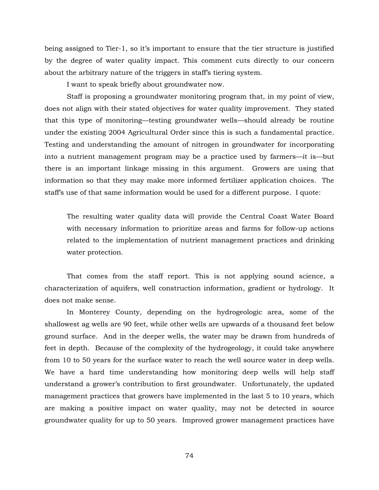being assigned to Tier-1, so it's important to ensure that the tier structure is justified by the degree of water quality impact*.* This comment cuts directly to our concern about the arbitrary nature of the triggers in staff's tiering system.

I want to speak briefly about groundwater now.

Staff is proposing a groundwater monitoring program that, in my point of view, does not align with their stated objectives for water quality improvement. They stated that this type of monitoring—testing groundwater wells—should already be routine under the existing 2004 Agricultural Order since this is such a fundamental practice. Testing and understanding the amount of nitrogen in groundwater for incorporating into a nutrient management program may be a practice used by farmers—it is—but there is an important linkage missing in this argument. Growers are using that information so that they may make more informed fertilizer application choices. The staff's use of that same information would be used for a different purpose. I quote:

The resulting water quality data will provide the Central Coast Water Board with necessary information to prioritize areas and farms for follow-up actions related to the implementation of nutrient management practices and drinking water protection*.*

That comes from the staff report. This is not applying sound science, a characterization of aquifers, well construction information, gradient or hydrology. It does not make sense.

In Monterey County, depending on the hydrogeologic area, some of the shallowest ag wells are 90 feet, while other wells are upwards of a thousand feet below ground surface. And in the deeper wells, the water may be drawn from hundreds of feet in depth. Because of the complexity of the hydrogeology, it could take anywhere from 10 to 50 years for the surface water to reach the well source water in deep wells. We have a hard time understanding how monitoring deep wells will help staff understand a grower's contribution to first groundwater. Unfortunately, the updated management practices that growers have implemented in the last 5 to 10 years, which are making a positive impact on water quality, may not be detected in source groundwater quality for up to 50 years. Improved grower management practices have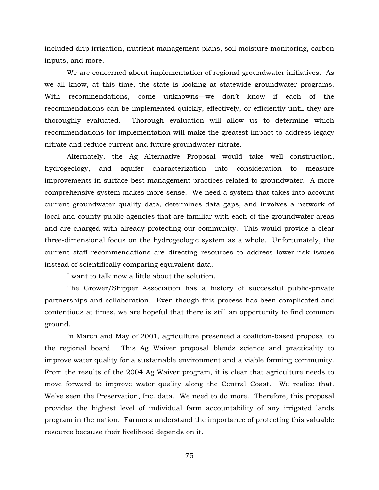included drip irrigation, nutrient management plans, soil moisture monitoring, carbon inputs, and more.

We are concerned about implementation of regional groundwater initiatives. As we all know, at this time, the state is looking at statewide groundwater programs. With recommendations, come unknowns—we don't know if each of the recommendations can be implemented quickly, effectively, or efficiently until they are thoroughly evaluated. Thorough evaluation will allow us to determine which recommendations for implementation will make the greatest impact to address legacy nitrate and reduce current and future groundwater nitrate.

Alternately, the Ag Alternative Proposal would take well construction, hydrogeology, and aquifer characterization into consideration to measure improvements in surface best management practices related to groundwater. A more comprehensive system makes more sense. We need a system that takes into account current groundwater quality data, determines data gaps, and involves a network of local and county public agencies that are familiar with each of the groundwater areas and are charged with already protecting our community. This would provide a clear three-dimensional focus on the hydrogeologic system as a whole. Unfortunately, the current staff recommendations are directing resources to address lower-risk issues instead of scientifically comparing equivalent data.

I want to talk now a little about the solution.

The Grower/Shipper Association has a history of successful public-private partnerships and collaboration. Even though this process has been complicated and contentious at times, we are hopeful that there is still an opportunity to find common ground.

In March and May of 2001, agriculture presented a coalition-based proposal to the regional board. This Ag Waiver proposal blends science and practicality to improve water quality for a sustainable environment and a viable farming community. From the results of the 2004 Ag Waiver program, it is clear that agriculture needs to move forward to improve water quality along the Central Coast. We realize that. We've seen the Preservation, Inc. data. We need to do more. Therefore, this proposal provides the highest level of individual farm accountability of any irrigated lands program in the nation. Farmers understand the importance of protecting this valuable resource because their livelihood depends on it.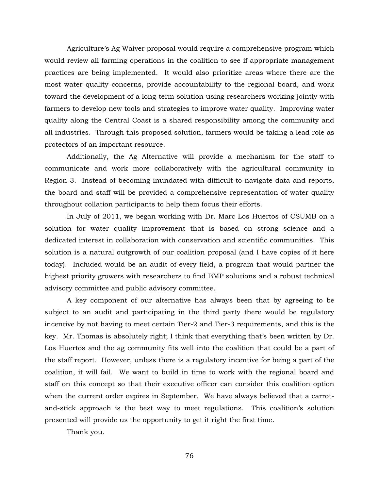Agriculture's Ag Waiver proposal would require a comprehensive program which would review all farming operations in the coalition to see if appropriate management practices are being implemented. It would also prioritize areas where there are the most water quality concerns, provide accountability to the regional board, and work toward the development of a long-term solution using researchers working jointly with farmers to develop new tools and strategies to improve water quality. Improving water quality along the Central Coast is a shared responsibility among the community and all industries. Through this proposed solution, farmers would be taking a lead role as protectors of an important resource.

Additionally, the Ag Alternative will provide a mechanism for the staff to communicate and work more collaboratively with the agricultural community in Region 3. Instead of becoming inundated with difficult-to-navigate data and reports, the board and staff will be provided a comprehensive representation of water quality throughout collation participants to help them focus their efforts.

In July of 2011, we began working with Dr. Marc Los Huertos of CSUMB on a solution for water quality improvement that is based on strong science and a dedicated interest in collaboration with conservation and scientific communities. This solution is a natural outgrowth of our coalition proposal (and I have copies of it here today). Included would be an audit of every field, a program that would partner the highest priority growers with researchers to find BMP solutions and a robust technical advisory committee and public advisory committee.

A key component of our alternative has always been that by agreeing to be subject to an audit and participating in the third party there would be regulatory incentive by not having to meet certain Tier-2 and Tier-3 requirements, and this is the key. Mr. Thomas is absolutely right; I think that everything that's been written by Dr. Los Huertos and the ag community fits well into the coalition that could be a part of the staff report. However, unless there is a regulatory incentive for being a part of the coalition, it will fail. We want to build in time to work with the regional board and staff on this concept so that their executive officer can consider this coalition option when the current order expires in September. We have always believed that a carrotand-stick approach is the best way to meet regulations. This coalition's solution presented will provide us the opportunity to get it right the first time.

Thank you.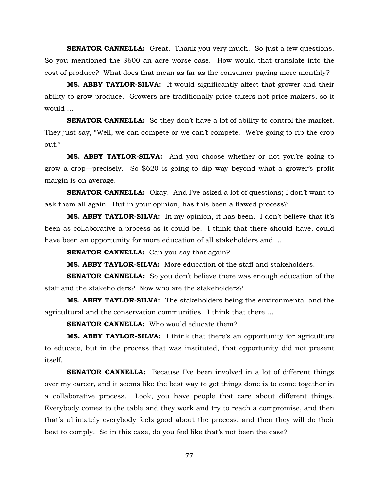**SENATOR CANNELLA:** Great. Thank you very much. So just a few questions. So you mentioned the \$600 an acre worse case. How would that translate into the cost of produce? What does that mean as far as the consumer paying more monthly?

**MS. ABBY TAYLOR-SILVA:** It would significantly affect that grower and their ability to grow produce. Growers are traditionally price takers not price makers, so it would …

**SENATOR CANNELLA:** So they don't have a lot of ability to control the market. They just say, "Well, we can compete or we can't compete. We're going to rip the crop out."

**MS. ABBY TAYLOR-SILVA:** And you choose whether or not you're going to grow a crop—precisely. So \$620 is going to dip way beyond what a grower's profit margin is on average.

**SENATOR CANNELLA:** Okay. And I've asked a lot of questions; I don't want to ask them all again. But in your opinion, has this been a flawed process?

**MS. ABBY TAYLOR-SILVA:** In my opinion, it has been. I don't believe that it's been as collaborative a process as it could be. I think that there should have, could have been an opportunity for more education of all stakeholders and …

**SENATOR CANNELLA:** Can you say that again?

**MS. ABBY TAYLOR-SILVA:** More education of the staff and stakeholders.

**SENATOR CANNELLA:** So you don't believe there was enough education of the staff and the stakeholders? Now who are the stakeholders?

**MS. ABBY TAYLOR-SILVA:** The stakeholders being the environmental and the agricultural and the conservation communities. I think that there …

**SENATOR CANNELLA:** Who would educate them?

**MS. ABBY TAYLOR-SILVA:** I think that there's an opportunity for agriculture to educate, but in the process that was instituted, that opportunity did not present itself.

**SENATOR CANNELLA:** Because I've been involved in a lot of different things over my career, and it seems like the best way to get things done is to come together in a collaborative process. Look, you have people that care about different things. Everybody comes to the table and they work and try to reach a compromise, and then that's ultimately everybody feels good about the process, and then they will do their best to comply. So in this case, do you feel like that's not been the case?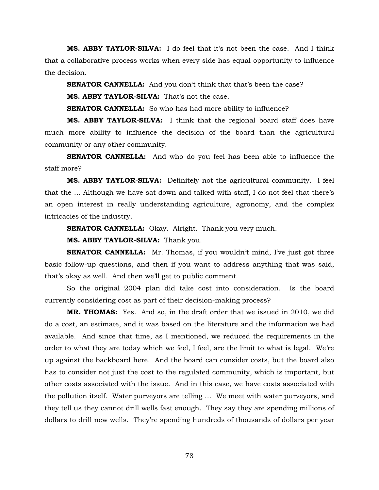**MS. ABBY TAYLOR-SILVA:** I do feel that it's not been the case. And I think that a collaborative process works when every side has equal opportunity to influence the decision.

**SENATOR CANNELLA:** And you don't think that that's been the case?

**MS. ABBY TAYLOR-SILVA:** That's not the case.

**SENATOR CANNELLA:** So who has had more ability to influence?

**MS. ABBY TAYLOR-SILVA:** I think that the regional board staff does have much more ability to influence the decision of the board than the agricultural community or any other community.

**SENATOR CANNELLA:** And who do you feel has been able to influence the staff more?

**MS. ABBY TAYLOR-SILVA:** Definitely not the agricultural community. I feel that the … Although we have sat down and talked with staff, I do not feel that there's an open interest in really understanding agriculture, agronomy, and the complex intricacies of the industry.

**SENATOR CANNELLA:** Okay. Alright. Thank you very much.

**MS. ABBY TAYLOR-SILVA:** Thank you.

**SENATOR CANNELLA:** Mr. Thomas, if you wouldn't mind, I've just got three basic follow-up questions, and then if you want to address anything that was said, that's okay as well. And then we'll get to public comment.

So the original 2004 plan did take cost into consideration. Is the board currently considering cost as part of their decision-making process?

**MR. THOMAS:** Yes. And so, in the draft order that we issued in 2010, we did do a cost, an estimate, and it was based on the literature and the information we had available. And since that time, as I mentioned, we reduced the requirements in the order to what they are today which we feel, I feel, are the limit to what is legal. We're up against the backboard here. And the board can consider costs, but the board also has to consider not just the cost to the regulated community, which is important, but other costs associated with the issue. And in this case, we have costs associated with the pollution itself. Water purveyors are telling … We meet with water purveyors, and they tell us they cannot drill wells fast enough. They say they are spending millions of dollars to drill new wells. They're spending hundreds of thousands of dollars per year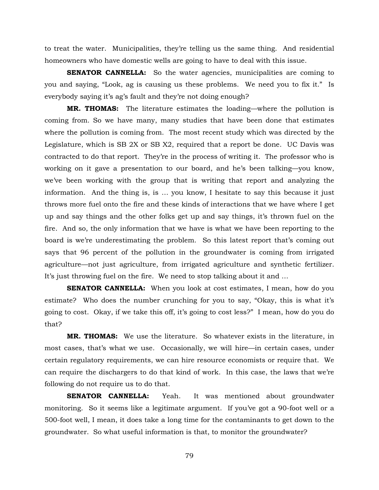to treat the water. Municipalities, they're telling us the same thing. And residential homeowners who have domestic wells are going to have to deal with this issue.

**SENATOR CANNELLA:** So the water agencies, municipalities are coming to you and saying, "Look, ag is causing us these problems. We need you to fix it." Is everybody saying it's ag's fault and they're not doing enough?

**MR. THOMAS:** The literature estimates the loading—where the pollution is coming from. So we have many, many studies that have been done that estimates where the pollution is coming from. The most recent study which was directed by the Legislature, which is SB 2X or SB X2, required that a report be done. UC Davis was contracted to do that report. They're in the process of writing it. The professor who is working on it gave a presentation to our board, and he's been talking—you know, we've been working with the group that is writing that report and analyzing the information. And the thing is, is … you know, I hesitate to say this because it just throws more fuel onto the fire and these kinds of interactions that we have where I get up and say things and the other folks get up and say things, it's thrown fuel on the fire. And so, the only information that we have is what we have been reporting to the board is we're underestimating the problem. So this latest report that's coming out says that 96 percent of the pollution in the groundwater is coming from irrigated agriculture—not just agriculture, from irrigated agriculture and synthetic fertilizer. It's just throwing fuel on the fire. We need to stop talking about it and …

**SENATOR CANNELLA:** When you look at cost estimates, I mean, how do you estimate? Who does the number crunching for you to say, "Okay, this is what it's going to cost. Okay, if we take this off, it's going to cost less?" I mean, how do you do that?

**MR. THOMAS:** We use the literature. So whatever exists in the literature, in most cases, that's what we use. Occasionally, we will hire—in certain cases, under certain regulatory requirements, we can hire resource economists or require that. We can require the dischargers to do that kind of work. In this case, the laws that we're following do not require us to do that.

**SENATOR CANNELLA:** Yeah. It was mentioned about groundwater monitoring. So it seems like a legitimate argument. If you've got a 90-foot well or a 500-foot well, I mean, it does take a long time for the contaminants to get down to the groundwater. So what useful information is that, to monitor the groundwater?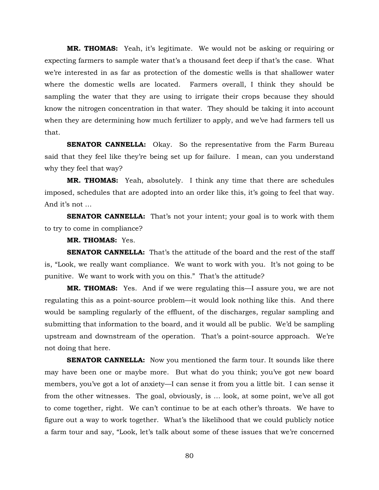**MR. THOMAS:** Yeah, it's legitimate. We would not be asking or requiring or expecting farmers to sample water that's a thousand feet deep if that's the case. What we're interested in as far as protection of the domestic wells is that shallower water where the domestic wells are located. Farmers overall, I think they should be sampling the water that they are using to irrigate their crops because they should know the nitrogen concentration in that water. They should be taking it into account when they are determining how much fertilizer to apply, and we've had farmers tell us that.

**SENATOR CANNELLA:** Okay. So the representative from the Farm Bureau said that they feel like they're being set up for failure. I mean, can you understand why they feel that way?

**MR. THOMAS:** Yeah, absolutely. I think any time that there are schedules imposed, schedules that are adopted into an order like this, it's going to feel that way. And it's not …

**SENATOR CANNELLA:** That's not your intent; your goal is to work with them to try to come in compliance?

**MR. THOMAS:** Yes.

**SENATOR CANNELLA:** That's the attitude of the board and the rest of the staff is, "Look, we really want compliance. We want to work with you. It's not going to be punitive. We want to work with you on this." That's the attitude?

**MR. THOMAS:** Yes. And if we were regulating this—I assure you, we are not regulating this as a point-source problem—it would look nothing like this. And there would be sampling regularly of the effluent, of the discharges, regular sampling and submitting that information to the board, and it would all be public. We'd be sampling upstream and downstream of the operation. That's a point-source approach. We're not doing that here.

**SENATOR CANNELLA:** Now you mentioned the farm tour. It sounds like there may have been one or maybe more. But what do you think; you've got new board members, you've got a lot of anxiety—I can sense it from you a little bit. I can sense it from the other witnesses. The goal, obviously, is … look, at some point, we've all got to come together, right. We can't continue to be at each other's throats. We have to figure out a way to work together. What's the likelihood that we could publicly notice a farm tour and say, "Look, let's talk about some of these issues that we're concerned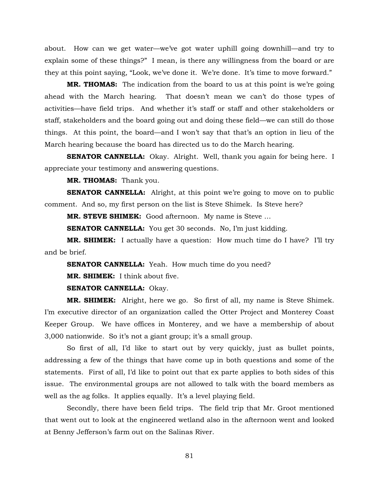about. How can we get water—we've got water uphill going downhill—and try to explain some of these things?" I mean, is there any willingness from the board or are they at this point saying, "Look, we've done it. We're done. It's time to move forward."

**MR. THOMAS:** The indication from the board to us at this point is we're going ahead with the March hearing. That doesn't mean we can't do those types of activities—have field trips. And whether it's staff or staff and other stakeholders or staff, stakeholders and the board going out and doing these field—we can still do those things. At this point, the board—and I won't say that that's an option in lieu of the March hearing because the board has directed us to do the March hearing.

**SENATOR CANNELLA:** Okay. Alright. Well, thank you again for being here. I appreciate your testimony and answering questions.

**MR. THOMAS:** Thank you.

**SENATOR CANNELLA:** Alright, at this point we're going to move on to public comment. And so, my first person on the list is Steve Shimek. Is Steve here?

**MR. STEVE SHIMEK:** Good afternoon. My name is Steve …

**SENATOR CANNELLA:** You get 30 seconds. No, I'm just kidding.

**MR. SHIMEK:** I actually have a question: How much time do I have? I'll try and be brief.

**SENATOR CANNELLA:** Yeah. How much time do you need?

**MR. SHIMEK:** I think about five.

**SENATOR CANNELLA:** Okay.

**MR. SHIMEK:** Alright, here we go. So first of all, my name is Steve Shimek. I'm executive director of an organization called the Otter Project and Monterey Coast Keeper Group. We have offices in Monterey, and we have a membership of about 3,000 nationwide. So it's not a giant group; it's a small group.

So first of all, I'd like to start out by very quickly, just as bullet points, addressing a few of the things that have come up in both questions and some of the statements. First of all, I'd like to point out that ex parte applies to both sides of this issue. The environmental groups are not allowed to talk with the board members as well as the ag folks. It applies equally. It's a level playing field.

Secondly, there have been field trips. The field trip that Mr. Groot mentioned that went out to look at the engineered wetland also in the afternoon went and looked at Benny Jefferson's farm out on the Salinas River.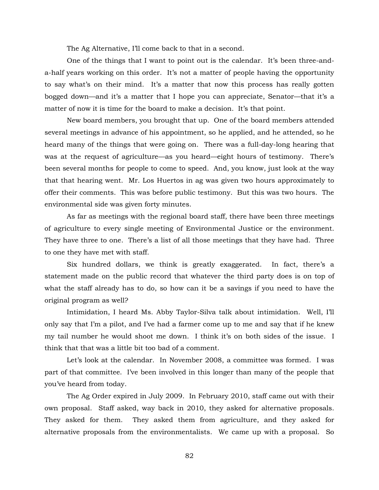The Ag Alternative, I'll come back to that in a second.

One of the things that I want to point out is the calendar. It's been three-anda-half years working on this order. It's not a matter of people having the opportunity to say what's on their mind. It's a matter that now this process has really gotten bogged down—and it's a matter that I hope you can appreciate, Senator—that it's a matter of now it is time for the board to make a decision. It's that point.

New board members, you brought that up. One of the board members attended several meetings in advance of his appointment, so he applied, and he attended, so he heard many of the things that were going on. There was a full-day-long hearing that was at the request of agriculture—as you heard—eight hours of testimony. There's been several months for people to come to speed. And, you know, just look at the way that that hearing went. Mr. Los Huertos in ag was given two hours approximately to offer their comments. This was before public testimony. But this was two hours. The environmental side was given forty minutes.

As far as meetings with the regional board staff, there have been three meetings of agriculture to every single meeting of Environmental Justice or the environment. They have three to one. There's a list of all those meetings that they have had. Three to one they have met with staff.

Six hundred dollars, we think is greatly exaggerated. In fact, there's a statement made on the public record that whatever the third party does is on top of what the staff already has to do, so how can it be a savings if you need to have the original program as well?

Intimidation, I heard Ms. Abby Taylor-Silva talk about intimidation. Well, I'll only say that I'm a pilot, and I've had a farmer come up to me and say that if he knew my tail number he would shoot me down. I think it's on both sides of the issue. I think that that was a little bit too bad of a comment.

Let's look at the calendar. In November 2008, a committee was formed. I was part of that committee. I've been involved in this longer than many of the people that you've heard from today.

The Ag Order expired in July 2009. In February 2010, staff came out with their own proposal. Staff asked, way back in 2010, they asked for alternative proposals. They asked for them. They asked them from agriculture, and they asked for alternative proposals from the environmentalists. We came up with a proposal. So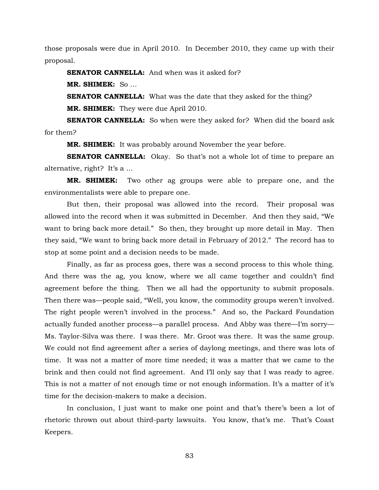those proposals were due in April 2010. In December 2010, they came up with their proposal.

**SENATOR CANNELLA:** And when was it asked for?

**MR. SHIMEK:** So …

**SENATOR CANNELLA:** What was the date that they asked for the thing?

**MR. SHIMEK:** They were due April 2010.

**SENATOR CANNELLA:** So when were they asked for? When did the board ask for them?

**MR. SHIMEK:** It was probably around November the year before.

**SENATOR CANNELLA:** Okay. So that's not a whole lot of time to prepare an alternative, right? It's a …

**MR. SHIMEK:** Two other ag groups were able to prepare one, and the environmentalists were able to prepare one.

But then, their proposal was allowed into the record. Their proposal was allowed into the record when it was submitted in December. And then they said, "We want to bring back more detail." So then, they brought up more detail in May. Then they said, "We want to bring back more detail in February of 2012." The record has to stop at some point and a decision needs to be made.

Finally, as far as process goes, there was a second process to this whole thing. And there was the ag, you know, where we all came together and couldn't find agreement before the thing. Then we all had the opportunity to submit proposals. Then there was—people said, "Well, you know, the commodity groups weren't involved. The right people weren't involved in the process." And so, the Packard Foundation actually funded another process—a parallel process. And Abby was there—I'm sorry— Ms. Taylor-Silva was there. I was there. Mr. Groot was there. It was the same group. We could not find agreement after a series of daylong meetings, and there was lots of time. It was not a matter of more time needed; it was a matter that we came to the brink and then could not find agreement. And I'll only say that I was ready to agree. This is not a matter of not enough time or not enough information. It's a matter of it's time for the decision-makers to make a decision.

In conclusion, I just want to make one point and that's there's been a lot of rhetoric thrown out about third-party lawsuits. You know, that's me. That's Coast Keepers.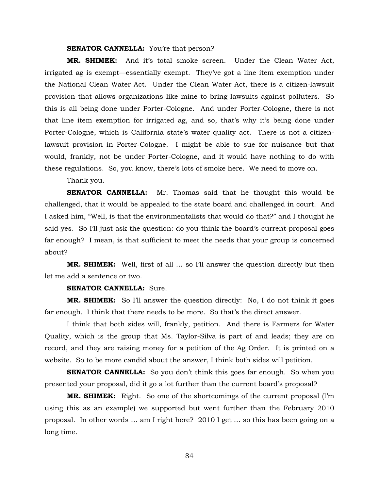## **SENATOR CANNELLA:** You're that person?

**MR. SHIMEK:** And it's total smoke screen. Under the Clean Water Act, irrigated ag is exempt—essentially exempt. They've got a line item exemption under the National Clean Water Act. Under the Clean Water Act, there is a citizen-lawsuit provision that allows organizations like mine to bring lawsuits against polluters. So this is all being done under Porter-Cologne. And under Porter-Cologne, there is not that line item exemption for irrigated ag, and so, that's why it's being done under Porter-Cologne, which is California state's water quality act. There is not a citizenlawsuit provision in Porter-Cologne. I might be able to sue for nuisance but that would, frankly, not be under Porter-Cologne, and it would have nothing to do with these regulations. So, you know, there's lots of smoke here. We need to move on.

Thank you.

**SENATOR CANNELLA:** Mr. Thomas said that he thought this would be challenged, that it would be appealed to the state board and challenged in court. And I asked him, "Well, is that the environmentalists that would do that?" and I thought he said yes. So I'll just ask the question: do you think the board's current proposal goes far enough? I mean, is that sufficient to meet the needs that your group is concerned about?

**MR. SHIMEK:** Well, first of all … so I'll answer the question directly but then let me add a sentence or two.

## **SENATOR CANNELLA:** Sure.

**MR. SHIMEK:** So I'll answer the question directly: No, I do not think it goes far enough. I think that there needs to be more. So that's the direct answer.

I think that both sides will, frankly, petition. And there is Farmers for Water Quality, which is the group that Ms. Taylor-Silva is part of and leads; they are on record, and they are raising money for a petition of the Ag Order. It is printed on a website. So to be more candid about the answer, I think both sides will petition.

**SENATOR CANNELLA:** So you don't think this goes far enough. So when you presented your proposal, did it go a lot further than the current board's proposal?

**MR. SHIMEK:** Right. So one of the shortcomings of the current proposal (I'm using this as an example) we supported but went further than the February 2010 proposal. In other words … am I right here? 2010 I get … so this has been going on a long time.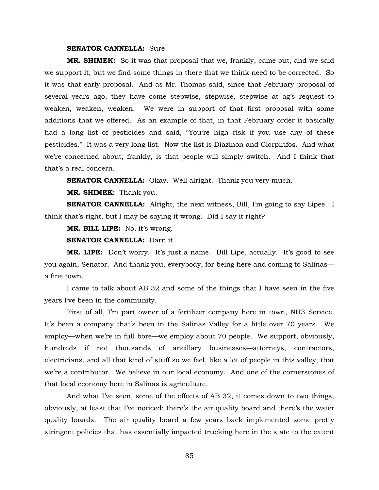## **SENATOR CANNELLA:** Sure.

**MR. SHIMEK:** So it was that proposal that we, frankly, came out, and we said we support it, but we find some things in there that we think need to be corrected. So it was that early proposal. And as Mr. Thomas said, since that February proposal of several years ago, they have come stepwise, stepwise, stepwise at ag's request to weaken, weaken, weaken. We were in support of that first proposal with some additions that we offered. As an example of that, in that February order it basically had a long list of pesticides and said, "You're high risk if you use any of these pesticides." It was a very long list. Now the list is Diazinon and Clorpirifos. And what we're concerned about, frankly, is that people will simply switch. And I think that that's a real concern.

**SENATOR CANNELLA:** Okay. Well alright. Thank you very much.

**MR. SHIMEK:** Thank you.

**SENATOR CANNELLA:** Alright, the next witness, Bill, I'm going to say Lipee. I think that's right, but I may be saying it wrong. Did I say it right?

**MR. BILL LIPE:** No, it's wrong.

**SENATOR CANNELLA:** Darn it.

**MR. LIPE:** Don't worry. It's just a name. Bill Lipe, actually. It's good to see you again, Senator. And thank you, everybody, for being here and coming to Salinas a fine town.

I came to talk about AB 32 and some of the things that I have seen in the five years I've been in the community.

First of all, I'm part owner of a fertilizer company here in town, NH3 Service. It's been a company that's been in the Salinas Valley for a little over 70 years. We employ—when we're in full bore—we employ about 70 people. We support, obviously, hundreds if not thousands of ancillary businesses—attorneys, contractors, electricians, and all that kind of stuff so we feel, like a lot of people in this valley, that we're a contributor. We believe in our local economy. And one of the cornerstones of that local economy here in Salinas is agriculture.

And what I've seen, some of the effects of AB 32, it comes down to two things, obviously, at least that I've noticed: there's the air quality board and there's the water quality boards. The air quality board a few years back implemented some pretty stringent policies that has essentially impacted trucking here in the state to the extent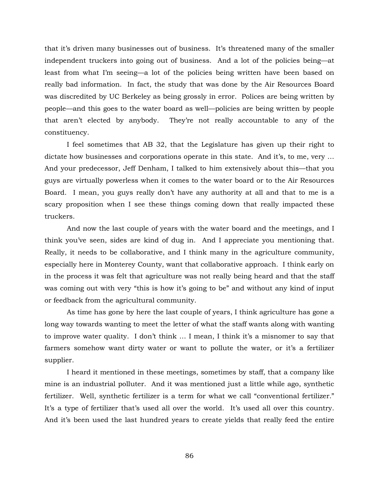that it's driven many businesses out of business. It's threatened many of the smaller independent truckers into going out of business. And a lot of the policies being—at least from what I'm seeing—a lot of the policies being written have been based on really bad information. In fact, the study that was done by the Air Resources Board was discredited by UC Berkeley as being grossly in error. Polices are being written by people—and this goes to the water board as well—policies are being written by people that aren't elected by anybody. They're not really accountable to any of the constituency.

I feel sometimes that AB 32, that the Legislature has given up their right to dictate how businesses and corporations operate in this state. And it's, to me, very … And your predecessor, Jeff Denham, I talked to him extensively about this—that you guys are virtually powerless when it comes to the water board or to the Air Resources Board. I mean, you guys really don't have any authority at all and that to me is a scary proposition when I see these things coming down that really impacted these truckers.

And now the last couple of years with the water board and the meetings, and I think you've seen, sides are kind of dug in. And I appreciate you mentioning that. Really, it needs to be collaborative, and I think many in the agriculture community, especially here in Monterey County, want that collaborative approach. I think early on in the process it was felt that agriculture was not really being heard and that the staff was coming out with very "this is how it's going to be" and without any kind of input or feedback from the agricultural community.

As time has gone by here the last couple of years, I think agriculture has gone a long way towards wanting to meet the letter of what the staff wants along with wanting to improve water quality. I don't think … I mean, I think it's a misnomer to say that farmers somehow want dirty water or want to pollute the water, or it's a fertilizer supplier.

I heard it mentioned in these meetings, sometimes by staff, that a company like mine is an industrial polluter. And it was mentioned just a little while ago, synthetic fertilizer. Well, synthetic fertilizer is a term for what we call "conventional fertilizer." It's a type of fertilizer that's used all over the world. It's used all over this country. And it's been used the last hundred years to create yields that really feed the entire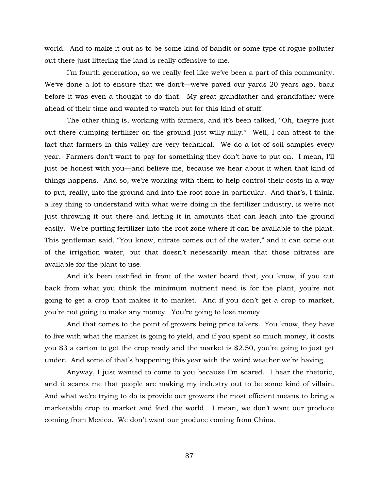world. And to make it out as to be some kind of bandit or some type of rogue polluter out there just littering the land is really offensive to me.

I'm fourth generation, so we really feel like we've been a part of this community. We've done a lot to ensure that we don't—we've paved our yards 20 years ago, back before it was even a thought to do that. My great grandfather and grandfather were ahead of their time and wanted to watch out for this kind of stuff.

The other thing is, working with farmers, and it's been talked, "Oh, they're just out there dumping fertilizer on the ground just willy-nilly." Well, I can attest to the fact that farmers in this valley are very technical. We do a lot of soil samples every year. Farmers don't want to pay for something they don't have to put on. I mean, I'll just be honest with you—and believe me, because we hear about it when that kind of things happens. And so, we're working with them to help control their costs in a way to put, really, into the ground and into the root zone in particular. And that's, I think, a key thing to understand with what we're doing in the fertilizer industry, is we're not just throwing it out there and letting it in amounts that can leach into the ground easily. We're putting fertilizer into the root zone where it can be available to the plant. This gentleman said, "You know, nitrate comes out of the water," and it can come out of the irrigation water, but that doesn't necessarily mean that those nitrates are available for the plant to use.

And it's been testified in front of the water board that, you know, if you cut back from what you think the minimum nutrient need is for the plant, you're not going to get a crop that makes it to market. And if you don't get a crop to market, you're not going to make any money. You're going to lose money.

And that comes to the point of growers being price takers. You know, they have to live with what the market is going to yield, and if you spent so much money, it costs you \$3 a carton to get the crop ready and the market is \$2.50, you're going to just get under. And some of that's happening this year with the weird weather we're having.

Anyway, I just wanted to come to you because I'm scared. I hear the rhetoric, and it scares me that people are making my industry out to be some kind of villain. And what we're trying to do is provide our growers the most efficient means to bring a marketable crop to market and feed the world. I mean, we don't want our produce coming from Mexico. We don't want our produce coming from China.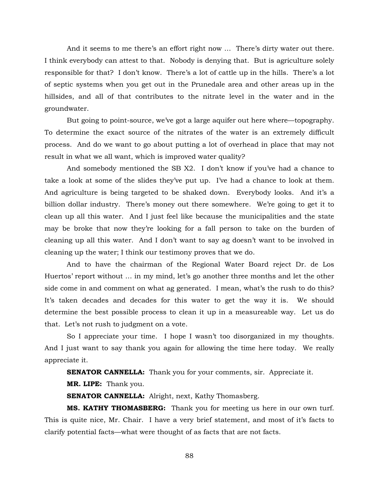And it seems to me there's an effort right now … There's dirty water out there. I think everybody can attest to that. Nobody is denying that. But is agriculture solely responsible for that? I don't know. There's a lot of cattle up in the hills. There's a lot of septic systems when you get out in the Prunedale area and other areas up in the hillsides, and all of that contributes to the nitrate level in the water and in the groundwater.

But going to point-source, we've got a large aquifer out here where—topography. To determine the exact source of the nitrates of the water is an extremely difficult process. And do we want to go about putting a lot of overhead in place that may not result in what we all want, which is improved water quality?

And somebody mentioned the SB X2. I don't know if you've had a chance to take a look at some of the slides they've put up. I've had a chance to look at them. And agriculture is being targeted to be shaked down. Everybody looks. And it's a billion dollar industry. There's money out there somewhere. We're going to get it to clean up all this water. And I just feel like because the municipalities and the state may be broke that now they're looking for a fall person to take on the burden of cleaning up all this water. And I don't want to say ag doesn't want to be involved in cleaning up the water; I think our testimony proves that we do.

And to have the chairman of the Regional Water Board reject Dr. de Los Huertos' report without … in my mind, let's go another three months and let the other side come in and comment on what ag generated. I mean, what's the rush to do this? It's taken decades and decades for this water to get the way it is. We should determine the best possible process to clean it up in a measureable way. Let us do that. Let's not rush to judgment on a vote.

So I appreciate your time. I hope I wasn't too disorganized in my thoughts. And I just want to say thank you again for allowing the time here today. We really appreciate it.

**SENATOR CANNELLA:** Thank you for your comments, sir. Appreciate it.

**MR. LIPE:** Thank you.

**SENATOR CANNELLA:** Alright, next, Kathy Thomasberg.

**MS. KATHY THOMASBERG:** Thank you for meeting us here in our own turf. This is quite nice, Mr. Chair. I have a very brief statement, and most of it's facts to clarify potential facts—what were thought of as facts that are not facts.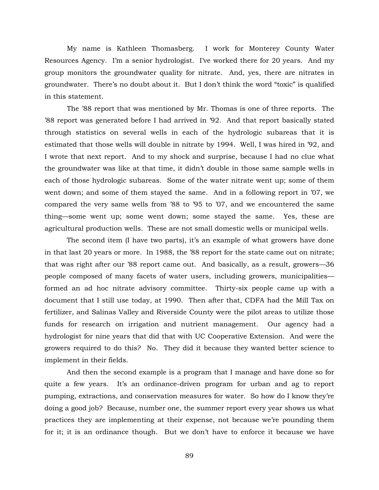My name is Kathleen Thomasberg. I work for Monterey County Water Resources Agency. I'm a senior hydrologist. I've worked there for 20 years. And my group monitors the groundwater quality for nitrate. And, yes, there are nitrates in groundwater. There's no doubt about it. But I don't think the word "toxic" is qualified in this statement.

The '88 report that was mentioned by Mr. Thomas is one of three reports. The '88 report was generated before I had arrived in '92. And that report basically stated through statistics on several wells in each of the hydrologic subareas that it is estimated that those wells will double in nitrate by 1994. Well, I was hired in '92, and I wrote that next report. And to my shock and surprise, because I had no clue what the groundwater was like at that time, it didn't double in those same sample wells in each of those hydrologic subareas. Some of the water nitrate went up; some of them went down; and some of them stayed the same. And in a following report in '07, we compared the very same wells from '88 to '95 to '07, and we encountered the same thing—some went up; some went down; some stayed the same. Yes, these are agricultural production wells. These are not small domestic wells or municipal wells.

The second item (I have two parts), it's an example of what growers have done in that last 20 years or more. In 1988, the '88 report for the state came out on nitrate; that was right after our '88 report came out. And basically, as a result, growers—36 people composed of many facets of water users, including growers, municipalities formed an ad hoc nitrate advisory committee. Thirty-six people came up with a document that I still use today, at 1990. Then after that, CDFA had the Mill Tax on fertilizer, and Salinas Valley and Riverside County were the pilot areas to utilize those funds for research on irrigation and nutrient management. Our agency had a hydrologist for nine years that did that with UC Cooperative Extension. And were the growers required to do this? No. They did it because they wanted better science to implement in their fields.

And then the second example is a program that I manage and have done so for quite a few years. It's an ordinance-driven program for urban and ag to report pumping, extractions, and conservation measures for water. So how do I know they're doing a good job? Because, number one, the summer report every year shows us what practices they are implementing at their expense, not because we're pounding them for it; it is an ordinance though. But we don't have to enforce it because we have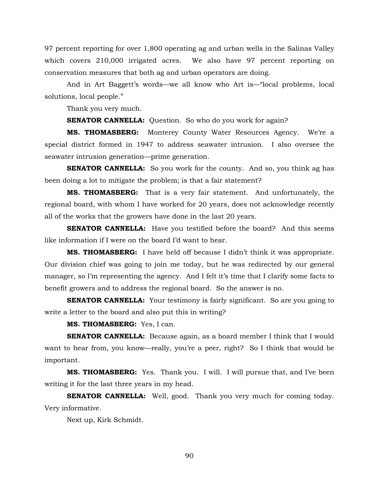97 percent reporting for over 1,800 operating ag and urban wells in the Salinas Valley which covers 210,000 irrigated acres. We also have 97 percent reporting on conservation measures that both ag and urban operators are doing.

And in Art Baggett's words—we all know who Art is—"local problems, local solutions, local people."

Thank you very much.

**SENATOR CANNELLA:** Question. So who do you work for again?

**MS. THOMASBERG:** Monterey County Water Resources Agency. We're a special district formed in 1947 to address seawater intrusion. I also oversee the seawater intrusion generation—prime generation.

**SENATOR CANNELLA:** So you work for the county. And so, you think ag has been doing a lot to mitigate the problem; is that a fair statement?

**MS. THOMASBERG:** That is a very fair statement. And unfortunately, the regional board, with whom I have worked for 20 years, does not acknowledge recently all of the works that the growers have done in the last 20 years.

**SENATOR CANNELLA:** Have you testified before the board? And this seems like information if I were on the board I'd want to hear.

**MS. THOMASBERG:** I have held off because I didn't think it was appropriate. Our division chief was going to join me today, but he was redirected by our general manager, so I'm representing the agency. And I felt it's time that I clarify some facts to benefit growers and to address the regional board. So the answer is no.

**SENATOR CANNELLA:** Your testimony is fairly significant. So are you going to write a letter to the board and also put this in writing?

**MS. THOMASBERG:** Yes, I can.

**SENATOR CANNELLA:** Because again, as a board member I think that I would want to hear from, you know—really, you're a peer, right? So I think that would be important.

**MS. THOMASBERG:** Yes. Thank you. I will. I will pursue that, and I've been writing it for the last three years in my head.

**SENATOR CANNELLA:** Well, good. Thank you very much for coming today. Very informative.

Next up, Kirk Schmidt.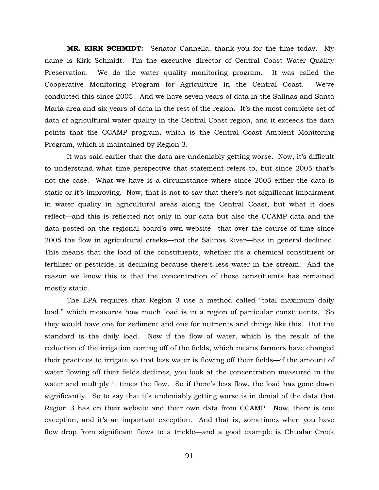**MR. KIRK SCHMIDT:** Senator Cannella, thank you for the time today. My name is Kirk Schmidt. I'm the executive director of Central Coast Water Quality Preservation. We do the water quality monitoring program. It was called the Cooperative Monitoring Program for Agriculture in the Central Coast. We've conducted this since 2005. And we have seven years of data in the Salinas and Santa Maria area and six years of data in the rest of the region. It's the most complete set of data of agricultural water quality in the Central Coast region, and it exceeds the data points that the CCAMP program, which is the Central Coast Ambient Monitoring Program, which is maintained by Region 3.

It was said earlier that the data are undeniably getting worse. Now, it's difficult to understand what time perspective that statement refers to, but since 2005 that's not the case. What we have is a circumstance where since 2005 either the data is static or it's improving. Now, that is not to say that there's not significant impairment in water quality in agricultural areas along the Central Coast, but what it does reflect—and this is reflected not only in our data but also the CCAMP data and the data posted on the regional board's own website—that over the course of time since 2005 the flow in agricultural creeks—not the Salinas River—has in general declined. This means that the load of the constituents, whether it's a chemical constituent or fertilizer or pesticide, is declining because there's less water in the stream. And the reason we know this is that the concentration of those constituents has remained mostly static.

The EPA requires that Region 3 use a method called "total maximum daily load," which measures how much load is in a region of particular constituents. So they would have one for sediment and one for nutrients and things like this. But the standard is the daily load. Now if the flow of water, which is the result of the reduction of the irrigation coming off of the fields, which means farmers have changed their practices to irrigate so that less water is flowing off their fields—if the amount of water flowing off their fields declines, you look at the concentration measured in the water and multiply it times the flow. So if there's less flow, the load has gone down significantly. So to say that it's undeniably getting worse is in denial of the data that Region 3 has on their website and their own data from CCAMP. Now, there is one exception, and it's an important exception. And that is, sometimes when you have flow drop from significant flows to a trickle—and a good example is Chualar Creek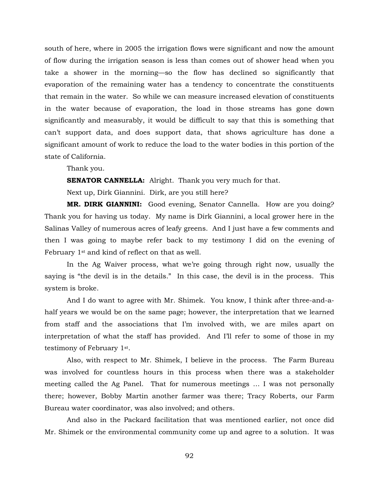south of here, where in 2005 the irrigation flows were significant and now the amount of flow during the irrigation season is less than comes out of shower head when you take a shower in the morning—so the flow has declined so significantly that evaporation of the remaining water has a tendency to concentrate the constituents that remain in the water. So while we can measure increased elevation of constituents in the water because of evaporation, the load in those streams has gone down significantly and measurably, it would be difficult to say that this is something that can't support data, and does support data, that shows agriculture has done a significant amount of work to reduce the load to the water bodies in this portion of the state of California.

Thank you.

**SENATOR CANNELLA:** Alright. Thank you very much for that.

Next up, Dirk Giannini. Dirk, are you still here?

**MR. DIRK GIANNINI:** Good evening, Senator Cannella. How are you doing? Thank you for having us today. My name is Dirk Giannini, a local grower here in the Salinas Valley of numerous acres of leafy greens. And I just have a few comments and then I was going to maybe refer back to my testimony I did on the evening of February 1st and kind of reflect on that as well.

In the Ag Waiver process, what we're going through right now, usually the saying is "the devil is in the details." In this case, the devil is in the process. This system is broke.

And I do want to agree with Mr. Shimek. You know, I think after three-and-ahalf years we would be on the same page; however, the interpretation that we learned from staff and the associations that I'm involved with, we are miles apart on interpretation of what the staff has provided. And I'll refer to some of those in my testimony of February 1st.

Also, with respect to Mr. Shimek, I believe in the process. The Farm Bureau was involved for countless hours in this process when there was a stakeholder meeting called the Ag Panel. That for numerous meetings … I was not personally there; however, Bobby Martin another farmer was there; Tracy Roberts, our Farm Bureau water coordinator, was also involved; and others.

And also in the Packard facilitation that was mentioned earlier, not once did Mr. Shimek or the environmental community come up and agree to a solution. It was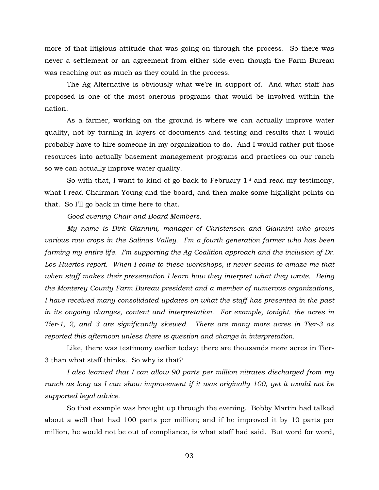more of that litigious attitude that was going on through the process. So there was never a settlement or an agreement from either side even though the Farm Bureau was reaching out as much as they could in the process.

The Ag Alternative is obviously what we're in support of. And what staff has proposed is one of the most onerous programs that would be involved within the nation.

As a farmer, working on the ground is where we can actually improve water quality, not by turning in layers of documents and testing and results that I would probably have to hire someone in my organization to do. And I would rather put those resources into actually basement management programs and practices on our ranch so we can actually improve water quality.

So with that, I want to kind of go back to February  $1<sup>st</sup>$  and read my testimony, what I read Chairman Young and the board, and then make some highlight points on that. So I'll go back in time here to that.

*Good evening Chair and Board Members.* 

*My name is Dirk Giannini, manager of Christensen and Giannini who grows various row crops in the Salinas Valley. I'm a fourth generation farmer who has been farming my entire life. I'm supporting the Ag Coalition approach and the inclusion of Dr. Los Huertos report. When I come to these workshops, it never seems to amaze me that when staff makes their presentation I learn how they interpret what they wrote. Being the Monterey County Farm Bureau president and a member of numerous organizations, I have received many consolidated updates on what the staff has presented in the past in its ongoing changes, content and interpretation. For example, tonight, the acres in Tier-1, 2, and 3 are significantly skewed. There are many more acres in Tier-3 as reported this afternoon unless there is question and change in interpretation.* 

Like, there was testimony earlier today; there are thousands more acres in Tier-3 than what staff thinks. So why is that?

*I also learned that I can allow 90 parts per million nitrates discharged from my ranch as long as I can show improvement if it was originally 100, yet it would not be supported legal advice.* 

So that example was brought up through the evening. Bobby Martin had talked about a well that had 100 parts per million; and if he improved it by 10 parts per million, he would not be out of compliance, is what staff had said. But word for word,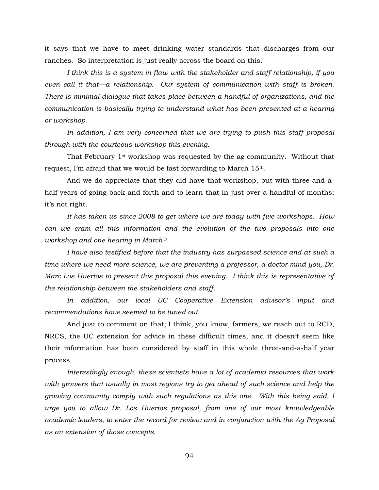it says that we have to meet drinking water standards that discharges from our ranches. So interpretation is just really across the board on this.

*I think this is a system in flaw with the stakeholder and staff relationship, if you even call it that—a relationship. Our system of communication with staff is broken. There is minimal dialogue that takes place between a handful of organizations, and the communication is basically trying to understand what has been presented at a hearing or workshop.* 

*In addition, I am very concerned that we are trying to push this staff proposal through with the courteous workshop this evening.* 

That February 1st workshop was requested by the ag community. Without that request, I'm afraid that we would be fast forwarding to March 15th.

And we do appreciate that they did have that workshop, but with three-and-ahalf years of going back and forth and to learn that in just over a handful of months; it's not right.

*It has taken us since 2008 to get where we are today with five workshops. How can we cram all this information and the evolution of the two proposals into one workshop and one hearing in March?* 

*I have also testified before that the industry has surpassed science and at such a time where we need more science, we are preventing a professor, a doctor mind you, Dr. Marc Los Huertos to present this proposal this evening. I think this is representative of the relationship between the stakeholders and staff.* 

*In addition, our local UC Cooperative Extension advisor's input and recommendations have seemed to be tuned out.*

And just to comment on that; I think, you know, farmers, we reach out to RCD, NRCS, the UC extension for advice in these difficult times, and it doesn't seem like their information has been considered by staff in this whole three-and-a-half year process.

*Interestingly enough, these scientists have a lot of academia resources that work with growers that usually in most regions try to get ahead of such science and help the growing community comply with such regulations as this one. With this being said, I urge you to allow Dr. Los Huertos proposal, from one of our most knowledgeable academic leaders, to enter the record for review and in conjunction with the Ag Proposal as an extension of those concepts.*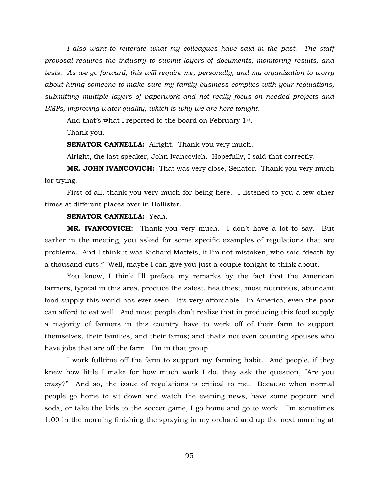*I also want to reiterate what my colleagues have said in the past. The staff proposal requires the industry to submit layers of documents, monitoring results, and tests. As we go forward, this will require me, personally, and my organization to worry about hiring someone to make sure my family business complies with your regulations, submitting multiple layers of paperwork and not really focus on needed projects and BMPs, improving water quality, which is why we are here tonight.*

And that's what I reported to the board on February 1st.

Thank you.

**SENATOR CANNELLA:** Alright. Thank you very much.

Alright, the last speaker, John Ivancovich. Hopefully, I said that correctly.

**MR. JOHN IVANCOVICH:** That was very close, Senator. Thank you very much for trying.

First of all, thank you very much for being here. I listened to you a few other times at different places over in Hollister.

## **SENATOR CANNELLA:** Yeah.

**MR. IVANCOVICH:** Thank you very much. I don't have a lot to say. But earlier in the meeting, you asked for some specific examples of regulations that are problems. And I think it was Richard Matteis, if I'm not mistaken, who said "death by a thousand cuts." Well, maybe I can give you just a couple tonight to think about.

You know, I think I'll preface my remarks by the fact that the American farmers, typical in this area, produce the safest, healthiest, most nutritious, abundant food supply this world has ever seen. It's very affordable. In America, even the poor can afford to eat well. And most people don't realize that in producing this food supply a majority of farmers in this country have to work off of their farm to support themselves, their families, and their farms; and that's not even counting spouses who have jobs that are off the farm. I'm in that group.

I work fulltime off the farm to support my farming habit. And people, if they knew how little I make for how much work I do, they ask the question, "Are you crazy?" And so, the issue of regulations is critical to me. Because when normal people go home to sit down and watch the evening news, have some popcorn and soda, or take the kids to the soccer game, I go home and go to work. I'm sometimes 1:00 in the morning finishing the spraying in my orchard and up the next morning at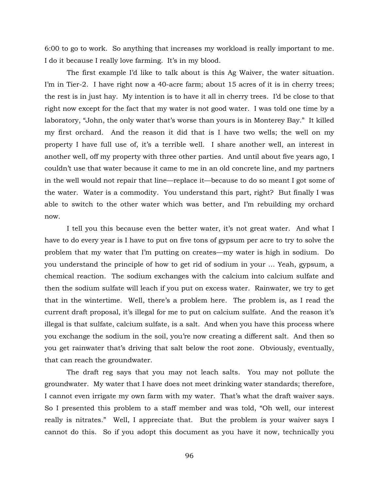6:00 to go to work. So anything that increases my workload is really important to me. I do it because I really love farming. It's in my blood.

The first example I'd like to talk about is this Ag Waiver, the water situation. I'm in Tier-2. I have right now a 40-acre farm; about 15 acres of it is in cherry trees; the rest is in just hay. My intention is to have it all in cherry trees. I'd be close to that right now except for the fact that my water is not good water. I was told one time by a laboratory, "John, the only water that's worse than yours is in Monterey Bay." It killed my first orchard. And the reason it did that is I have two wells; the well on my property I have full use of, it's a terrible well. I share another well, an interest in another well, off my property with three other parties. And until about five years ago, I couldn't use that water because it came to me in an old concrete line, and my partners in the well would not repair that line—replace it—because to do so meant I got some of the water. Water is a commodity. You understand this part, right? But finally I was able to switch to the other water which was better, and I'm rebuilding my orchard now.

I tell you this because even the better water, it's not great water. And what I have to do every year is I have to put on five tons of gypsum per acre to try to solve the problem that my water that I'm putting on creates—my water is high in sodium. Do you understand the principle of how to get rid of sodium in your … Yeah, gypsum, a chemical reaction. The sodium exchanges with the calcium into calcium sulfate and then the sodium sulfate will leach if you put on excess water. Rainwater, we try to get that in the wintertime. Well, there's a problem here. The problem is, as I read the current draft proposal, it's illegal for me to put on calcium sulfate. And the reason it's illegal is that sulfate, calcium sulfate, is a salt. And when you have this process where you exchange the sodium in the soil, you're now creating a different salt. And then so you get rainwater that's driving that salt below the root zone. Obviously, eventually, that can reach the groundwater.

The draft reg says that you may not leach salts. You may not pollute the groundwater. My water that I have does not meet drinking water standards; therefore, I cannot even irrigate my own farm with my water. That's what the draft waiver says. So I presented this problem to a staff member and was told, "Oh well, our interest really is nitrates." Well, I appreciate that. But the problem is your waiver says I cannot do this. So if you adopt this document as you have it now, technically you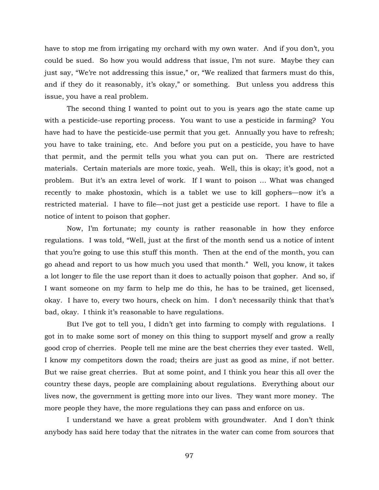have to stop me from irrigating my orchard with my own water. And if you don't, you could be sued. So how you would address that issue, I'm not sure. Maybe they can just say, "We're not addressing this issue," or, "We realized that farmers must do this, and if they do it reasonably, it's okay," or something. But unless you address this issue, you have a real problem.

The second thing I wanted to point out to you is years ago the state came up with a pesticide-use reporting process. You want to use a pesticide in farming? You have had to have the pesticide-use permit that you get. Annually you have to refresh; you have to take training, etc. And before you put on a pesticide, you have to have that permit, and the permit tells you what you can put on. There are restricted materials. Certain materials are more toxic, yeah. Well, this is okay; it's good, not a problem. But it's an extra level of work. If I want to poison … What was changed recently to make phostoxin, which is a tablet we use to kill gophers—now it's a restricted material. I have to file—not just get a pesticide use report. I have to file a notice of intent to poison that gopher.

Now, I'm fortunate; my county is rather reasonable in how they enforce regulations. I was told, "Well, just at the first of the month send us a notice of intent that you're going to use this stuff this month. Then at the end of the month, you can go ahead and report to us how much you used that month." Well, you know, it takes a lot longer to file the use report than it does to actually poison that gopher. And so, if I want someone on my farm to help me do this, he has to be trained, get licensed, okay. I have to, every two hours, check on him. I don't necessarily think that that's bad, okay. I think it's reasonable to have regulations.

But I've got to tell you, I didn't get into farming to comply with regulations. I got in to make some sort of money on this thing to support myself and grow a really good crop of cherries. People tell me mine are the best cherries they ever tasted. Well, I know my competitors down the road; theirs are just as good as mine, if not better. But we raise great cherries. But at some point, and I think you hear this all over the country these days, people are complaining about regulations. Everything about our lives now, the government is getting more into our lives. They want more money. The more people they have, the more regulations they can pass and enforce on us.

I understand we have a great problem with groundwater. And I don't think anybody has said here today that the nitrates in the water can come from sources that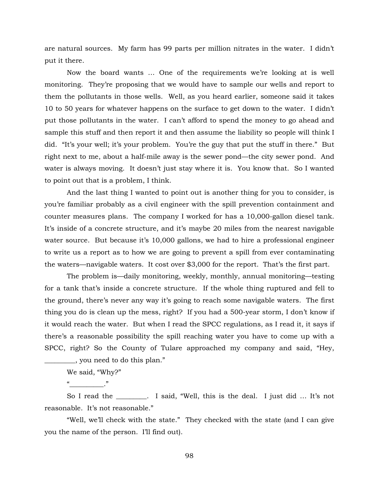are natural sources. My farm has 99 parts per million nitrates in the water. I didn't put it there.

Now the board wants … One of the requirements we're looking at is well monitoring. They're proposing that we would have to sample our wells and report to them the pollutants in those wells. Well, as you heard earlier, someone said it takes 10 to 50 years for whatever happens on the surface to get down to the water. I didn't put those pollutants in the water. I can't afford to spend the money to go ahead and sample this stuff and then report it and then assume the liability so people will think I did. "It's your well; it's your problem. You're the guy that put the stuff in there." But right next to me, about a half-mile away is the sewer pond—the city sewer pond. And water is always moving. It doesn't just stay where it is. You know that. So I wanted to point out that is a problem, I think.

And the last thing I wanted to point out is another thing for you to consider, is you're familiar probably as a civil engineer with the spill prevention containment and counter measures plans. The company I worked for has a 10,000-gallon diesel tank. It's inside of a concrete structure, and it's maybe 20 miles from the nearest navigable water source. But because it's 10,000 gallons, we had to hire a professional engineer to write us a report as to how we are going to prevent a spill from ever contaminating the waters—navigable waters. It cost over \$3,000 for the report. That's the first part.

The problem is—daily monitoring, weekly, monthly, annual monitoring—testing for a tank that's inside a concrete structure. If the whole thing ruptured and fell to the ground, there's never any way it's going to reach some navigable waters. The first thing you do is clean up the mess, right? If you had a 500-year storm, I don't know if it would reach the water. But when I read the SPCC regulations, as I read it, it says if there's a reasonable possibility the spill reaching water you have to come up with a SPCC, right? So the County of Tulare approached my company and said, "Hey, \_\_\_\_\_\_\_\_\_, you need to do this plan."

We said, "Why?"

 $\begin{array}{ccc} \hline \hline \hline \hline \hline \hline \hline \end{array}$  , where  $\begin{array}{ccc} \hline \hline \hline \hline \end{array}$ 

So I read the **\_\_\_\_\_\_\_\_\_**. I said, "Well, this is the deal. I just did … It's not reasonable. It's not reasonable."

"Well, we'll check with the state." They checked with the state (and I can give you the name of the person. I'll find out).